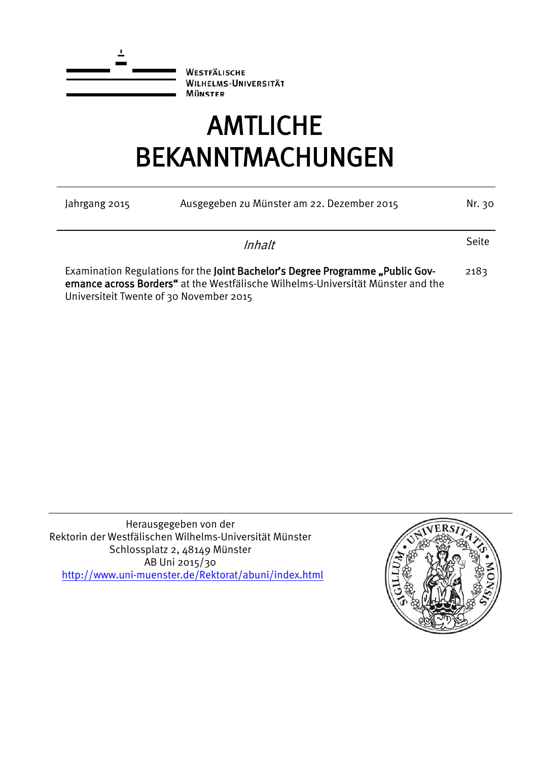

**WESTFÄLISCHE WILHELMS-UNIVERSITÄT MÜNSTER** 

# AMTLICHE BEKANNTMACHUNGEN

| Ausgegeben zu Münster am 22. Dezember 2015<br>Jahrgang 2015 |                                                                                                                                                                    |       |  |  |  |
|-------------------------------------------------------------|--------------------------------------------------------------------------------------------------------------------------------------------------------------------|-------|--|--|--|
|                                                             | Inhalt                                                                                                                                                             | Seite |  |  |  |
| Universiteit Twente of 30 November 2015                     | Examination Regulations for the Joint Bachelor's Degree Programme "Public Gov-<br>ernance across Borders" at the Westfälische Wilhelms-Universität Münster and the | 2183  |  |  |  |

Herausgegeben von der Rektorin der Westfälischen Wilhelms-Universität Münster Schlossplatz 2, 48149 Münster AB Uni 2015/30 <http://www.uni-muenster.de/Rektorat/abuni/index.html>

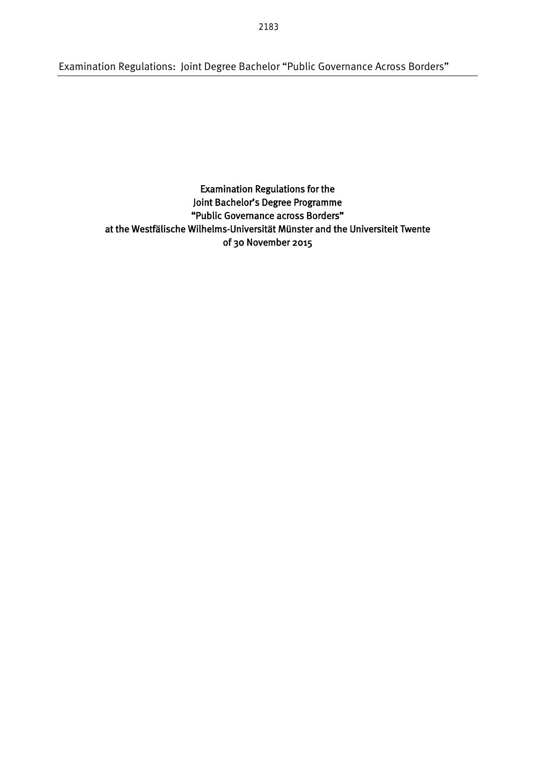Examination Regulations: Joint Degree Bachelor "Public Governance Across Borders"

Examination Regulations for the Joint Bachelor's Degree Programme "Public Governance across Borders" at the Westfälische Wilhelms-Universität Münster and the Universiteit Twente of 30 November 2015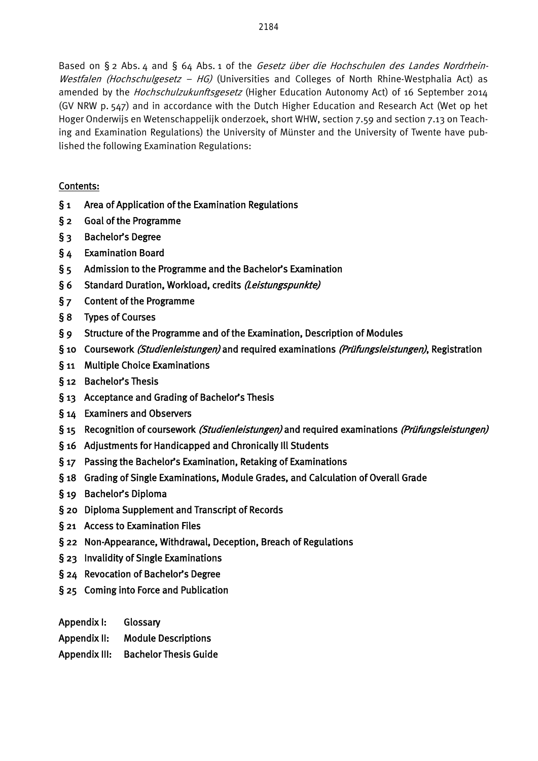Based on § 2 Abs. 4 and § 64 Abs. 1 of the Gesetz über die Hochschulen des Landes Nordrhein-Westfalen (Hochschulgesetz - HG) (Universities and Colleges of North Rhine-Westphalia Act) as amended by the Hochschulzukunftsgesetz (Higher Education Autonomy Act) of 16 September 2014 (GV NRW p. 547) and in accordance with the Dutch Higher Education and Research Act (Wet op het Hoger Onderwijs en Wetenschappelijk onderzoek, short WHW, section 7.59 and section 7.13 on Teaching and Examination Regulations) the University of Münster and the University of Twente have published the following Examination Regulations:

# Contents:

- § 1 Area of Application of the Examination Regulations
- § 2 Goal of the Programme
- § 3 Bachelor's Degree
- § 4 Examination Board
- § 5 Admission to the Programme and the Bachelor's Examination
- § 6 Standard Duration, Workload, credits (Leistungspunkte)
- § 7 Content of the Programme
- § 8 Types of Courses
- § 9 Structure of the Programme and of the Examination, Description of Modules
- § 10 Coursework *(Studienleistungen)* and required examinations *(Prüfungsleistungen)*, Registration
- § 11 Multiple Choice Examinations
- § 12 Bachelor's Thesis
- § 13 Acceptance and Grading of Bachelor's Thesis
- § 14 Examiners and Observers
- § 15 Recognition of coursework (Studienleistungen) and required examinations (Prüfungsleistungen)
- § 16 Adjustments for Handicapped and Chronically Ill Students
- § 17 Passing the Bachelor's Examination, Retaking of Examinations
- § 18 Grading of Single Examinations, Module Grades, and Calculation of Overall Grade
- § 19 Bachelor's Diploma
- § 20 Diploma Supplement and Transcript of Records
- § 21 Access to Examination Files
- § 22 Non-Appearance, Withdrawal, Deception, Breach of Regulations
- § 23 Invalidity of Single Examinations
- § 24 Revocation of Bachelor's Degree
- § 25 Coming into Force and Publication
- Appendix I: Glossary
- Appendix II: Module Descriptions
- Appendix III: Bachelor Thesis Guide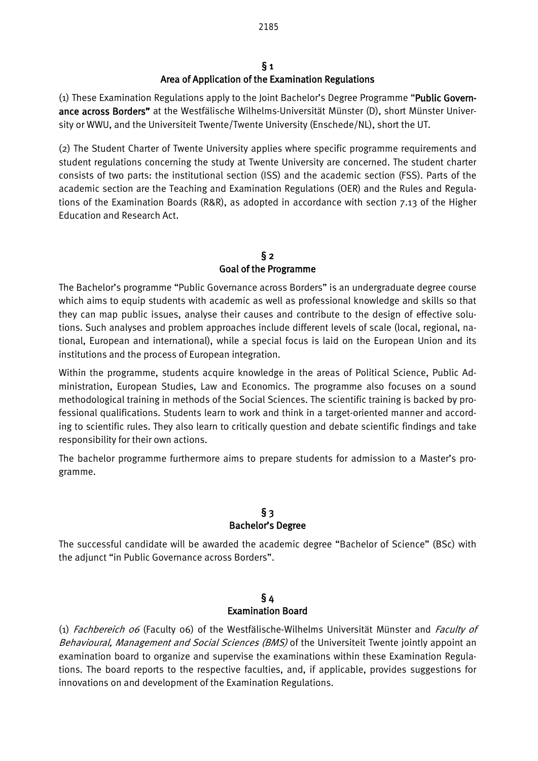# $§<sub>1</sub>$ Area of Application of the Examination Regulations

(1) These Examination Regulations apply to the Joint Bachelor's Degree Programme "Public Governance across Borders" at the Westfälische Wilhelms-Universität Münster (D), short Münster University or WWU, and the Universiteit Twente/Twente University (Enschede/NL), short the UT.

(2) The Student Charter of Twente University applies where specific programme requirements and student regulations concerning the study at Twente University are concerned. The student charter consists of two parts: the institutional section (ISS) and the academic section (FSS). Parts of the academic section are the Teaching and Examination Regulations (OER) and the Rules and Regulations of the Examination Boards (R&R), as adopted in accordance with section 7.13 of the Higher Education and Research Act.

# $§$  2 Goal of the Programme

The Bachelor's programme "Public Governance across Borders" is an undergraduate degree course which aims to equip students with academic as well as professional knowledge and skills so that they can map public issues, analyse their causes and contribute to the design of effective solutions. Such analyses and problem approaches include different levels of scale (local, regional, national, European and international), while a special focus is laid on the European Union and its institutions and the process of European integration.

Within the programme, students acquire knowledge in the areas of Political Science, Public Administration, European Studies, Law and Economics. The programme also focuses on a sound methodological training in methods of the Social Sciences. The scientific training is backed by professional qualifications. Students learn to work and think in a target-oriented manner and according to scientific rules. They also learn to critically question and debate scientific findings and take responsibility for their own actions.

The bachelor programme furthermore aims to prepare students for admission to a Master's programme.

# § 3 Bachelor's Degree

The successful candidate will be awarded the academic degree "Bachelor of Science" (BSc) with the adjunct "in Public Governance across Borders".

#### § 4 Examination Board

(1) Fachbereich 06 (Faculty 06) of the Westfälische-Wilhelms Universität Münster and Faculty of Behavioural, Management and Social Sciences (BMS) of the Universiteit Twente jointly appoint an examination board to organize and supervise the examinations within these Examination Regulations. The board reports to the respective faculties, and, if applicable, provides suggestions for innovations on and development of the Examination Regulations.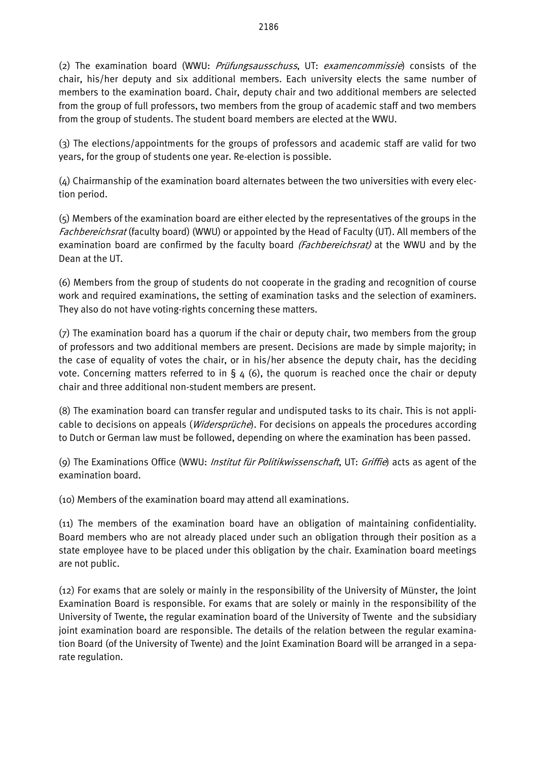(2) The examination board (WWU: *Prüfungsausschuss*, UT: *examencommissie*) consists of the chair, his/her deputy and six additional members. Each university elects the same number of members to the examination board. Chair, deputy chair and two additional members are selected from the group of full professors, two members from the group of academic staff and two members from the group of students. The student board members are elected at the WWU.

(3) The elections/appointments for the groups of professors and academic staff are valid for two years, for the group of students one year. Re-election is possible.

(4) Chairmanship of the examination board alternates between the two universities with every election period.

(5) Members of the examination board are either elected by the representatives of the groups in the Fachbereichsrat (faculty board) (WWU) or appointed by the Head of Faculty (UT). All members of the examination board are confirmed by the faculty board (*Fachbereichsrat*) at the WWU and by the Dean at the UT.

(6) Members from the group of students do not cooperate in the grading and recognition of course work and required examinations, the setting of examination tasks and the selection of examiners. They also do not have voting-rights concerning these matters.

(7) The examination board has a quorum if the chair or deputy chair, two members from the group of professors and two additional members are present. Decisions are made by simple majority; in the case of equality of votes the chair, or in his/her absence the deputy chair, has the deciding vote. Concerning matters referred to in  $\S 4$  (6), the quorum is reached once the chair or deputy chair and three additional non-student members are present.

(8) The examination board can transfer regular and undisputed tasks to its chair. This is not applicable to decisions on appeals (*Widersprüche*). For decisions on appeals the procedures according to Dutch or German law must be followed, depending on where the examination has been passed.

(9) The Examinations Office (WWU: Institut für Politikwissenschaft, UT: Griffie) acts as agent of the examination board.

(10) Members of the examination board may attend all examinations.

(11) The members of the examination board have an obligation of maintaining confidentiality. Board members who are not already placed under such an obligation through their position as a state employee have to be placed under this obligation by the chair. Examination board meetings are not public.

(12) For exams that are solely or mainly in the responsibility of the University of Münster, the Joint Examination Board is responsible. For exams that are solely or mainly in the responsibility of the University of Twente, the regular examination board of the University of Twente and the subsidiary joint examination board are responsible. The details of the relation between the regular examination Board (of the University of Twente) and the Joint Examination Board will be arranged in a separate regulation.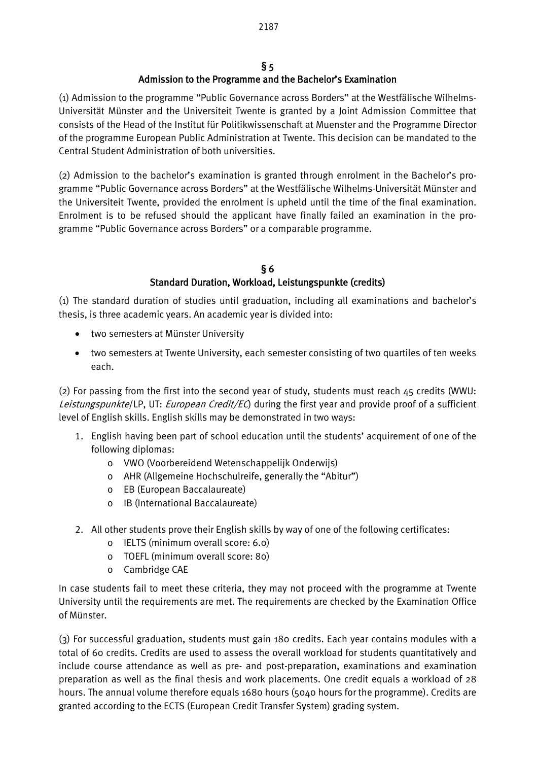# $§$  5 Admission to the Programme and the Bachelor's Examination

(1) Admission to the programme "Public Governance across Borders" at the Westfälische Wilhelms-Universität Münster and the Universiteit Twente is granted by a Joint Admission Committee that consists of the Head of the Institut für Politikwissenschaft at Muenster and the Programme Director of the programme European Public Administration at Twente. This decision can be mandated to the Central Student Administration of both universities.

(2) Admission to the bachelor's examination is granted through enrolment in the Bachelor's programme "Public Governance across Borders" at the Westfälische Wilhelms-Universität Münster and the Universiteit Twente, provided the enrolment is upheld until the time of the final examination. Enrolment is to be refused should the applicant have finally failed an examination in the programme "Public Governance across Borders" or a comparable programme.

#### § 6 Standard Duration, Workload, Leistungspunkte (credits)

(1) The standard duration of studies until graduation, including all examinations and bachelor's thesis, is three academic years. An academic year is divided into:

- two semesters at Münster University
- two semesters at Twente University, each semester consisting of two quartiles of ten weeks each.

(2) For passing from the first into the second year of study, students must reach  $45$  credits (WWU: Leistungspunkte/LP, UT: European Credit/EC) during the first year and provide proof of a sufficient level of English skills. English skills may be demonstrated in two ways:

- 1. English having been part of school education until the students' acquirement of one of the following diplomas:
	- o VWO (Voorbereidend Wetenschappelijk Onderwijs)
	- o AHR (Allgemeine Hochschulreife, generally the "Abitur")
	- o EB (European Baccalaureate)
	- o IB (International Baccalaureate)
- 2. All other students prove their English skills by way of one of the following certificates:
	- o IELTS (minimum overall score: 6.0)
	- o TOEFL (minimum overall score: 80)
	- o Cambridge CAE

In case students fail to meet these criteria, they may not proceed with the programme at Twente University until the requirements are met. The requirements are checked by the Examination Office of Münster.

(3) For successful graduation, students must gain 180 credits. Each year contains modules with a total of 60 credits. Credits are used to assess the overall workload for students quantitatively and include course attendance as well as pre- and post-preparation, examinations and examination preparation as well as the final thesis and work placements. One credit equals a workload of 28 hours. The annual volume therefore equals 1680 hours (5040 hours for the programme). Credits are granted according to the ECTS (European Credit Transfer System) grading system.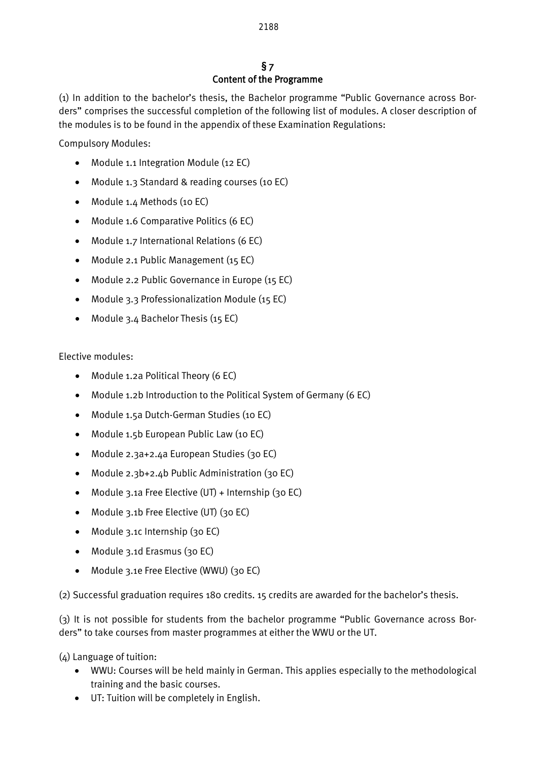# § 7 Content of the Programme

(1) In addition to the bachelor's thesis, the Bachelor programme "Public Governance across Borders" comprises the successful completion of the following list of modules. A closer description of the modules is to be found in the appendix of these Examination Regulations:

Compulsory Modules:

- Module 1.1 Integration Module (12 EC)
- Module 1.3 Standard & reading courses (10 EC)
- Module 1.4 Methods (10 EC)
- Module 1.6 Comparative Politics (6 EC)
- Module 1.7 International Relations (6 EC)
- Module 2.1 Public Management (15 EC)
- Module 2.2 Public Governance in Europe (15 EC)
- Module 3.3 Professionalization Module (15 EC)
- Module 3.4 Bachelor Thesis (15 EC)

Elective modules:

- Module 1.2a Political Theory (6 EC)
- Module 1.2b Introduction to the Political System of Germany (6 EC)
- Module 1.5a Dutch-German Studies (10 EC)
- Module 1.5b European Public Law (10 EC)
- Module 2.3a+2.4a European Studies (30 EC)
- Module 2.3b+2.4b Public Administration (30 EC)
- Module 3.1a Free Elective (UT) + Internship (30 EC)
- Module 3.1b Free Elective (UT) (30 EC)
- Module 3.1c Internship (30 EC)
- Module 3.1d Erasmus (30 EC)
- Module 3.1e Free Elective (WWU) (30 EC)

(2) Successful graduation requires 180 credits. 15 credits are awarded for the bachelor's thesis.

(3) It is not possible for students from the bachelor programme "Public Governance across Borders" to take courses from master programmes at either the WWU or the UT.

(4) Language of tuition:

- WWU: Courses will be held mainly in German. This applies especially to the methodological training and the basic courses.
- UT: Tuition will be completely in English.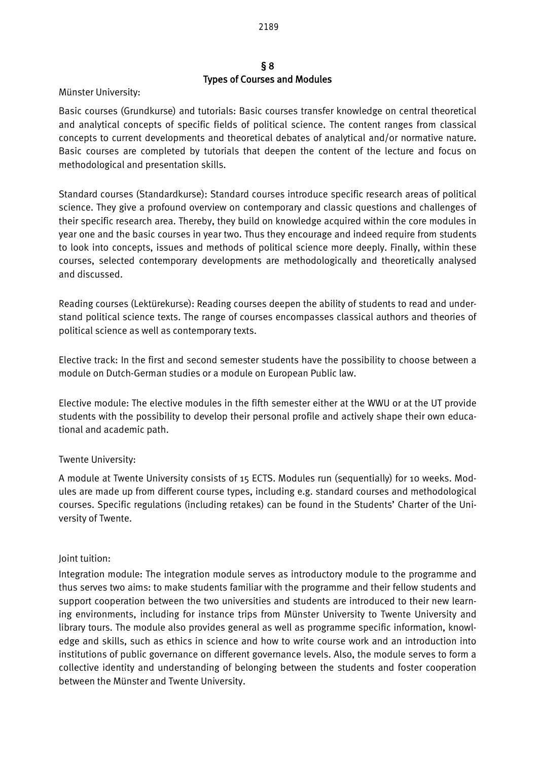#### § 8 Types of Courses and Modules

Münster University:

Basic courses (Grundkurse) and tutorials: Basic courses transfer knowledge on central theoretical and analytical concepts of specific fields of political science. The content ranges from classical concepts to current developments and theoretical debates of analytical and/or normative nature. Basic courses are completed by tutorials that deepen the content of the lecture and focus on methodological and presentation skills.

Standard courses (Standardkurse): Standard courses introduce specific research areas of political science. They give a profound overview on contemporary and classic questions and challenges of their specific research area. Thereby, they build on knowledge acquired within the core modules in year one and the basic courses in year two. Thus they encourage and indeed require from students to look into concepts, issues and methods of political science more deeply. Finally, within these courses, selected contemporary developments are methodologically and theoretically analysed and discussed.

Reading courses (Lektürekurse): Reading courses deepen the ability of students to read and understand political science texts. The range of courses encompasses classical authors and theories of political science as well as contemporary texts.

Elective track: In the first and second semester students have the possibility to choose between a module on Dutch-German studies or a module on European Public law.

Elective module: The elective modules in the fifth semester either at the WWU or at the UT provide students with the possibility to develop their personal profile and actively shape their own educational and academic path.

# Twente University:

A module at Twente University consists of 15 ECTS. Modules run (sequentially) for 10 weeks. Modules are made up from different course types, including e.g. standard courses and methodological courses. Specific regulations (including retakes) can be found in the Students' Charter of the University of Twente.

# Joint tuition:

Integration module: The integration module serves as introductory module to the programme and thus serves two aims: to make students familiar with the programme and their fellow students and support cooperation between the two universities and students are introduced to their new learning environments, including for instance trips from Münster University to Twente University and library tours. The module also provides general as well as programme specific information, knowledge and skills, such as ethics in science and how to write course work and an introduction into institutions of public governance on different governance levels. Also, the module serves to form a collective identity and understanding of belonging between the students and foster cooperation between the Münster and Twente University.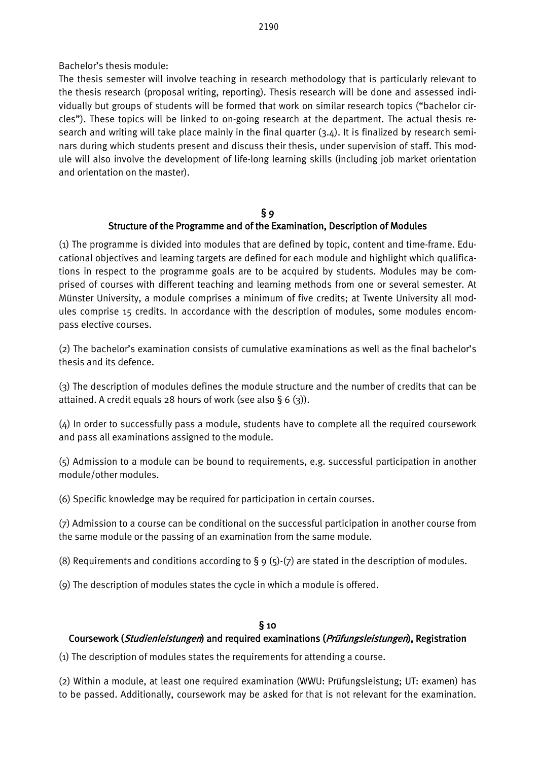# Bachelor's thesis module:

The thesis semester will involve teaching in research methodology that is particularly relevant to the thesis research (proposal writing, reporting). Thesis research will be done and assessed individually but groups of students will be formed that work on similar research topics ("bachelor circles"). These topics will be linked to on-going research at the department. The actual thesis research and writing will take place mainly in the final quarter (3.4). It is finalized by research seminars during which students present and discuss their thesis, under supervision of staff. This module will also involve the development of life-long learning skills (including job market orientation and orientation on the master).

#### $§$  9 Structure of the Programme and of the Examination, Description of Modules

(1) The programme is divided into modules that are defined by topic, content and time-frame. Educational objectives and learning targets are defined for each module and highlight which qualifications in respect to the programme goals are to be acquired by students. Modules may be comprised of courses with different teaching and learning methods from one or several semester. At Münster University, a module comprises a minimum of five credits; at Twente University all modules comprise 15 credits. In accordance with the description of modules, some modules encompass elective courses.

(2) The bachelor's examination consists of cumulative examinations as well as the final bachelor's thesis and its defence.

(3) The description of modules defines the module structure and the number of credits that can be attained. A credit equals 28 hours of work (see also  $\S 6$  (3)).

(4) In order to successfully pass a module, students have to complete all the required coursework and pass all examinations assigned to the module.

(5) Admission to a module can be bound to requirements, e.g. successful participation in another module/other modules.

(6) Specific knowledge may be required for participation in certain courses.

(7) Admission to a course can be conditional on the successful participation in another course from the same module or the passing of an examination from the same module.

(8) Requirements and conditions according to  $\S$  9 (5)-(7) are stated in the description of modules.

(9) The description of modules states the cycle in which a module is offered.

# § 10

# Coursework (Studienleistungen) and required examinations (Prüfungsleistungen), Registration

(1) The description of modules states the requirements for attending a course.

(2) Within a module, at least one required examination (WWU: Prüfungsleistung; UT: examen) has to be passed. Additionally, coursework may be asked for that is not relevant for the examination.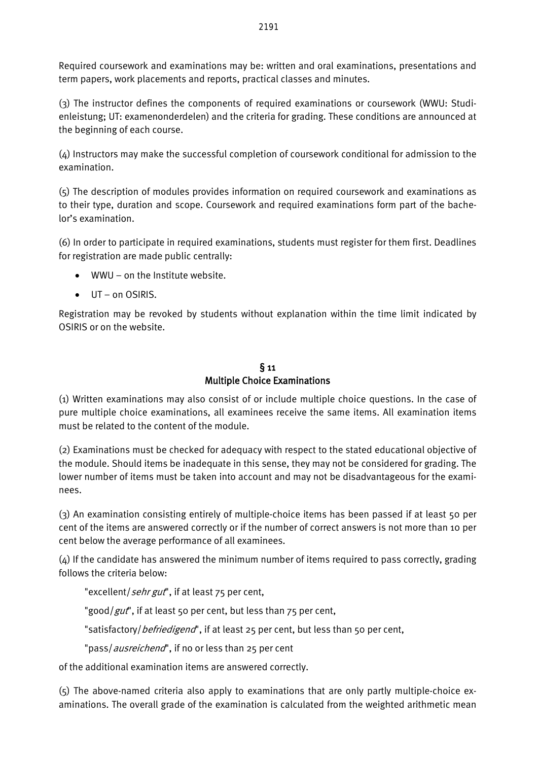Required coursework and examinations may be: written and oral examinations, presentations and term papers, work placements and reports, practical classes and minutes.

(3) The instructor defines the components of required examinations or coursework (WWU: Studienleistung; UT: examenonderdelen) and the criteria for grading. These conditions are announced at the beginning of each course.

(4) Instructors may make the successful completion of coursework conditional for admission to the examination.

(5) The description of modules provides information on required coursework and examinations as to their type, duration and scope. Coursework and required examinations form part of the bachelor's examination.

(6) In order to participate in required examinations, students must register for them first. Deadlines for registration are made public centrally:

- WWU on the Institute website.
- $\bullet$  UT on OSIRIS.

Registration may be revoked by students without explanation within the time limit indicated by OSIRIS or on the website.

# $§$  11 Multiple Choice Examinations

(1) Written examinations may also consist of or include multiple choice questions. In the case of pure multiple choice examinations, all examinees receive the same items. All examination items must be related to the content of the module.

(2) Examinations must be checked for adequacy with respect to the stated educational objective of the module. Should items be inadequate in this sense, they may not be considered for grading. The lower number of items must be taken into account and may not be disadvantageous for the examinees.

(3) An examination consisting entirely of multiple-choice items has been passed if at least 50 per cent of the items are answered correctly or if the number of correct answers is not more than 10 per cent below the average performance of all examinees.

 $(4)$  If the candidate has answered the minimum number of items required to pass correctly, grading follows the criteria below:

"excellent/sehr gut", if at least 75 per cent,

"good/gut", if at least 50 per cent, but less than 75 per cent,

"satisfactory/ befriedigend", if at least 25 per cent, but less than 50 per cent,

"pass/ausreichend", if no or less than 25 per cent

of the additional examination items are answered correctly.

(5) The above-named criteria also apply to examinations that are only partly multiple-choice examinations. The overall grade of the examination is calculated from the weighted arithmetic mean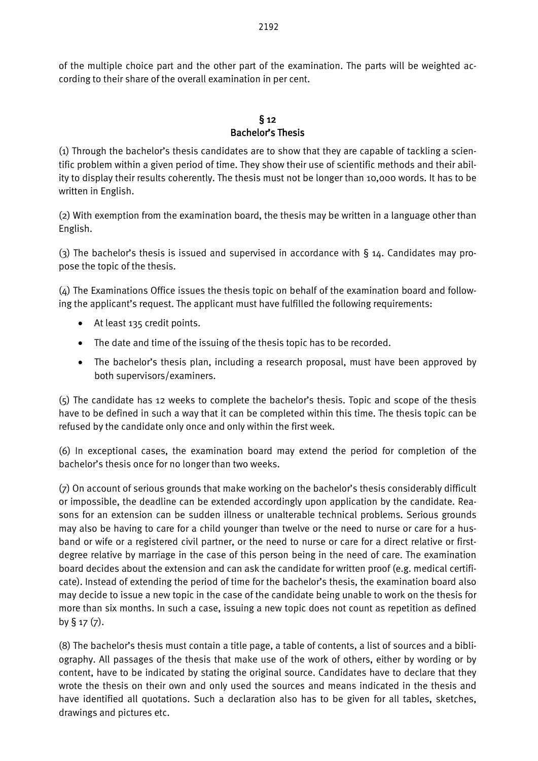of the multiple choice part and the other part of the examination. The parts will be weighted according to their share of the overall examination in per cent.

#### $§ 12$ Bachelor's Thesis

(1) Through the bachelor's thesis candidates are to show that they are capable of tackling a scientific problem within a given period of time. They show their use of scientific methods and their ability to display their results coherently. The thesis must not be longer than 10,000 words. It has to be written in English.

(2) With exemption from the examination board, the thesis may be written in a language other than English.

(3) The bachelor's thesis is issued and supervised in accordance with § 14. Candidates may propose the topic of the thesis.

(4) The Examinations Office issues the thesis topic on behalf of the examination board and following the applicant's request. The applicant must have fulfilled the following requirements:

- At least 135 credit points.
- The date and time of the issuing of the thesis topic has to be recorded.
- The bachelor's thesis plan, including a research proposal, must have been approved by both supervisors/examiners.

(5) The candidate has 12 weeks to complete the bachelor's thesis. Topic and scope of the thesis have to be defined in such a way that it can be completed within this time. The thesis topic can be refused by the candidate only once and only within the first week.

(6) In exceptional cases, the examination board may extend the period for completion of the bachelor's thesis once for no longer than two weeks.

(7) On account of serious grounds that make working on the bachelor's thesis considerably difficult or impossible, the deadline can be extended accordingly upon application by the candidate. Reasons for an extension can be sudden illness or unalterable technical problems. Serious grounds may also be having to care for a child younger than twelve or the need to nurse or care for a husband or wife or a registered civil partner, or the need to nurse or care for a direct relative or firstdegree relative by marriage in the case of this person being in the need of care. The examination board decides about the extension and can ask the candidate for written proof (e.g. medical certificate). Instead of extending the period of time for the bachelor's thesis, the examination board also may decide to issue a new topic in the case of the candidate being unable to work on the thesis for more than six months. In such a case, issuing a new topic does not count as repetition as defined by  $\S$  17  $(7)$ .

(8) The bachelor's thesis must contain a title page, a table of contents, a list of sources and a bibliography. All passages of the thesis that make use of the work of others, either by wording or by content, have to be indicated by stating the original source. Candidates have to declare that they wrote the thesis on their own and only used the sources and means indicated in the thesis and have identified all quotations. Such a declaration also has to be given for all tables, sketches, drawings and pictures etc.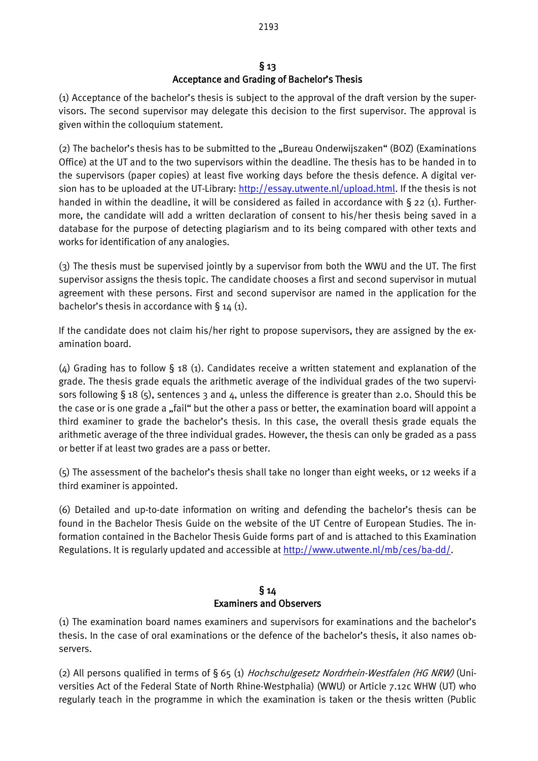# $§$  13 Acceptance and Grading of Bachelor's Thesis

(1) Acceptance of the bachelor's thesis is subject to the approval of the draft version by the supervisors. The second supervisor may delegate this decision to the first supervisor. The approval is given within the colloquium statement.

(2) The bachelor's thesis has to be submitted to the "Bureau Onderwijszaken" (BOZ) (Examinations Office) at the UT and to the two supervisors within the deadline. The thesis has to be handed in to the supervisors (paper copies) at least five working days before the thesis defence. A digital version has to be uploaded at the UT-Library: [http://essay.utwente.nl/upload.html.](http://essay.utwente.nl/upload.html) If the thesis is not handed in within the deadline, it will be considered as failed in accordance with § 22 (1). Furthermore, the candidate will add a written declaration of consent to his/her thesis being saved in a database for the purpose of detecting plagiarism and to its being compared with other texts and works for identification of any analogies.

(3) The thesis must be supervised jointly by a supervisor from both the WWU and the UT. The first supervisor assigns the thesis topic. The candidate chooses a first and second supervisor in mutual agreement with these persons. First and second supervisor are named in the application for the bachelor's thesis in accordance with  $\S$  14 (1).

If the candidate does not claim his/her right to propose supervisors, they are assigned by the examination board.

(4) Grading has to follow § 18 (1). Candidates receive a written statement and explanation of the grade. The thesis grade equals the arithmetic average of the individual grades of the two supervisors following § 18 (5), sentences 3 and 4, unless the difference is greater than 2.0. Should this be the case or is one grade a "fail" but the other a pass or better, the examination board will appoint a third examiner to grade the bachelor's thesis. In this case, the overall thesis grade equals the arithmetic average of the three individual grades. However, the thesis can only be graded as a pass or better if at least two grades are a pass or better.

(5) The assessment of the bachelor's thesis shall take no longer than eight weeks, or 12 weeks if a third examiner is appointed.

(6) Detailed and up-to-date information on writing and defending the bachelor's thesis can be found in the Bachelor Thesis Guide on the website of the UT Centre of European Studies. The information contained in the Bachelor Thesis Guide forms part of and is attached to this Examination Regulations. It is regularly updated and accessible a[t http://www.utwente.nl/mb/ces/ba-dd/.](http://www.utwente.nl/mb/ces/ba-dd/)

# § 14 Examiners and Observers

(1) The examination board names examiners and supervisors for examinations and the bachelor's thesis. In the case of oral examinations or the defence of the bachelor's thesis, it also names observers.

(2) All persons qualified in terms of § 65 (1) *Hochschulgesetz Nordrhein-Westfalen (HG NRW)* (Universities Act of the Federal State of North Rhine-Westphalia) (WWU) or Article 7.12c WHW (UT) who regularly teach in the programme in which the examination is taken or the thesis written (Public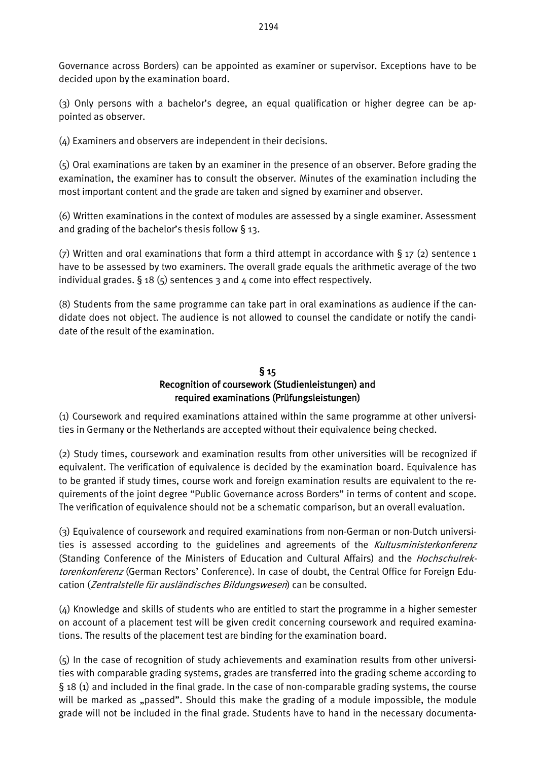Governance across Borders) can be appointed as examiner or supervisor. Exceptions have to be decided upon by the examination board.

(3) Only persons with a bachelor's degree, an equal qualification or higher degree can be appointed as observer.

(4) Examiners and observers are independent in their decisions.

(5) Oral examinations are taken by an examiner in the presence of an observer. Before grading the examination, the examiner has to consult the observer. Minutes of the examination including the most important content and the grade are taken and signed by examiner and observer.

(6) Written examinations in the context of modules are assessed by a single examiner. Assessment and grading of the bachelor's thesis follow § 13.

(7) Written and oral examinations that form a third attempt in accordance with  $\S$  17 (2) sentence 1 have to be assessed by two examiners. The overall grade equals the arithmetic average of the two individual grades.  $\S$  18 (5) sentences 3 and 4 come into effect respectively.

(8) Students from the same programme can take part in oral examinations as audience if the candidate does not object. The audience is not allowed to counsel the candidate or notify the candidate of the result of the examination.

# § 15 Recognition of coursework (Studienleistungen) and required examinations (Prüfungsleistungen)

(1) Coursework and required examinations attained within the same programme at other universities in Germany or the Netherlands are accepted without their equivalence being checked.

(2) Study times, coursework and examination results from other universities will be recognized if equivalent. The verification of equivalence is decided by the examination board. Equivalence has to be granted if study times, course work and foreign examination results are equivalent to the requirements of the joint degree "Public Governance across Borders" in terms of content and scope. The verification of equivalence should not be a schematic comparison, but an overall evaluation.

(3) Equivalence of coursework and required examinations from non-German or non-Dutch universities is assessed according to the guidelines and agreements of the Kultusministerkonferenz (Standing Conference of the Ministers of Education and Cultural Affairs) and the *Hochschulrek*torenkonferenz (German Rectors' Conference). In case of doubt, the Central Office for Foreign Education (Zentralstelle für ausländisches Bildungswesen) can be consulted.

(4) Knowledge and skills of students who are entitled to start the programme in a higher semester on account of a placement test will be given credit concerning coursework and required examinations. The results of the placement test are binding for the examination board.

(5) In the case of recognition of study achievements and examination results from other universities with comparable grading systems, grades are transferred into the grading scheme according to § 18 (1) and included in the final grade. In the case of non-comparable grading systems, the course will be marked as "passed". Should this make the grading of a module impossible, the module grade will not be included in the final grade. Students have to hand in the necessary documenta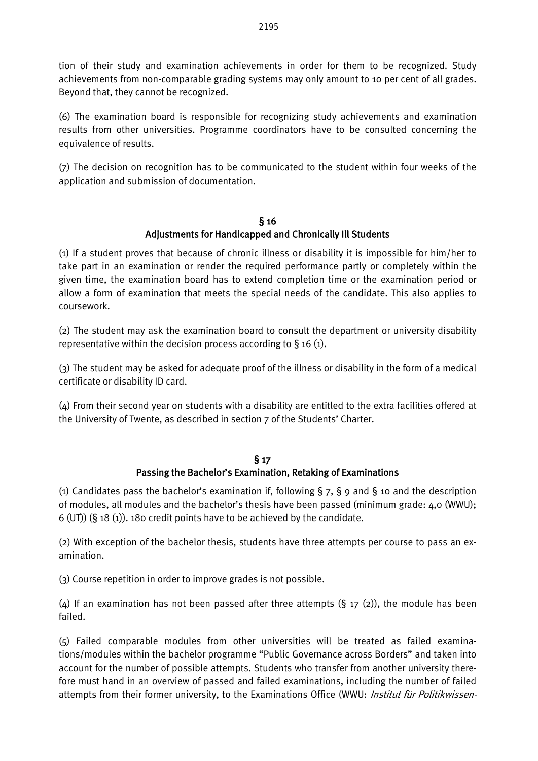tion of their study and examination achievements in order for them to be recognized. Study achievements from non-comparable grading systems may only amount to 10 per cent of all grades. Beyond that, they cannot be recognized.

(6) The examination board is responsible for recognizing study achievements and examination results from other universities. Programme coordinators have to be consulted concerning the equivalence of results.

(7) The decision on recognition has to be communicated to the student within four weeks of the application and submission of documentation.

# § 16 Adjustments for Handicapped and Chronically Ill Students

(1) If a student proves that because of chronic illness or disability it is impossible for him/her to take part in an examination or render the required performance partly or completely within the given time, the examination board has to extend completion time or the examination period or allow a form of examination that meets the special needs of the candidate. This also applies to coursework.

(2) The student may ask the examination board to consult the department or university disability representative within the decision process according to  $\S$  16 (1).

(3) The student may be asked for adequate proof of the illness or disability in the form of a medical certificate or disability ID card.

(4) From their second year on students with a disability are entitled to the extra facilities offered at the University of Twente, as described in section 7 of the Students' Charter.

#### § 17 Passing the Bachelor's Examination, Retaking of Examinations

(1) Candidates pass the bachelor's examination if, following § 7, § 9 and § 10 and the description of modules, all modules and the bachelor's thesis have been passed (minimum grade: 4,0 (WWU); 6 (UT)) (§ 18 (1)). 180 credit points have to be achieved by the candidate.

(2) With exception of the bachelor thesis, students have three attempts per course to pass an examination.

(3) Course repetition in order to improve grades is not possible.

(4) If an examination has not been passed after three attempts (§ 17 (2)), the module has been failed.

(5) Failed comparable modules from other universities will be treated as failed examinations/modules within the bachelor programme "Public Governance across Borders" and taken into account for the number of possible attempts. Students who transfer from another university therefore must hand in an overview of passed and failed examinations, including the number of failed attempts from their former university, to the Examinations Office (WWU: Institut für Politikwissen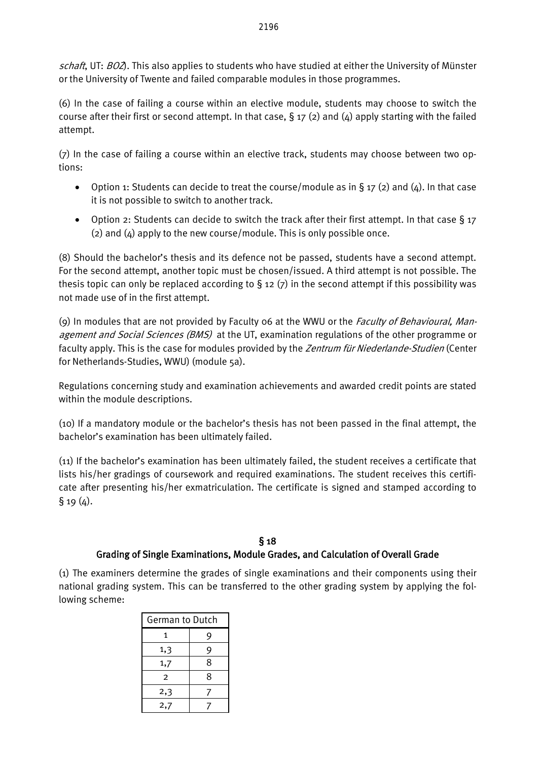schaft, UT: BO<sub>2</sub>). This also applies to students who have studied at either the University of Münster or the University of Twente and failed comparable modules in those programmes.

(6) In the case of failing a course within an elective module, students may choose to switch the course after their first or second attempt. In that case,  $\S 17$  (2) and (4) apply starting with the failed attempt.

(7) In the case of failing a course within an elective track, students may choose between two options:

- Option 1: Students can decide to treat the course/module as in § 17 (2) and (4). In that case it is not possible to switch to another track.
- Option 2: Students can decide to switch the track after their first attempt. In that case  $\S$  17  $(2)$  and  $(4)$  apply to the new course/module. This is only possible once.

(8) Should the bachelor's thesis and its defence not be passed, students have a second attempt. For the second attempt, another topic must be chosen/issued. A third attempt is not possible. The thesis topic can only be replaced according to  $\S$  12 (7) in the second attempt if this possibility was not made use of in the first attempt.

(9) In modules that are not provided by Faculty 06 at the WWU or the *Faculty of Behavioural, Man*agement and Social Sciences (BMS) at the UT, examination regulations of the other programme or faculty apply. This is the case for modules provided by the Zentrum für Niederlande-Studien (Center for Netherlands-Studies, WWU) (module 5a).

Regulations concerning study and examination achievements and awarded credit points are stated within the module descriptions.

(10) If a mandatory module or the bachelor's thesis has not been passed in the final attempt, the bachelor's examination has been ultimately failed.

(11) If the bachelor's examination has been ultimately failed, the student receives a certificate that lists his/her gradings of coursework and required examinations. The student receives this certificate after presenting his/her exmatriculation. The certificate is signed and stamped according to  $§ 19(4).$ 

# § 18 Grading of Single Examinations, Module Grades, and Calculation of Overall Grade

(1) The examiners determine the grades of single examinations and their components using their national grading system. This can be transferred to the other grading system by applying the following scheme:

| German to Dutch |   |  |  |  |  |
|-----------------|---|--|--|--|--|
| 1               | 9 |  |  |  |  |
| 1,3             | 9 |  |  |  |  |
| 1,7             | 8 |  |  |  |  |
| 2               | 8 |  |  |  |  |
| 2,3             |   |  |  |  |  |
| 2,7             |   |  |  |  |  |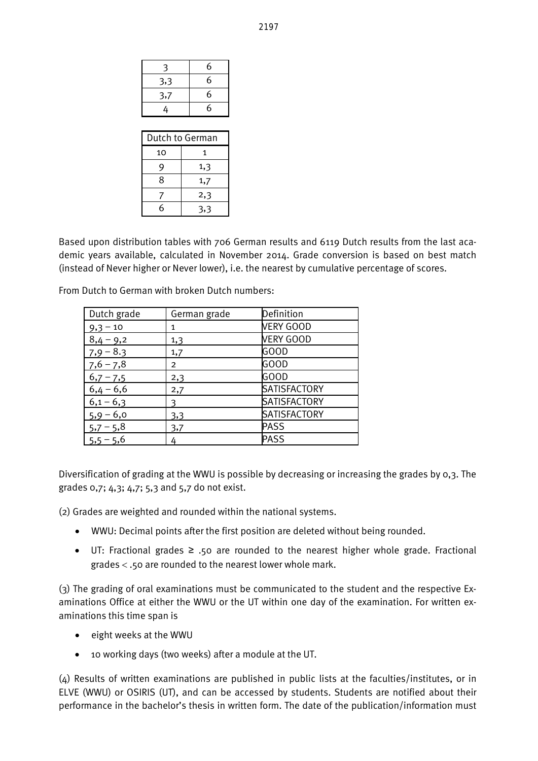| 3   | 6 |
|-----|---|
| 3,3 | 6 |
| 3,7 | 6 |
| 4   | 6 |
|     |   |

| Dutch to German |     |  |  |  |  |
|-----------------|-----|--|--|--|--|
| 10              | 1   |  |  |  |  |
| 9               | 1,3 |  |  |  |  |
| 8               | 1,7 |  |  |  |  |
|                 | 2,3 |  |  |  |  |
| 6               | 3,3 |  |  |  |  |

Based upon distribution tables with 706 German results and 6119 Dutch results from the last academic years available, calculated in November 2014. Grade conversion is based on best match (instead of Never higher or Never lower), i.e. the nearest by cumulative percentage of scores.

From Dutch to German with broken Dutch numbers:

| Dutch grade | German grade   | Definition          |
|-------------|----------------|---------------------|
| $9,3 - 10$  | 1              | <b>VERY GOOD</b>    |
| $8,4 - 9,2$ | 1,3            | <b>VERY GOOD</b>    |
| $7,9 - 8.3$ | 1,7            | <b>GOOD</b>         |
| $7,6 - 7,8$ | $\overline{2}$ | <b>GOOD</b>         |
| $6,7 - 7,5$ | 2,3            | <b>GOOD</b>         |
| $6,4 - 6,6$ | 2,7            | <b>SATISFACTORY</b> |
| $6,1 - 6,3$ | ٩              | <b>SATISFACTORY</b> |
| $5,9 - 6,0$ | 3,3            | <b>SATISFACTORY</b> |
| $5,7 - 5,8$ | 3,7            | <b>PASS</b>         |
| $5,5 - 5,6$ |                | <b>PASS</b>         |

Diversification of grading at the WWU is possible by decreasing or increasing the grades by 0,3. The grades 0,7; 4,3; 4,7; 5,3 and 5,7 do not exist.

(2) Grades are weighted and rounded within the national systems.

- WWU: Decimal points after the first position are deleted without being rounded.
- UT: Fractional grades ≥ .50 are rounded to the nearest higher whole grade. Fractional grades < .50 are rounded to the nearest lower whole mark.

(3) The grading of oral examinations must be communicated to the student and the respective Examinations Office at either the WWU or the UT within one day of the examination. For written examinations this time span is

- eight weeks at the WWU
- 10 working days (two weeks) after a module at the UT.

(4) Results of written examinations are published in public lists at the faculties/institutes, or in ELVE (WWU) or OSIRIS (UT), and can be accessed by students. Students are notified about their performance in the bachelor's thesis in written form. The date of the publication/information must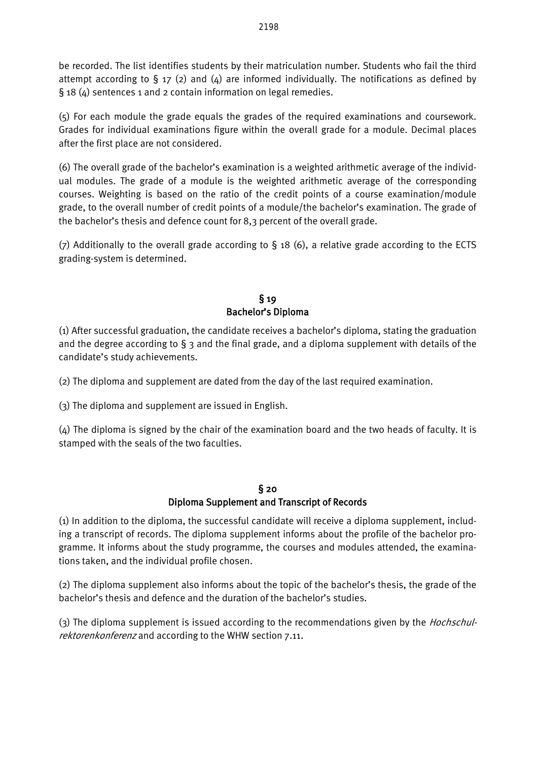be recorded. The list identifies students by their matriculation number. Students who fail the third attempt according to  $\S$  17 (2) and (4) are informed individually. The notifications as defined by § 18 (4) sentences 1 and 2 contain information on legal remedies.

(5) For each module the grade equals the grades of the required examinations and coursework. Grades for individual examinations figure within the overall grade for a module. Decimal places after the first place are not considered.

(6) The overall grade of the bachelor's examination is a weighted arithmetic average of the individual modules. The grade of a module is the weighted arithmetic average of the corresponding courses. Weighting is based on the ratio of the credit points of a course examination/module grade, to the overall number of credit points of a module/the bachelor's examination. The grade of the bachelor's thesis and defence count for 8,3 percent of the overall grade.

(7) Additionally to the overall grade according to § 18 (6), a relative grade according to the ECTS grading-system is determined.

#### § 19 Bachelor's Diploma

(1) After successful graduation, the candidate receives a bachelor's diploma, stating the graduation and the degree according to  $\S$  3 and the final grade, and a diploma supplement with details of the candidate's study achievements.

(2) The diploma and supplement are dated from the day of the last required examination.

(3) The diploma and supplement are issued in English.

(4) The diploma is signed by the chair of the examination board and the two heads of faculty. It is stamped with the seals of the two faculties.

#### § 20 Diploma Supplement and Transcript of Records

(1) In addition to the diploma, the successful candidate will receive a diploma supplement, including a transcript of records. The diploma supplement informs about the profile of the bachelor programme. It informs about the study programme, the courses and modules attended, the examinations taken, and the individual profile chosen.

(2) The diploma supplement also informs about the topic of the bachelor's thesis, the grade of the bachelor's thesis and defence and the duration of the bachelor's studies.

(3) The diploma supplement is issued according to the recommendations given by the *Hochschul*rektorenkonferenz and according to the WHW section 7.11.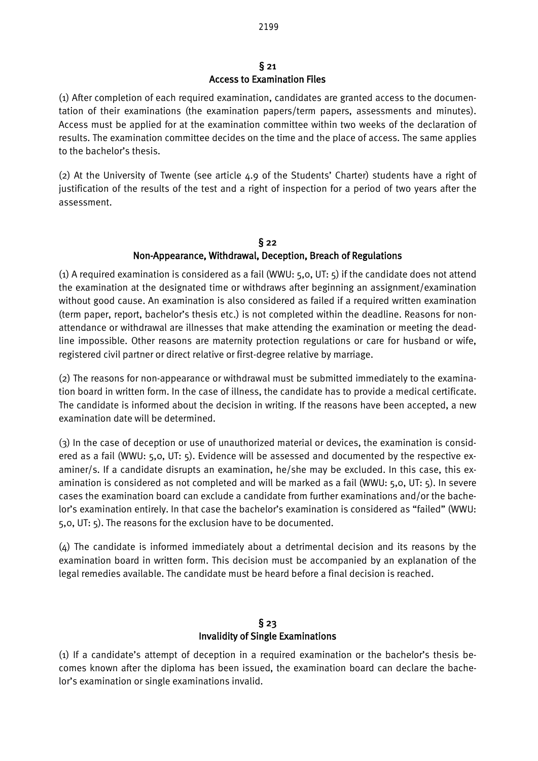#### § 21 Access to Examination Files

(1) After completion of each required examination, candidates are granted access to the documentation of their examinations (the examination papers/term papers, assessments and minutes). Access must be applied for at the examination committee within two weeks of the declaration of results. The examination committee decides on the time and the place of access. The same applies to the bachelor's thesis.

(2) At the University of Twente (see article 4.9 of the Students' Charter) students have a right of justification of the results of the test and a right of inspection for a period of two years after the assessment.

#### § 22 Non-Appearance, Withdrawal, Deception, Breach of Regulations

(1) A required examination is considered as a fail (WWU:  $5,0$ , UT:  $5$ ) if the candidate does not attend the examination at the designated time or withdraws after beginning an assignment/examination without good cause. An examination is also considered as failed if a required written examination (term paper, report, bachelor's thesis etc.) is not completed within the deadline. Reasons for nonattendance or withdrawal are illnesses that make attending the examination or meeting the deadline impossible. Other reasons are maternity protection regulations or care for husband or wife, registered civil partner or direct relative or first-degree relative by marriage.

(2) The reasons for non-appearance or withdrawal must be submitted immediately to the examination board in written form. In the case of illness, the candidate has to provide a medical certificate. The candidate is informed about the decision in writing. If the reasons have been accepted, a new examination date will be determined.

(3) In the case of deception or use of unauthorized material or devices, the examination is considered as a fail (WWU: 5,0, UT: 5). Evidence will be assessed and documented by the respective examiner/s. If a candidate disrupts an examination, he/she may be excluded. In this case, this examination is considered as not completed and will be marked as a fail (WWU: 5,0, UT: 5). In severe cases the examination board can exclude a candidate from further examinations and/or the bachelor's examination entirely. In that case the bachelor's examination is considered as "failed" (WWU: 5,0, UT: 5). The reasons for the exclusion have to be documented.

(4) The candidate is informed immediately about a detrimental decision and its reasons by the examination board in written form. This decision must be accompanied by an explanation of the legal remedies available. The candidate must be heard before a final decision is reached.

# § 23 Invalidity of Single Examinations

(1) If a candidate's attempt of deception in a required examination or the bachelor's thesis becomes known after the diploma has been issued, the examination board can declare the bachelor's examination or single examinations invalid.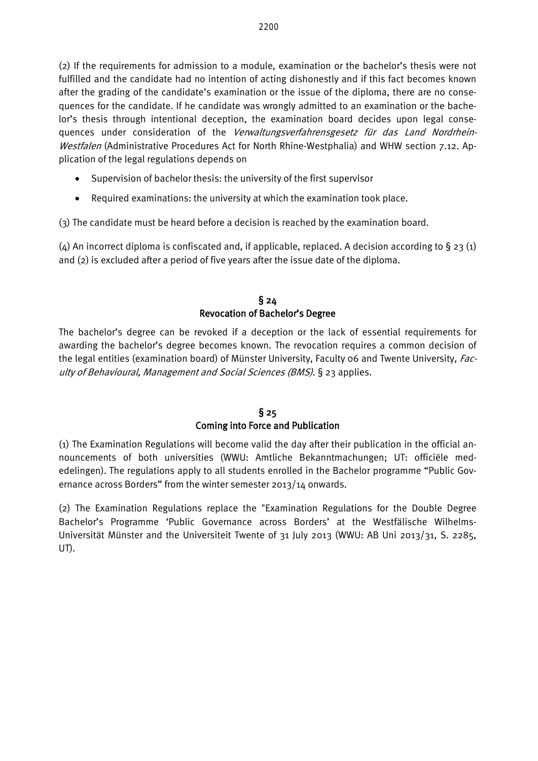(2) If the requirements for admission to a module, examination or the bachelor's thesis were not fulfilled and the candidate had no intention of acting dishonestly and if this fact becomes known after the grading of the candidate's examination or the issue of the diploma, there are no consequences for the candidate. If he candidate was wrongly admitted to an examination or the bachelor's thesis through intentional deception, the examination board decides upon legal consequences under consideration of the Verwaltungsverfahrensgesetz für das Land Nordrhein-Westfalen (Administrative Procedures Act for North Rhine-Westphalia) and WHW section 7.12. Application of the legal regulations depends on

- Supervision of bachelor thesis: the university of the first supervisor
- Required examinations: the university at which the examination took place.

(3) The candidate must be heard before a decision is reached by the examination board.

(4) An incorrect diploma is confiscated and, if applicable, replaced. A decision according to  $\S$  23 (1) and (2) is excluded after a period of five years after the issue date of the diploma.

# § 24 Revocation of Bachelor's Degree

The bachelor's degree can be revoked if a deception or the lack of essential requirements for awarding the bachelor's degree becomes known. The revocation requires a common decision of the legal entities (examination board) of Münster University, Faculty 06 and Twente University, Faculty of Behavioural, Management and Social Sciences (BMS). § 23 applies.

# § 25

# Coming into Force and Publication

(1) The Examination Regulations will become valid the day after their publication in the official announcements of both universities (WWU: Amtliche Bekanntmachungen; UT: officiële mededelingen). The regulations apply to all students enrolled in the Bachelor programme "Public Governance across Borders" from the winter semester 2013/14 onwards.

(2) The Examination Regulations replace the "Examination Regulations for the Double Degree Bachelor's Programme 'Public Governance across Borders' at the Westfälische Wilhelms-Universität Münster and the Universiteit Twente of 31 July 2013 (WWU: AB Uni 2013/31, S. 2285, UT).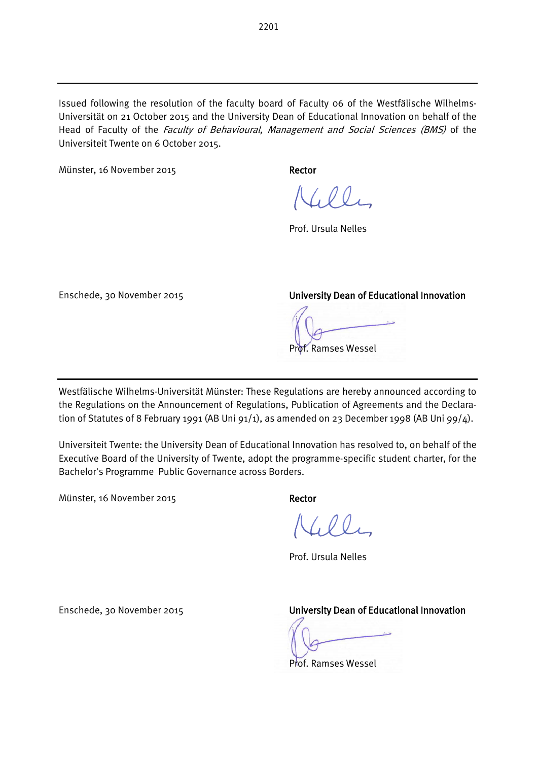Issued following the resolution of the faculty board of Faculty 06 of the Westfälische Wilhelms-Universität on 21 October 2015 and the University Dean of Educational Innovation on behalf of the Head of Faculty of the Faculty of Behavioural, Management and Social Sciences (BMS) of the Universiteit Twente on 6 October 2015.

Münster, 16 November 2015 Rector

 $N_{1}00_{1}$ 

Prof. Ursula Nelles

Enschede, 30 November 2015 University Dean of Educational Innovation

f. Ramses Wessel

Westfälische Wilhelms-Universität Münster: These Regulations are hereby announced according to the Regulations on the Announcement of Regulations, Publication of Agreements and the Declaration of Statutes of 8 February 1991 (AB Uni 91/1), as amended on 23 December 1998 (AB Uni 99/4).

Universiteit Twente: the University Dean of Educational Innovation has resolved to, on behalf of the Executive Board of the University of Twente, adopt the programme-specific student charter, for the Bachelor's Programme Public Governance across Borders.

Münster, 16 November 2015 Rector

 $(0,0)$ 

Prof. Ursula Nelles

Enschede, 30 November 2015 University Dean of Educational Innovation

Prof. Ramses Wessel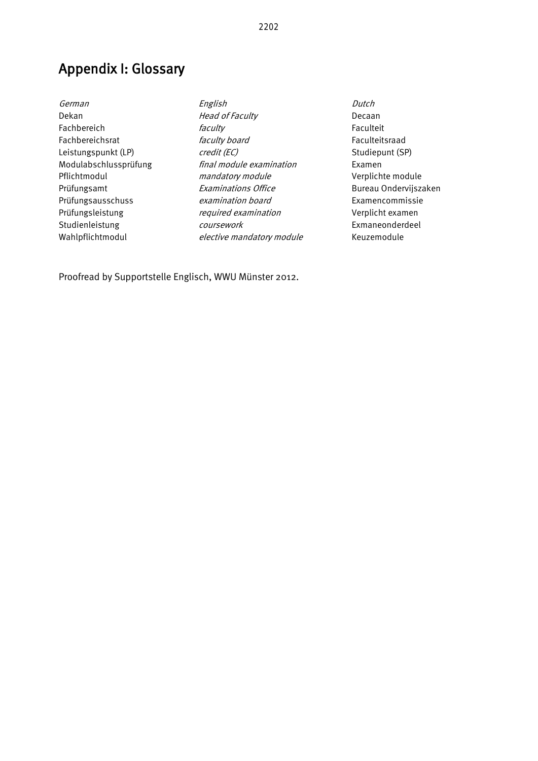Appendix I: Glossary

German English Dutch Dekan Decaan Head of Faculty Decaan Fachbereich *faculty faculty* Faculteit Fachbereichsrat *faculty board* Faculteitsraad Leistungspunkt (LP) **credit (EC)** Studiepunt (SP) Modulabschlussprüfung final module examination Examen Pflichtmodul mandatory module Verplichte module Prüfungsamt **Examinations Office** Bureau Ondervijszaken Prüfungsausschuss examination board Examencommissie Prüfungsleistung required examination Verplicht examen Studienleistung COUISEN COUISEN COUISEN COUISEN COUISEN Exmaneonderdeel Wahlpflichtmodul elective mandatory module Keuzemodule

Proofread by Supportstelle Englisch, WWU Münster 2012.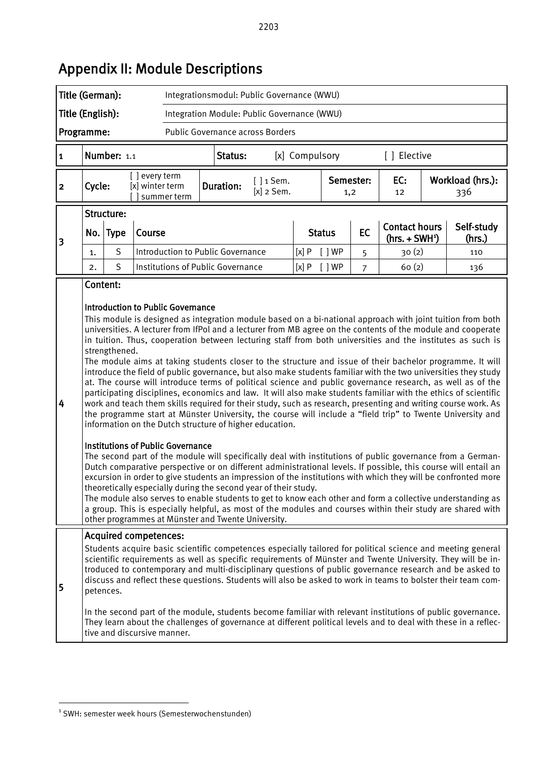| Title (German):                                                 |                                                                                                                                                                                                                                                                                                                                                                                                                                                                                                                                                                                                                                                                                                                                                                                                                                                                                                                                                                                                                                                                                                                                                                                                                                                                                                                                                                                                                                                                                                                                                                                                                                                                                                                                                                                                                                                                                                                                                                    |                                                                          |                                  |             | Integrationsmodul: Public Governance (WWU) |                             |      |               |                  |                          |  |                                                                                                                                                                                                                                                                                                                                                                                                                                                                                                                                                                                                                                                                                         |
|-----------------------------------------------------------------|--------------------------------------------------------------------------------------------------------------------------------------------------------------------------------------------------------------------------------------------------------------------------------------------------------------------------------------------------------------------------------------------------------------------------------------------------------------------------------------------------------------------------------------------------------------------------------------------------------------------------------------------------------------------------------------------------------------------------------------------------------------------------------------------------------------------------------------------------------------------------------------------------------------------------------------------------------------------------------------------------------------------------------------------------------------------------------------------------------------------------------------------------------------------------------------------------------------------------------------------------------------------------------------------------------------------------------------------------------------------------------------------------------------------------------------------------------------------------------------------------------------------------------------------------------------------------------------------------------------------------------------------------------------------------------------------------------------------------------------------------------------------------------------------------------------------------------------------------------------------------------------------------------------------------------------------------------------------|--------------------------------------------------------------------------|----------------------------------|-------------|--------------------------------------------|-----------------------------|------|---------------|------------------|--------------------------|--|-----------------------------------------------------------------------------------------------------------------------------------------------------------------------------------------------------------------------------------------------------------------------------------------------------------------------------------------------------------------------------------------------------------------------------------------------------------------------------------------------------------------------------------------------------------------------------------------------------------------------------------------------------------------------------------------|
| Title (English):<br>Integration Module: Public Governance (WWU) |                                                                                                                                                                                                                                                                                                                                                                                                                                                                                                                                                                                                                                                                                                                                                                                                                                                                                                                                                                                                                                                                                                                                                                                                                                                                                                                                                                                                                                                                                                                                                                                                                                                                                                                                                                                                                                                                                                                                                                    |                                                                          |                                  |             |                                            |                             |      |               |                  |                          |  |                                                                                                                                                                                                                                                                                                                                                                                                                                                                                                                                                                                                                                                                                         |
| Public Governance across Borders<br>Programme:                  |                                                                                                                                                                                                                                                                                                                                                                                                                                                                                                                                                                                                                                                                                                                                                                                                                                                                                                                                                                                                                                                                                                                                                                                                                                                                                                                                                                                                                                                                                                                                                                                                                                                                                                                                                                                                                                                                                                                                                                    |                                                                          |                                  |             |                                            |                             |      |               |                  |                          |  |                                                                                                                                                                                                                                                                                                                                                                                                                                                                                                                                                                                                                                                                                         |
| 1                                                               | Number: 1.1<br>[ ] Elective<br>Status:<br>[x] Compulsory                                                                                                                                                                                                                                                                                                                                                                                                                                                                                                                                                                                                                                                                                                                                                                                                                                                                                                                                                                                                                                                                                                                                                                                                                                                                                                                                                                                                                                                                                                                                                                                                                                                                                                                                                                                                                                                                                                           |                                                                          |                                  |             |                                            |                             |      |               |                  |                          |  |                                                                                                                                                                                                                                                                                                                                                                                                                                                                                                                                                                                                                                                                                         |
| $\overline{\mathbf{2}}$                                         | Cycle:                                                                                                                                                                                                                                                                                                                                                                                                                                                                                                                                                                                                                                                                                                                                                                                                                                                                                                                                                                                                                                                                                                                                                                                                                                                                                                                                                                                                                                                                                                                                                                                                                                                                                                                                                                                                                                                                                                                                                             |                                                                          | [] every term<br>[x] winter term | summer term | <b>Duration:</b>                           | $[]$ 1 Sem.<br>$[x]$ 2 Sem. |      |               | Semester:<br>1,2 | EC:<br>$12 \overline{ }$ |  | Workload (hrs.):<br>336                                                                                                                                                                                                                                                                                                                                                                                                                                                                                                                                                                                                                                                                 |
|                                                                 | No.                                                                                                                                                                                                                                                                                                                                                                                                                                                                                                                                                                                                                                                                                                                                                                                                                                                                                                                                                                                                                                                                                                                                                                                                                                                                                                                                                                                                                                                                                                                                                                                                                                                                                                                                                                                                                                                                                                                                                                | Structure:<br><b>Type</b>                                                | Course                           |             |                                            |                             |      | <b>Status</b> | <b>EC</b>        | <b>Contact hours</b>     |  | Self-study                                                                                                                                                                                                                                                                                                                                                                                                                                                                                                                                                                                                                                                                              |
| 3                                                               | 1.                                                                                                                                                                                                                                                                                                                                                                                                                                                                                                                                                                                                                                                                                                                                                                                                                                                                                                                                                                                                                                                                                                                                                                                                                                                                                                                                                                                                                                                                                                                                                                                                                                                                                                                                                                                                                                                                                                                                                                 | S                                                                        |                                  |             | Introduction to Public Governance          |                             | [x]P | [ ]WP         | 5                | $(hrs. + SWH1)$<br>30(2) |  | (hrs.)<br>110                                                                                                                                                                                                                                                                                                                                                                                                                                                                                                                                                                                                                                                                           |
|                                                                 | 2.                                                                                                                                                                                                                                                                                                                                                                                                                                                                                                                                                                                                                                                                                                                                                                                                                                                                                                                                                                                                                                                                                                                                                                                                                                                                                                                                                                                                                                                                                                                                                                                                                                                                                                                                                                                                                                                                                                                                                                 | S                                                                        |                                  |             |                                            |                             | [x]P | $[$ $]$ WP    | $\overline{7}$   | 60(2)                    |  | 136                                                                                                                                                                                                                                                                                                                                                                                                                                                                                                                                                                                                                                                                                     |
| 4                                                               | Institutions of Public Governance<br>Content:<br><b>Introduction to Public Governance</b><br>This module is designed as integration module based on a bi-national approach with joint tuition from both<br>universities. A lecturer from IfPol and a lecturer from MB agree on the contents of the module and cooperate<br>in tuition. Thus, cooperation between lecturing staff from both universities and the institutes as such is<br>strengthened.<br>The module aims at taking students closer to the structure and issue of their bachelor programme. It will<br>introduce the field of public governance, but also make students familiar with the two universities they study<br>at. The course will introduce terms of political science and public governance research, as well as of the<br>participating disciplines, economics and law. It will also make students familiar with the ethics of scientific<br>work and teach them skills required for their study, such as research, presenting and writing course work. As<br>the programme start at Münster University, the course will include a "field trip" to Twente University and<br>information on the Dutch structure of higher education.<br><b>Institutions of Public Governance</b><br>The second part of the module will specifically deal with institutions of public governance from a German-<br>Dutch comparative perspective or on different administrational levels. If possible, this course will entail an<br>excursion in order to give students an impression of the institutions with which they will be confronted more<br>theoretically especially during the second year of their study.<br>The module also serves to enable students to get to know each other and form a collective understanding as<br>a group. This is especially helpful, as most of the modules and courses within their study are shared with<br>other programmes at Münster and Twente University. |                                                                          |                                  |             |                                            |                             |      |               |                  |                          |  |                                                                                                                                                                                                                                                                                                                                                                                                                                                                                                                                                                                                                                                                                         |
| 5                                                               |                                                                                                                                                                                                                                                                                                                                                                                                                                                                                                                                                                                                                                                                                                                                                                                                                                                                                                                                                                                                                                                                                                                                                                                                                                                                                                                                                                                                                                                                                                                                                                                                                                                                                                                                                                                                                                                                                                                                                                    | <b>Acquired competences:</b><br>petences.<br>tive and discursive manner. |                                  |             |                                            |                             |      |               |                  |                          |  | Students acquire basic scientific competences especially tailored for political science and meeting general<br>scientific requirements as well as specific requirements of Münster and Twente University. They will be in-<br>troduced to contemporary and multi-disciplinary questions of public governance research and be asked to<br>discuss and reflect these questions. Students will also be asked to work in teams to bolster their team com-<br>In the second part of the module, students become familiar with relevant institutions of public governance.<br>They learn about the challenges of governance at different political levels and to deal with these in a reflec- |

# Appendix II: Module Descriptions

-

<span id="page-22-0"></span><sup>1</sup> SWH: semester week hours (Semesterwochenstunden)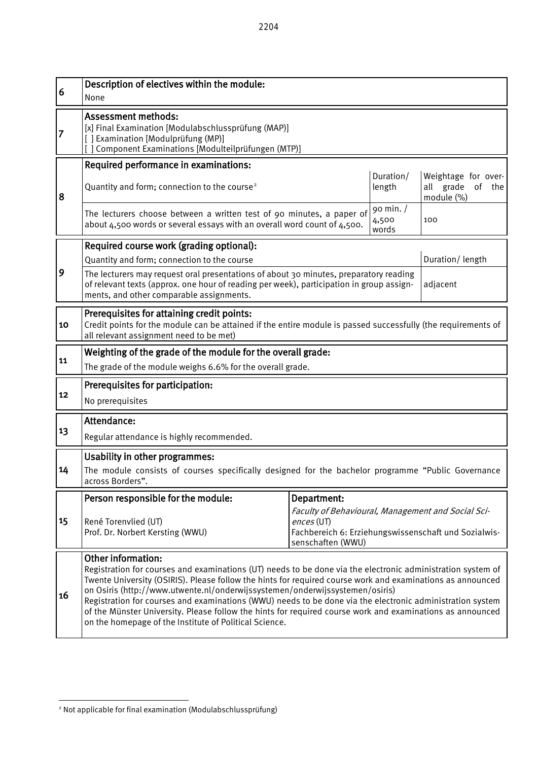| 6  | Description of electives within the module:<br>None                                                                                                                                                                                                                                                                                                                                                                                                                                                                                                                                                                        |                             |                     |                                                             |  |  |  |  |
|----|----------------------------------------------------------------------------------------------------------------------------------------------------------------------------------------------------------------------------------------------------------------------------------------------------------------------------------------------------------------------------------------------------------------------------------------------------------------------------------------------------------------------------------------------------------------------------------------------------------------------------|-----------------------------|---------------------|-------------------------------------------------------------|--|--|--|--|
| 7  | <b>Assessment methods:</b><br>[x] Final Examination [Modulabschlussprüfung (MAP)]<br>[] Examination [Modulprüfung (MP)]<br>Component Examinations [Modulteilprüfungen (MTP)]                                                                                                                                                                                                                                                                                                                                                                                                                                               |                             |                     |                                                             |  |  |  |  |
|    | Required performance in examinations:                                                                                                                                                                                                                                                                                                                                                                                                                                                                                                                                                                                      |                             |                     |                                                             |  |  |  |  |
| 8  | Quantity and form; connection to the course <sup>2</sup>                                                                                                                                                                                                                                                                                                                                                                                                                                                                                                                                                                   |                             | Duration/<br>length | Weightage for over-<br>all grade<br>of<br>the<br>module (%) |  |  |  |  |
|    | The lecturers choose between a written test of 90 minutes, a paper of<br>about 4,500 words or several essays with an overall word count of 4,500.                                                                                                                                                                                                                                                                                                                                                                                                                                                                          | 90 min. /<br>4,500<br>words | 100                 |                                                             |  |  |  |  |
|    | Required course work (grading optional):                                                                                                                                                                                                                                                                                                                                                                                                                                                                                                                                                                                   |                             |                     |                                                             |  |  |  |  |
|    | Quantity and form; connection to the course                                                                                                                                                                                                                                                                                                                                                                                                                                                                                                                                                                                |                             |                     | Duration/length                                             |  |  |  |  |
| 9  | The lecturers may request oral presentations of about 30 minutes, preparatory reading<br>of relevant texts (approx. one hour of reading per week), participation in group assign-<br>adjacent<br>ments, and other comparable assignments.                                                                                                                                                                                                                                                                                                                                                                                  |                             |                     |                                                             |  |  |  |  |
| 10 | Prerequisites for attaining credit points:<br>Credit points for the module can be attained if the entire module is passed successfully (the requirements of<br>all relevant assignment need to be met)                                                                                                                                                                                                                                                                                                                                                                                                                     |                             |                     |                                                             |  |  |  |  |
|    | Weighting of the grade of the module for the overall grade:                                                                                                                                                                                                                                                                                                                                                                                                                                                                                                                                                                |                             |                     |                                                             |  |  |  |  |
| 11 | The grade of the module weighs 6.6% for the overall grade.                                                                                                                                                                                                                                                                                                                                                                                                                                                                                                                                                                 |                             |                     |                                                             |  |  |  |  |
| 12 | Prerequisites for participation:<br>No prerequisites                                                                                                                                                                                                                                                                                                                                                                                                                                                                                                                                                                       |                             |                     |                                                             |  |  |  |  |
|    | Attendance:                                                                                                                                                                                                                                                                                                                                                                                                                                                                                                                                                                                                                |                             |                     |                                                             |  |  |  |  |
| 13 | Regular attendance is highly recommended.                                                                                                                                                                                                                                                                                                                                                                                                                                                                                                                                                                                  |                             |                     |                                                             |  |  |  |  |
| 14 | <b>Usability in other programmes:</b><br>The module consists of courses specifically designed for the bachelor programme "Public Governance<br>across Borders".                                                                                                                                                                                                                                                                                                                                                                                                                                                            |                             |                     |                                                             |  |  |  |  |
|    | Person responsible for the module:                                                                                                                                                                                                                                                                                                                                                                                                                                                                                                                                                                                         | Department:                 |                     |                                                             |  |  |  |  |
| 15 | Faculty of Behavioural, Management and Social Sci-<br>René Torenvlied (UT)<br>ences (UT)<br>Prof. Dr. Norbert Kersting (WWU)<br>Fachbereich 6: Erziehungswissenschaft und Sozialwis-<br>senschaften (WWU)                                                                                                                                                                                                                                                                                                                                                                                                                  |                             |                     |                                                             |  |  |  |  |
| 16 | <b>Other information:</b><br>Registration for courses and examinations (UT) needs to be done via the electronic administration system of<br>Twente University (OSIRIS). Please follow the hints for required course work and examinations as announced<br>on Osiris (http://www.utwente.nl/onderwijssystemen/onderwijssystemen/osiris)<br>Registration for courses and examinations (WWU) needs to be done via the electronic administration system<br>of the Münster University. Please follow the hints for required course work and examinations as announced<br>on the homepage of the Institute of Political Science. |                             |                     |                                                             |  |  |  |  |

<span id="page-23-0"></span> $\overline{a}$ <sup>2</sup> Not applicable for final examination (Modulabschlussprüfung)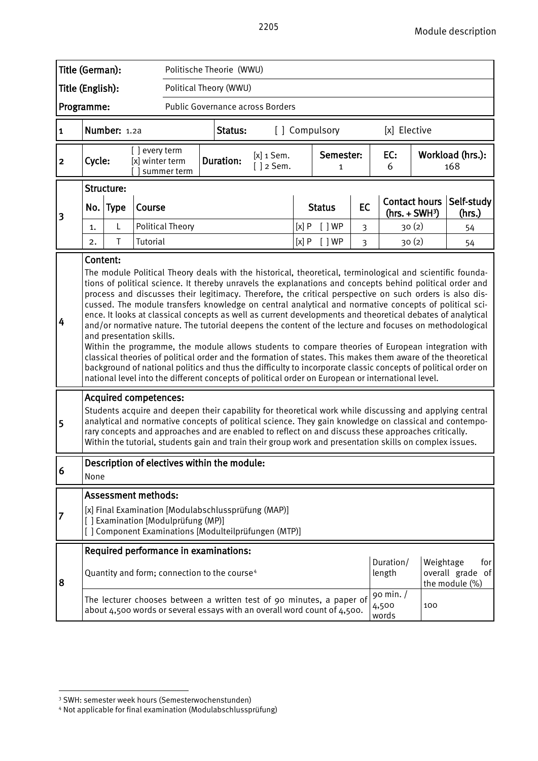| Title (German):                                       |                                                                                                                                                                                                                                                                                                                                                                                                                                                                                                                                                                                                                                                                                                                                                                                                                                                                                                                                                                                                                                                                                                                                                                                                                                                                                                                                                                                                                                                                                                                                                                                                                             |                        |                                  |                                                          |  | Politische Theorie (WWU) |                                                                                                                                                   |      |                |    |                             |                          |                                           |
|-------------------------------------------------------|-----------------------------------------------------------------------------------------------------------------------------------------------------------------------------------------------------------------------------------------------------------------------------------------------------------------------------------------------------------------------------------------------------------------------------------------------------------------------------------------------------------------------------------------------------------------------------------------------------------------------------------------------------------------------------------------------------------------------------------------------------------------------------------------------------------------------------------------------------------------------------------------------------------------------------------------------------------------------------------------------------------------------------------------------------------------------------------------------------------------------------------------------------------------------------------------------------------------------------------------------------------------------------------------------------------------------------------------------------------------------------------------------------------------------------------------------------------------------------------------------------------------------------------------------------------------------------------------------------------------------------|------------------------|----------------------------------|----------------------------------------------------------|--|--------------------------|---------------------------------------------------------------------------------------------------------------------------------------------------|------|----------------|----|-----------------------------|--------------------------|-------------------------------------------|
| Title (English):<br>Political Theory (WWU)            |                                                                                                                                                                                                                                                                                                                                                                                                                                                                                                                                                                                                                                                                                                                                                                                                                                                                                                                                                                                                                                                                                                                                                                                                                                                                                                                                                                                                                                                                                                                                                                                                                             |                        |                                  |                                                          |  |                          |                                                                                                                                                   |      |                |    |                             |                          |                                           |
| Programme:<br><b>Public Governance across Borders</b> |                                                                                                                                                                                                                                                                                                                                                                                                                                                                                                                                                                                                                                                                                                                                                                                                                                                                                                                                                                                                                                                                                                                                                                                                                                                                                                                                                                                                                                                                                                                                                                                                                             |                        |                                  |                                                          |  |                          |                                                                                                                                                   |      |                |    |                             |                          |                                           |
| $\mathbf{1}$                                          |                                                                                                                                                                                                                                                                                                                                                                                                                                                                                                                                                                                                                                                                                                                                                                                                                                                                                                                                                                                                                                                                                                                                                                                                                                                                                                                                                                                                                                                                                                                                                                                                                             | Number: 1.2a           |                                  |                                                          |  | Status:                  |                                                                                                                                                   |      | [] Compulsory  |    | [x] Elective                |                          |                                           |
| $\mathbf{2}$                                          | Cycle:                                                                                                                                                                                                                                                                                                                                                                                                                                                                                                                                                                                                                                                                                                                                                                                                                                                                                                                                                                                                                                                                                                                                                                                                                                                                                                                                                                                                                                                                                                                                                                                                                      |                        | [] every term<br>[x] winter term | summer term                                              |  | <b>Duration:</b>         | $[x]$ 1 Sem.<br>$[ ]$ 2 Sem.                                                                                                                      |      | Semester:<br>1 |    | EC:<br>6                    |                          | Workload (hrs.):<br>168                   |
|                                                       |                                                                                                                                                                                                                                                                                                                                                                                                                                                                                                                                                                                                                                                                                                                                                                                                                                                                                                                                                                                                                                                                                                                                                                                                                                                                                                                                                                                                                                                                                                                                                                                                                             | Structure:<br>No. Type | Course                           |                                                          |  |                          |                                                                                                                                                   |      | <b>Status</b>  | EC |                             | <b>Contact hours</b>     | Self-study                                |
| 3                                                     | 1.                                                                                                                                                                                                                                                                                                                                                                                                                                                                                                                                                                                                                                                                                                                                                                                                                                                                                                                                                                                                                                                                                                                                                                                                                                                                                                                                                                                                                                                                                                                                                                                                                          | L                      |                                  | <b>Political Theory</b>                                  |  |                          |                                                                                                                                                   | [x]P | [ ]WP          | 3  |                             | $(hrs. + SWH3)$<br>30(2) | (hrs.)<br>54                              |
|                                                       | 2.                                                                                                                                                                                                                                                                                                                                                                                                                                                                                                                                                                                                                                                                                                                                                                                                                                                                                                                                                                                                                                                                                                                                                                                                                                                                                                                                                                                                                                                                                                                                                                                                                          | Τ                      | Tutorial                         |                                                          |  |                          |                                                                                                                                                   | [x]P | [ ]WP          | 3  |                             | 30(2)                    | 54                                        |
| 4<br>5                                                | Content:<br>The module Political Theory deals with the historical, theoretical, terminological and scientific founda-<br>tions of political science. It thereby unravels the explanations and concepts behind political order and<br>process and discusses their legitimacy. Therefore, the critical perspective on such orders is also dis-<br>cussed. The module transfers knowledge on central analytical and normative concepts of political sci-<br>ence. It looks at classical concepts as well as current developments and theoretical debates of analytical<br>and/or normative nature. The tutorial deepens the content of the lecture and focuses on methodological<br>and presentation skills.<br>Within the programme, the module allows students to compare theories of European integration with<br>classical theories of political order and the formation of states. This makes them aware of the theoretical<br>background of national politics and thus the difficulty to incorporate classic concepts of political order on<br>national level into the different concepts of political order on European or international level.<br><b>Acquired competences:</b><br>Students acquire and deepen their capability for theoretical work while discussing and applying central<br>analytical and normative concepts of political science. They gain knowledge on classical and contempo-<br>rary concepts and approaches and are enabled to reflect on and discuss these approaches critically.<br>Within the tutorial, students gain and train their group work and presentation skills on complex issues. |                        |                                  |                                                          |  |                          |                                                                                                                                                   |      |                |    |                             |                          |                                           |
| 6                                                     | None                                                                                                                                                                                                                                                                                                                                                                                                                                                                                                                                                                                                                                                                                                                                                                                                                                                                                                                                                                                                                                                                                                                                                                                                                                                                                                                                                                                                                                                                                                                                                                                                                        |                        |                                  | Description of electives within the module:              |  |                          |                                                                                                                                                   |      |                |    |                             |                          |                                           |
| 7                                                     | <b>Assessment methods:</b><br>[x] Final Examination [Modulabschlussprüfung (MAP)]<br>[] Examination [Modulprüfung (MP)]<br>[] Component Examinations [Modulteilprüfungen (MTP)]                                                                                                                                                                                                                                                                                                                                                                                                                                                                                                                                                                                                                                                                                                                                                                                                                                                                                                                                                                                                                                                                                                                                                                                                                                                                                                                                                                                                                                             |                        |                                  |                                                          |  |                          |                                                                                                                                                   |      |                |    |                             |                          |                                           |
|                                                       |                                                                                                                                                                                                                                                                                                                                                                                                                                                                                                                                                                                                                                                                                                                                                                                                                                                                                                                                                                                                                                                                                                                                                                                                                                                                                                                                                                                                                                                                                                                                                                                                                             |                        |                                  | Required performance in examinations:                    |  |                          |                                                                                                                                                   |      |                |    |                             |                          |                                           |
| 8                                                     |                                                                                                                                                                                                                                                                                                                                                                                                                                                                                                                                                                                                                                                                                                                                                                                                                                                                                                                                                                                                                                                                                                                                                                                                                                                                                                                                                                                                                                                                                                                                                                                                                             |                        |                                  | Quantity and form; connection to the course <sup>4</sup> |  |                          |                                                                                                                                                   |      |                |    | Duration/<br>length         | Weightage                | for<br>overall grade of<br>the module (%) |
|                                                       |                                                                                                                                                                                                                                                                                                                                                                                                                                                                                                                                                                                                                                                                                                                                                                                                                                                                                                                                                                                                                                                                                                                                                                                                                                                                                                                                                                                                                                                                                                                                                                                                                             |                        |                                  |                                                          |  |                          | The lecturer chooses between a written test of 90 minutes, a paper of<br>about 4,500 words or several essays with an overall word count of 4,500. |      |                |    | 90 min. /<br>4,500<br>words | 100                      |                                           |

<span id="page-24-0"></span> 3 SWH: semester week hours (Semesterwochenstunden)

<span id="page-24-1"></span><sup>4</sup> Not applicable for final examination (Modulabschlussprüfung)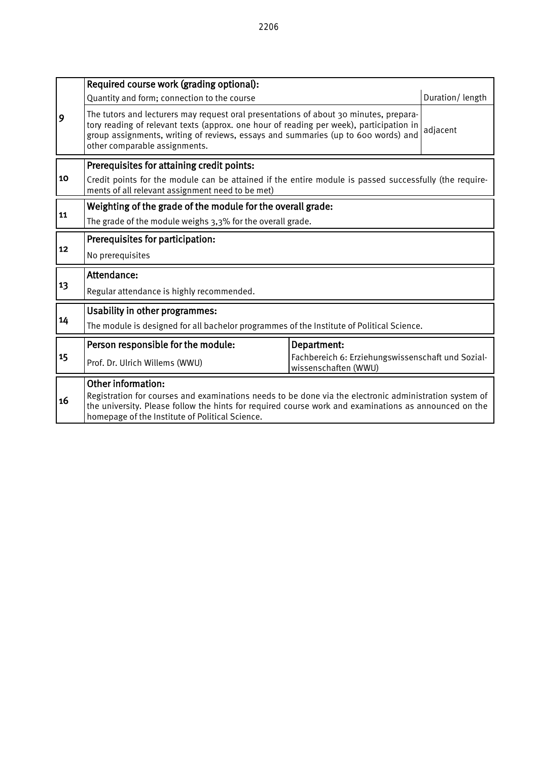|    | Required course work (grading optional):                                                                                                                                                                                                                                                                           |                                                                           |  |  |  |  |  |  |
|----|--------------------------------------------------------------------------------------------------------------------------------------------------------------------------------------------------------------------------------------------------------------------------------------------------------------------|---------------------------------------------------------------------------|--|--|--|--|--|--|
|    | Duration/length<br>Quantity and form; connection to the course                                                                                                                                                                                                                                                     |                                                                           |  |  |  |  |  |  |
| 9  | The tutors and lecturers may request oral presentations of about 30 minutes, prepara-<br>tory reading of relevant texts (approx. one hour of reading per week), participation in<br>adjacent<br>group assignments, writing of reviews, essays and summaries (up to 600 words) and<br>other comparable assignments. |                                                                           |  |  |  |  |  |  |
|    | Prerequisites for attaining credit points:                                                                                                                                                                                                                                                                         |                                                                           |  |  |  |  |  |  |
| 10 | Credit points for the module can be attained if the entire module is passed successfully (the require-<br>ments of all relevant assignment need to be met)                                                                                                                                                         |                                                                           |  |  |  |  |  |  |
|    | Weighting of the grade of the module for the overall grade:                                                                                                                                                                                                                                                        |                                                                           |  |  |  |  |  |  |
| 11 | The grade of the module weighs 3,3% for the overall grade.                                                                                                                                                                                                                                                         |                                                                           |  |  |  |  |  |  |
|    | Prerequisites for participation:                                                                                                                                                                                                                                                                                   |                                                                           |  |  |  |  |  |  |
| 12 | No prerequisites                                                                                                                                                                                                                                                                                                   |                                                                           |  |  |  |  |  |  |
|    | Attendance:                                                                                                                                                                                                                                                                                                        |                                                                           |  |  |  |  |  |  |
| 13 | Regular attendance is highly recommended.                                                                                                                                                                                                                                                                          |                                                                           |  |  |  |  |  |  |
|    | <b>Usability in other programmes:</b>                                                                                                                                                                                                                                                                              |                                                                           |  |  |  |  |  |  |
| 14 | The module is designed for all bachelor programmes of the Institute of Political Science.                                                                                                                                                                                                                          |                                                                           |  |  |  |  |  |  |
|    | Person responsible for the module:                                                                                                                                                                                                                                                                                 | Department:                                                               |  |  |  |  |  |  |
| 15 | Prof. Dr. Ulrich Willems (WWU)                                                                                                                                                                                                                                                                                     | Fachbereich 6: Erziehungswissenschaft und Sozial-<br>wissenschaften (WWU) |  |  |  |  |  |  |
|    | <b>Other information:</b>                                                                                                                                                                                                                                                                                          |                                                                           |  |  |  |  |  |  |
| 16 | Registration for courses and examinations needs to be done via the electronic administration system of<br>the university. Please follow the hints for required course work and examinations as announced on the<br>homepage of the Institute of Political Science.                                                 |                                                                           |  |  |  |  |  |  |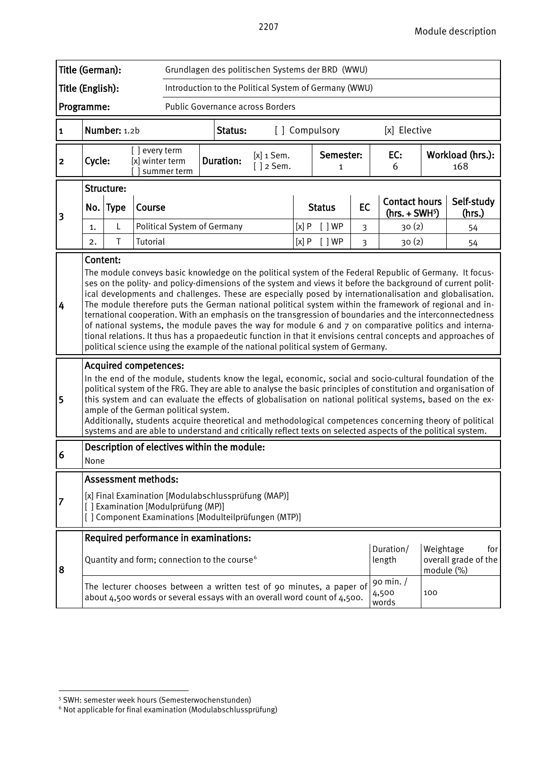| Title (German):<br>Grundlagen des politischen Systems der BRD (WWU) |                                                                                                                                                                                                                                                                                                                                                                                                                                                                                                                                                                                                                                              |             |                                  |                                    |                                                          |                                                                                                             |      |                |                |                                         |                         |                                                                                                                                                                                                                                                                                                                                                                                                                                                                                                                                                                                                                                                                                                                                                                                    |
|---------------------------------------------------------------------|----------------------------------------------------------------------------------------------------------------------------------------------------------------------------------------------------------------------------------------------------------------------------------------------------------------------------------------------------------------------------------------------------------------------------------------------------------------------------------------------------------------------------------------------------------------------------------------------------------------------------------------------|-------------|----------------------------------|------------------------------------|----------------------------------------------------------|-------------------------------------------------------------------------------------------------------------|------|----------------|----------------|-----------------------------------------|-------------------------|------------------------------------------------------------------------------------------------------------------------------------------------------------------------------------------------------------------------------------------------------------------------------------------------------------------------------------------------------------------------------------------------------------------------------------------------------------------------------------------------------------------------------------------------------------------------------------------------------------------------------------------------------------------------------------------------------------------------------------------------------------------------------------|
|                                                                     | Title (English):<br>Introduction to the Political System of Germany (WWU)                                                                                                                                                                                                                                                                                                                                                                                                                                                                                                                                                                    |             |                                  |                                    |                                                          |                                                                                                             |      |                |                |                                         |                         |                                                                                                                                                                                                                                                                                                                                                                                                                                                                                                                                                                                                                                                                                                                                                                                    |
| Programme:<br><b>Public Governance across Borders</b>               |                                                                                                                                                                                                                                                                                                                                                                                                                                                                                                                                                                                                                                              |             |                                  |                                    |                                                          |                                                                                                             |      |                |                |                                         |                         |                                                                                                                                                                                                                                                                                                                                                                                                                                                                                                                                                                                                                                                                                                                                                                                    |
| $\mathbf{1}$                                                        | Number: 1.2b<br>[x] Elective<br>Status:<br>[ ] Compulsory                                                                                                                                                                                                                                                                                                                                                                                                                                                                                                                                                                                    |             |                                  |                                    |                                                          |                                                                                                             |      |                |                |                                         |                         |                                                                                                                                                                                                                                                                                                                                                                                                                                                                                                                                                                                                                                                                                                                                                                                    |
| $\overline{\mathbf{2}}$                                             | Cycle:                                                                                                                                                                                                                                                                                                                                                                                                                                                                                                                                                                                                                                       |             | [] every term<br>[x] winter term | summer term                        | <b>Duration:</b>                                         | $[x]$ 1 Sem.<br>$[ ]$ 2 Sem.                                                                                |      | Semester:<br>1 |                | EC:<br>6                                |                         | Workload (hrs.):<br>168                                                                                                                                                                                                                                                                                                                                                                                                                                                                                                                                                                                                                                                                                                                                                            |
|                                                                     |                                                                                                                                                                                                                                                                                                                                                                                                                                                                                                                                                                                                                                              | Structure:  |                                  |                                    |                                                          |                                                                                                             |      |                |                |                                         |                         |                                                                                                                                                                                                                                                                                                                                                                                                                                                                                                                                                                                                                                                                                                                                                                                    |
| 3                                                                   | No.                                                                                                                                                                                                                                                                                                                                                                                                                                                                                                                                                                                                                                          | <b>Type</b> | Course                           |                                    |                                                          |                                                                                                             |      | <b>Status</b>  | <b>EC</b>      | <b>Contact hours</b><br>$(hrs. + SWH5)$ |                         | Self-study<br>(hrs.)                                                                                                                                                                                                                                                                                                                                                                                                                                                                                                                                                                                                                                                                                                                                                               |
|                                                                     | 1.                                                                                                                                                                                                                                                                                                                                                                                                                                                                                                                                                                                                                                           | L           |                                  |                                    | <b>Political System of Germany</b>                       |                                                                                                             | [x]P | [ ]WP          | 3              | 30(2)                                   |                         | 54                                                                                                                                                                                                                                                                                                                                                                                                                                                                                                                                                                                                                                                                                                                                                                                 |
|                                                                     | 2.                                                                                                                                                                                                                                                                                                                                                                                                                                                                                                                                                                                                                                           | Τ           | Tutorial                         |                                    |                                                          |                                                                                                             | [x]P | $[$ $]$ WP     | $\overline{3}$ | 30(2)                                   |                         | 54                                                                                                                                                                                                                                                                                                                                                                                                                                                                                                                                                                                                                                                                                                                                                                                 |
| 4                                                                   | Content:                                                                                                                                                                                                                                                                                                                                                                                                                                                                                                                                                                                                                                     |             |                                  |                                    |                                                          | political science using the example of the national political system of Germany.                            |      |                |                |                                         |                         | The module conveys basic knowledge on the political system of the Federal Republic of Germany. It focus-<br>ses on the polity- and policy-dimensions of the system and views it before the background of current polit-<br>ical developments and challenges. These are especially posed by internationalisation and globalisation.<br>The module therefore puts the German national political system within the framework of regional and in-<br>ternational cooperation. With an emphasis on the transgression of boundaries and the interconnectedness<br>of national systems, the module paves the way for module 6 and 7 on comparative politics and interna-<br>tional relations. It thus has a propaedeutic function in that it envisions central concepts and approaches of |
| 5                                                                   | <b>Acquired competences:</b><br>In the end of the module, students know the legal, economic, social and socio-cultural foundation of the<br>political system of the FRG. They are able to analyse the basic principles of constitution and organisation of<br>this system and can evaluate the effects of globalisation on national political systems, based on the ex-<br>ample of the German political system.<br>Additionally, students acquire theoretical and methodological competences concerning theory of political<br>systems and are able to understand and critically reflect texts on selected aspects of the political system. |             |                                  |                                    |                                                          |                                                                                                             |      |                |                |                                         |                         |                                                                                                                                                                                                                                                                                                                                                                                                                                                                                                                                                                                                                                                                                                                                                                                    |
| 6                                                                   | None                                                                                                                                                                                                                                                                                                                                                                                                                                                                                                                                                                                                                                         |             |                                  |                                    | Description of electives within the module:              |                                                                                                             |      |                |                |                                         |                         |                                                                                                                                                                                                                                                                                                                                                                                                                                                                                                                                                                                                                                                                                                                                                                                    |
|                                                                     |                                                                                                                                                                                                                                                                                                                                                                                                                                                                                                                                                                                                                                              |             | <b>Assessment methods:</b>       |                                    |                                                          |                                                                                                             |      |                |                |                                         |                         |                                                                                                                                                                                                                                                                                                                                                                                                                                                                                                                                                                                                                                                                                                                                                                                    |
| 7                                                                   |                                                                                                                                                                                                                                                                                                                                                                                                                                                                                                                                                                                                                                              |             |                                  | [] Examination [Modulprüfung (MP)] |                                                          | [x] Final Examination [Modulabschlussprüfung (MAP)]<br>[] Component Examinations [Modulteilprüfungen (MTP)] |      |                |                |                                         |                         |                                                                                                                                                                                                                                                                                                                                                                                                                                                                                                                                                                                                                                                                                                                                                                                    |
|                                                                     |                                                                                                                                                                                                                                                                                                                                                                                                                                                                                                                                                                                                                                              |             |                                  |                                    | Required performance in examinations:                    |                                                                                                             |      |                |                |                                         |                         |                                                                                                                                                                                                                                                                                                                                                                                                                                                                                                                                                                                                                                                                                                                                                                                    |
| 8                                                                   |                                                                                                                                                                                                                                                                                                                                                                                                                                                                                                                                                                                                                                              |             |                                  |                                    | Quantity and form; connection to the course <sup>6</sup> |                                                                                                             |      |                |                | Duration/<br>length                     | Weightage<br>module (%) | for<br>overall grade of the                                                                                                                                                                                                                                                                                                                                                                                                                                                                                                                                                                                                                                                                                                                                                        |
|                                                                     | The lecturer chooses between a written test of 90 minutes, a paper of<br>about 4,500 words or several essays with an overall word count of 4,500.                                                                                                                                                                                                                                                                                                                                                                                                                                                                                            |             |                                  |                                    |                                                          |                                                                                                             |      |                |                | 90 min. /<br>4,500<br>words             | 100                     |                                                                                                                                                                                                                                                                                                                                                                                                                                                                                                                                                                                                                                                                                                                                                                                    |

<span id="page-26-0"></span><sup>-</sup><sup>5</sup> SWH: semester week hours (Semesterwochenstunden)

<span id="page-26-1"></span> $6$  Not applicable for final examination (Modulabschlussprüfung)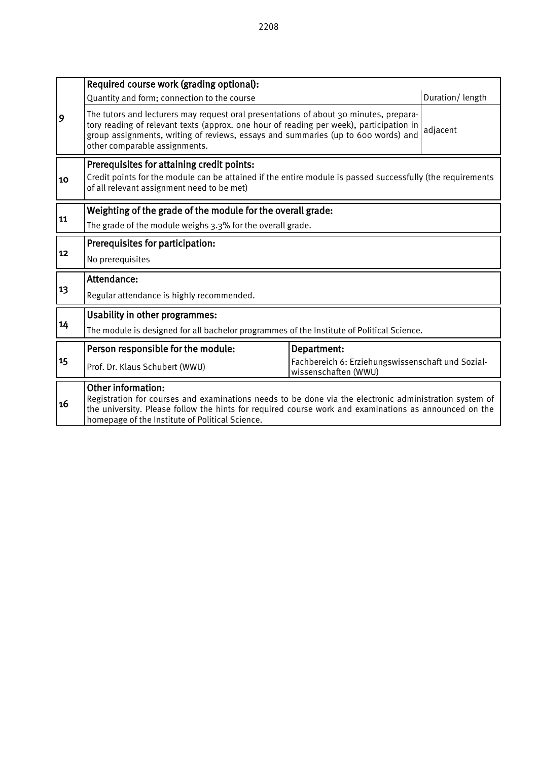|    | Required course work (grading optional):                                                                                                                                                                                                                                                                           |                                                                           |  |  |  |  |  |  |  |
|----|--------------------------------------------------------------------------------------------------------------------------------------------------------------------------------------------------------------------------------------------------------------------------------------------------------------------|---------------------------------------------------------------------------|--|--|--|--|--|--|--|
|    | Duration/length<br>Quantity and form; connection to the course                                                                                                                                                                                                                                                     |                                                                           |  |  |  |  |  |  |  |
| 9  | The tutors and lecturers may request oral presentations of about 30 minutes, prepara-<br>tory reading of relevant texts (approx. one hour of reading per week), participation in<br>adjacent<br>group assignments, writing of reviews, essays and summaries (up to 600 words) and<br>other comparable assignments. |                                                                           |  |  |  |  |  |  |  |
|    | Prerequisites for attaining credit points:                                                                                                                                                                                                                                                                         |                                                                           |  |  |  |  |  |  |  |
| 10 | Credit points for the module can be attained if the entire module is passed successfully (the requirements<br>of all relevant assignment need to be met)                                                                                                                                                           |                                                                           |  |  |  |  |  |  |  |
|    | Weighting of the grade of the module for the overall grade:                                                                                                                                                                                                                                                        |                                                                           |  |  |  |  |  |  |  |
| 11 | The grade of the module weighs 3.3% for the overall grade.                                                                                                                                                                                                                                                         |                                                                           |  |  |  |  |  |  |  |
|    | Prerequisites for participation:                                                                                                                                                                                                                                                                                   |                                                                           |  |  |  |  |  |  |  |
| 12 | No prerequisites                                                                                                                                                                                                                                                                                                   |                                                                           |  |  |  |  |  |  |  |
|    | Attendance:                                                                                                                                                                                                                                                                                                        |                                                                           |  |  |  |  |  |  |  |
| 13 | Regular attendance is highly recommended.                                                                                                                                                                                                                                                                          |                                                                           |  |  |  |  |  |  |  |
|    | <b>Usability in other programmes:</b>                                                                                                                                                                                                                                                                              |                                                                           |  |  |  |  |  |  |  |
| 14 | The module is designed for all bachelor programmes of the Institute of Political Science.                                                                                                                                                                                                                          |                                                                           |  |  |  |  |  |  |  |
|    | Person responsible for the module:                                                                                                                                                                                                                                                                                 | Department:                                                               |  |  |  |  |  |  |  |
| 15 | Prof. Dr. Klaus Schubert (WWU)                                                                                                                                                                                                                                                                                     | Fachbereich 6: Erziehungswissenschaft und Sozial-<br>wissenschaften (WWU) |  |  |  |  |  |  |  |
| 16 | <b>Other information:</b><br>Registration for courses and examinations needs to be done via the electronic administration system of<br>the university. Please follow the hints for required course work and examinations as announced on the<br>homepage of the Institute of Political Science.                    |                                                                           |  |  |  |  |  |  |  |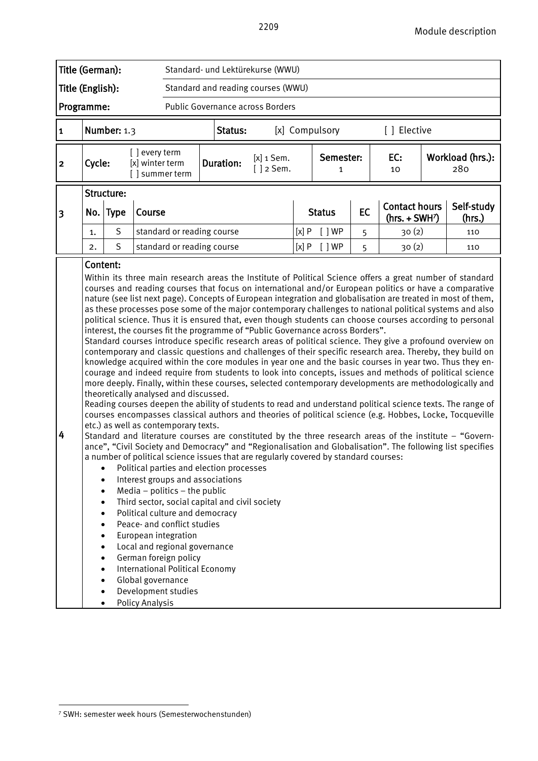

 $\overline{a}$ 

<span id="page-28-0"></span><sup>7</sup> SWH: semester week hours (Semesterwochenstunden)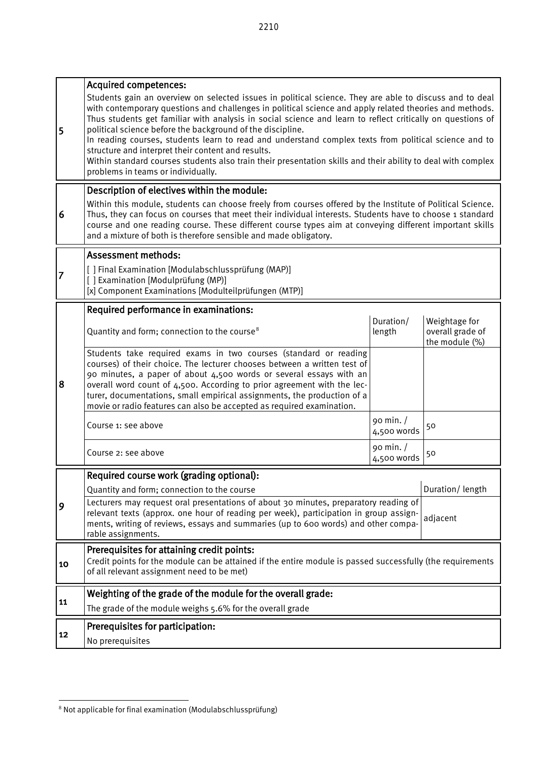| Students gain an overview on selected issues in political science. They are able to discuss and to deal<br>with contemporary questions and challenges in political science and apply related theories and methods.<br>Thus students get familiar with analysis in social science and learn to reflect critically on questions of<br>political science before the background of the discipline.<br>5<br>In reading courses, students learn to read and understand complex texts from political science and to<br>structure and interpret their content and results.<br>Within standard courses students also train their presentation skills and their ability to deal with complex<br>problems in teams or individually.<br>Description of electives within the module:<br>Within this module, students can choose freely from courses offered by the Institute of Political Science.<br>6<br>Thus, they can focus on courses that meet their individual interests. Students have to choose 1 standard<br>course and one reading course. These different course types aim at conveying different important skills<br>and a mixture of both is therefore sensible and made obligatory.<br><b>Assessment methods:</b><br>[ ] Final Examination [Modulabschlussprüfung (MAP)]<br>7<br>[] Examination [Modulprüfung (MP)]<br>[x] Component Examinations [Modulteilprüfungen (MTP)]<br>Required performance in examinations:<br>Duration/<br>Weightage for<br>overall grade of<br>Quantity and form; connection to the course <sup>8</sup><br>length<br>the module (%)<br>Students take required exams in two courses (standard or reading<br>courses) of their choice. The lecturer chooses between a written test of<br>90 minutes, a paper of about 4,500 words or several essays with an<br>8<br>overall word count of 4,500. According to prior agreement with the lec-<br>turer, documentations, small empirical assignments, the production of a<br>movie or radio features can also be accepted as required examination.<br>90 min. $/$<br>Course 1: see above<br>50<br>4,500 words<br>90 min. /<br>Course 2: see above<br>50<br>4,500 words<br>Required course work (grading optional):<br>Duration/length<br>Quantity and form; connection to the course<br>Lecturers may request oral presentations of about 30 minutes, preparatory reading of<br>9<br>relevant texts (approx. one hour of reading per week), participation in group assign-<br>adjacent<br>ments, writing of reviews, essays and summaries (up to 600 words) and other compa-<br>rable assignments.<br>Prerequisites for attaining credit points:<br>Credit points for the module can be attained if the entire module is passed successfully (the requirements<br>10<br>of all relevant assignment need to be met)<br>Weighting of the grade of the module for the overall grade:<br>11<br>The grade of the module weighs 5.6% for the overall grade<br>Prerequisites for participation:<br>12<br>No prerequisites | <b>Acquired competences:</b> |  |  |  |  |  |  |  |  |
|---------------------------------------------------------------------------------------------------------------------------------------------------------------------------------------------------------------------------------------------------------------------------------------------------------------------------------------------------------------------------------------------------------------------------------------------------------------------------------------------------------------------------------------------------------------------------------------------------------------------------------------------------------------------------------------------------------------------------------------------------------------------------------------------------------------------------------------------------------------------------------------------------------------------------------------------------------------------------------------------------------------------------------------------------------------------------------------------------------------------------------------------------------------------------------------------------------------------------------------------------------------------------------------------------------------------------------------------------------------------------------------------------------------------------------------------------------------------------------------------------------------------------------------------------------------------------------------------------------------------------------------------------------------------------------------------------------------------------------------------------------------------------------------------------------------------------------------------------------------------------------------------------------------------------------------------------------------------------------------------------------------------------------------------------------------------------------------------------------------------------------------------------------------------------------------------------------------------------------------------------------------------------------------------------------------------------------------------------------------------------------------------------------------------------------------------------------------------------------------------------------------------------------------------------------------------------------------------------------------------------------------------------------------------------------------------------------------------------------------------------------------------------------------------------------------------------------------------------------------------------------------------------------------------------------------------------------------------------------------------|------------------------------|--|--|--|--|--|--|--|--|
|                                                                                                                                                                                                                                                                                                                                                                                                                                                                                                                                                                                                                                                                                                                                                                                                                                                                                                                                                                                                                                                                                                                                                                                                                                                                                                                                                                                                                                                                                                                                                                                                                                                                                                                                                                                                                                                                                                                                                                                                                                                                                                                                                                                                                                                                                                                                                                                                                                                                                                                                                                                                                                                                                                                                                                                                                                                                                                                                                                                             |                              |  |  |  |  |  |  |  |  |
|                                                                                                                                                                                                                                                                                                                                                                                                                                                                                                                                                                                                                                                                                                                                                                                                                                                                                                                                                                                                                                                                                                                                                                                                                                                                                                                                                                                                                                                                                                                                                                                                                                                                                                                                                                                                                                                                                                                                                                                                                                                                                                                                                                                                                                                                                                                                                                                                                                                                                                                                                                                                                                                                                                                                                                                                                                                                                                                                                                                             |                              |  |  |  |  |  |  |  |  |
|                                                                                                                                                                                                                                                                                                                                                                                                                                                                                                                                                                                                                                                                                                                                                                                                                                                                                                                                                                                                                                                                                                                                                                                                                                                                                                                                                                                                                                                                                                                                                                                                                                                                                                                                                                                                                                                                                                                                                                                                                                                                                                                                                                                                                                                                                                                                                                                                                                                                                                                                                                                                                                                                                                                                                                                                                                                                                                                                                                                             |                              |  |  |  |  |  |  |  |  |
|                                                                                                                                                                                                                                                                                                                                                                                                                                                                                                                                                                                                                                                                                                                                                                                                                                                                                                                                                                                                                                                                                                                                                                                                                                                                                                                                                                                                                                                                                                                                                                                                                                                                                                                                                                                                                                                                                                                                                                                                                                                                                                                                                                                                                                                                                                                                                                                                                                                                                                                                                                                                                                                                                                                                                                                                                                                                                                                                                                                             |                              |  |  |  |  |  |  |  |  |
|                                                                                                                                                                                                                                                                                                                                                                                                                                                                                                                                                                                                                                                                                                                                                                                                                                                                                                                                                                                                                                                                                                                                                                                                                                                                                                                                                                                                                                                                                                                                                                                                                                                                                                                                                                                                                                                                                                                                                                                                                                                                                                                                                                                                                                                                                                                                                                                                                                                                                                                                                                                                                                                                                                                                                                                                                                                                                                                                                                                             |                              |  |  |  |  |  |  |  |  |
|                                                                                                                                                                                                                                                                                                                                                                                                                                                                                                                                                                                                                                                                                                                                                                                                                                                                                                                                                                                                                                                                                                                                                                                                                                                                                                                                                                                                                                                                                                                                                                                                                                                                                                                                                                                                                                                                                                                                                                                                                                                                                                                                                                                                                                                                                                                                                                                                                                                                                                                                                                                                                                                                                                                                                                                                                                                                                                                                                                                             |                              |  |  |  |  |  |  |  |  |
|                                                                                                                                                                                                                                                                                                                                                                                                                                                                                                                                                                                                                                                                                                                                                                                                                                                                                                                                                                                                                                                                                                                                                                                                                                                                                                                                                                                                                                                                                                                                                                                                                                                                                                                                                                                                                                                                                                                                                                                                                                                                                                                                                                                                                                                                                                                                                                                                                                                                                                                                                                                                                                                                                                                                                                                                                                                                                                                                                                                             |                              |  |  |  |  |  |  |  |  |
|                                                                                                                                                                                                                                                                                                                                                                                                                                                                                                                                                                                                                                                                                                                                                                                                                                                                                                                                                                                                                                                                                                                                                                                                                                                                                                                                                                                                                                                                                                                                                                                                                                                                                                                                                                                                                                                                                                                                                                                                                                                                                                                                                                                                                                                                                                                                                                                                                                                                                                                                                                                                                                                                                                                                                                                                                                                                                                                                                                                             |                              |  |  |  |  |  |  |  |  |
|                                                                                                                                                                                                                                                                                                                                                                                                                                                                                                                                                                                                                                                                                                                                                                                                                                                                                                                                                                                                                                                                                                                                                                                                                                                                                                                                                                                                                                                                                                                                                                                                                                                                                                                                                                                                                                                                                                                                                                                                                                                                                                                                                                                                                                                                                                                                                                                                                                                                                                                                                                                                                                                                                                                                                                                                                                                                                                                                                                                             |                              |  |  |  |  |  |  |  |  |
|                                                                                                                                                                                                                                                                                                                                                                                                                                                                                                                                                                                                                                                                                                                                                                                                                                                                                                                                                                                                                                                                                                                                                                                                                                                                                                                                                                                                                                                                                                                                                                                                                                                                                                                                                                                                                                                                                                                                                                                                                                                                                                                                                                                                                                                                                                                                                                                                                                                                                                                                                                                                                                                                                                                                                                                                                                                                                                                                                                                             |                              |  |  |  |  |  |  |  |  |
|                                                                                                                                                                                                                                                                                                                                                                                                                                                                                                                                                                                                                                                                                                                                                                                                                                                                                                                                                                                                                                                                                                                                                                                                                                                                                                                                                                                                                                                                                                                                                                                                                                                                                                                                                                                                                                                                                                                                                                                                                                                                                                                                                                                                                                                                                                                                                                                                                                                                                                                                                                                                                                                                                                                                                                                                                                                                                                                                                                                             |                              |  |  |  |  |  |  |  |  |
|                                                                                                                                                                                                                                                                                                                                                                                                                                                                                                                                                                                                                                                                                                                                                                                                                                                                                                                                                                                                                                                                                                                                                                                                                                                                                                                                                                                                                                                                                                                                                                                                                                                                                                                                                                                                                                                                                                                                                                                                                                                                                                                                                                                                                                                                                                                                                                                                                                                                                                                                                                                                                                                                                                                                                                                                                                                                                                                                                                                             |                              |  |  |  |  |  |  |  |  |
|                                                                                                                                                                                                                                                                                                                                                                                                                                                                                                                                                                                                                                                                                                                                                                                                                                                                                                                                                                                                                                                                                                                                                                                                                                                                                                                                                                                                                                                                                                                                                                                                                                                                                                                                                                                                                                                                                                                                                                                                                                                                                                                                                                                                                                                                                                                                                                                                                                                                                                                                                                                                                                                                                                                                                                                                                                                                                                                                                                                             |                              |  |  |  |  |  |  |  |  |
|                                                                                                                                                                                                                                                                                                                                                                                                                                                                                                                                                                                                                                                                                                                                                                                                                                                                                                                                                                                                                                                                                                                                                                                                                                                                                                                                                                                                                                                                                                                                                                                                                                                                                                                                                                                                                                                                                                                                                                                                                                                                                                                                                                                                                                                                                                                                                                                                                                                                                                                                                                                                                                                                                                                                                                                                                                                                                                                                                                                             |                              |  |  |  |  |  |  |  |  |
|                                                                                                                                                                                                                                                                                                                                                                                                                                                                                                                                                                                                                                                                                                                                                                                                                                                                                                                                                                                                                                                                                                                                                                                                                                                                                                                                                                                                                                                                                                                                                                                                                                                                                                                                                                                                                                                                                                                                                                                                                                                                                                                                                                                                                                                                                                                                                                                                                                                                                                                                                                                                                                                                                                                                                                                                                                                                                                                                                                                             |                              |  |  |  |  |  |  |  |  |
|                                                                                                                                                                                                                                                                                                                                                                                                                                                                                                                                                                                                                                                                                                                                                                                                                                                                                                                                                                                                                                                                                                                                                                                                                                                                                                                                                                                                                                                                                                                                                                                                                                                                                                                                                                                                                                                                                                                                                                                                                                                                                                                                                                                                                                                                                                                                                                                                                                                                                                                                                                                                                                                                                                                                                                                                                                                                                                                                                                                             |                              |  |  |  |  |  |  |  |  |
|                                                                                                                                                                                                                                                                                                                                                                                                                                                                                                                                                                                                                                                                                                                                                                                                                                                                                                                                                                                                                                                                                                                                                                                                                                                                                                                                                                                                                                                                                                                                                                                                                                                                                                                                                                                                                                                                                                                                                                                                                                                                                                                                                                                                                                                                                                                                                                                                                                                                                                                                                                                                                                                                                                                                                                                                                                                                                                                                                                                             |                              |  |  |  |  |  |  |  |  |
|                                                                                                                                                                                                                                                                                                                                                                                                                                                                                                                                                                                                                                                                                                                                                                                                                                                                                                                                                                                                                                                                                                                                                                                                                                                                                                                                                                                                                                                                                                                                                                                                                                                                                                                                                                                                                                                                                                                                                                                                                                                                                                                                                                                                                                                                                                                                                                                                                                                                                                                                                                                                                                                                                                                                                                                                                                                                                                                                                                                             |                              |  |  |  |  |  |  |  |  |

<span id="page-29-0"></span> $\overline{a}$ <sup>8</sup> Not applicable for final examination (Modulabschlussprüfung)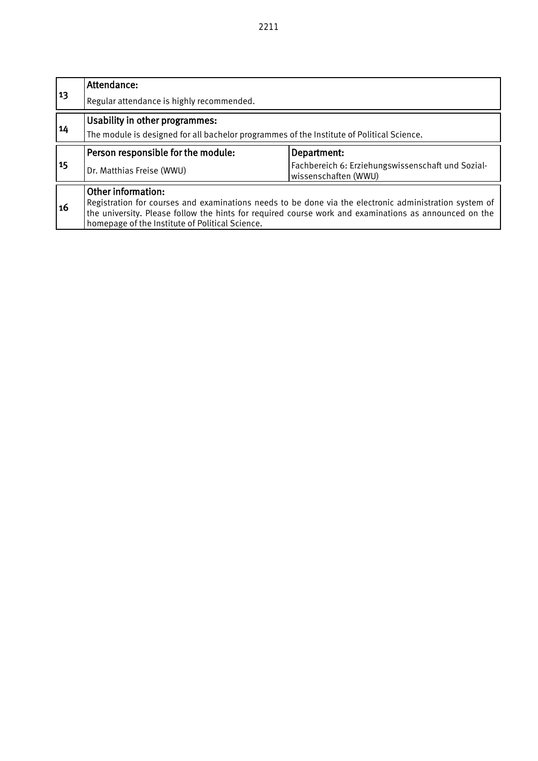| 13        | Attendance:                                                                                                                                              |             |  |  |  |  |  |  |  |  |
|-----------|----------------------------------------------------------------------------------------------------------------------------------------------------------|-------------|--|--|--|--|--|--|--|--|
|           | Regular attendance is highly recommended.                                                                                                                |             |  |  |  |  |  |  |  |  |
| 14        | Usability in other programmes:                                                                                                                           |             |  |  |  |  |  |  |  |  |
|           | The module is designed for all bachelor programmes of the Institute of Political Science.                                                                |             |  |  |  |  |  |  |  |  |
|           | Person responsible for the module:                                                                                                                       | Department: |  |  |  |  |  |  |  |  |
| 15        | Fachbereich 6: Erziehungswissenschaft und Sozial-<br>Dr. Matthias Freise (WWU)<br>wissenschaften (WWU)                                                   |             |  |  |  |  |  |  |  |  |
|           | Other information:                                                                                                                                       |             |  |  |  |  |  |  |  |  |
| <b>16</b> | Registration for courses and examinations needs to be done via the electronic administration system of                                                   |             |  |  |  |  |  |  |  |  |
|           | the university. Please follow the hints for required course work and examinations as announced on the<br>homepage of the Institute of Political Science. |             |  |  |  |  |  |  |  |  |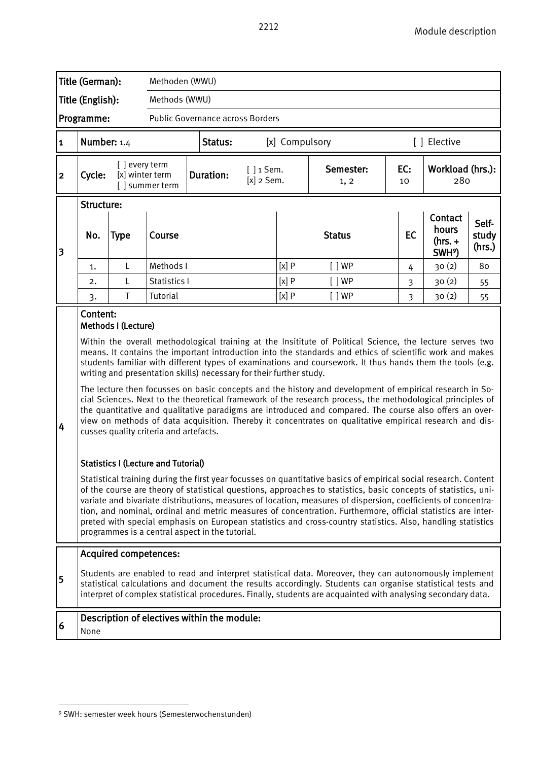| Title (German):         |                                                                                                                                                                                                                                                                                                                                                                                                                                                                                                                                                                                                                                                                                                                                                                                                                                                                                                                                                                                                                                                                                                                                                                                                                                                                                                                                                                                                                                                                                                                                                                                                                    |                                  | Methoden (WWU)                   |                  |                              |                |                   |                |                                                     |                          |  |  |
|-------------------------|--------------------------------------------------------------------------------------------------------------------------------------------------------------------------------------------------------------------------------------------------------------------------------------------------------------------------------------------------------------------------------------------------------------------------------------------------------------------------------------------------------------------------------------------------------------------------------------------------------------------------------------------------------------------------------------------------------------------------------------------------------------------------------------------------------------------------------------------------------------------------------------------------------------------------------------------------------------------------------------------------------------------------------------------------------------------------------------------------------------------------------------------------------------------------------------------------------------------------------------------------------------------------------------------------------------------------------------------------------------------------------------------------------------------------------------------------------------------------------------------------------------------------------------------------------------------------------------------------------------------|----------------------------------|----------------------------------|------------------|------------------------------|----------------|-------------------|----------------|-----------------------------------------------------|--------------------------|--|--|
| Title (English):        |                                                                                                                                                                                                                                                                                                                                                                                                                                                                                                                                                                                                                                                                                                                                                                                                                                                                                                                                                                                                                                                                                                                                                                                                                                                                                                                                                                                                                                                                                                                                                                                                                    | Methods (WWU)                    |                                  |                  |                              |                |                   |                |                                                     |                          |  |  |
| Programme:              |                                                                                                                                                                                                                                                                                                                                                                                                                                                                                                                                                                                                                                                                                                                                                                                                                                                                                                                                                                                                                                                                                                                                                                                                                                                                                                                                                                                                                                                                                                                                                                                                                    |                                  | Public Governance across Borders |                  |                              |                |                   |                |                                                     |                          |  |  |
| $\mathbf{1}$            | Number: $1.4$                                                                                                                                                                                                                                                                                                                                                                                                                                                                                                                                                                                                                                                                                                                                                                                                                                                                                                                                                                                                                                                                                                                                                                                                                                                                                                                                                                                                                                                                                                                                                                                                      |                                  |                                  | Status:          |                              | [x] Compulsory |                   |                | [ ] Elective                                        |                          |  |  |
| $\overline{\mathbf{c}}$ | Cycle:                                                                                                                                                                                                                                                                                                                                                                                                                                                                                                                                                                                                                                                                                                                                                                                                                                                                                                                                                                                                                                                                                                                                                                                                                                                                                                                                                                                                                                                                                                                                                                                                             | [] every term<br>[x] winter term | [] summer term                   | <b>Duration:</b> | $[ ] 1$ Sem.<br>$[x]$ 2 Sem. |                | Semester:<br>1, 2 | EC:<br>10      |                                                     | Workload (hrs.):<br>280  |  |  |
| 3                       | Structure:<br>No.                                                                                                                                                                                                                                                                                                                                                                                                                                                                                                                                                                                                                                                                                                                                                                                                                                                                                                                                                                                                                                                                                                                                                                                                                                                                                                                                                                                                                                                                                                                                                                                                  | <b>Type</b>                      | Course                           |                  |                              |                | <b>Status</b>     | <b>EC</b>      | Contact<br>hours<br>$(hrs. +$<br>SWH <sup>9</sup> ) | Self-<br>study<br>(hrs.) |  |  |
|                         | 1.                                                                                                                                                                                                                                                                                                                                                                                                                                                                                                                                                                                                                                                                                                                                                                                                                                                                                                                                                                                                                                                                                                                                                                                                                                                                                                                                                                                                                                                                                                                                                                                                                 | L                                | Methods I                        |                  |                              | [x]P           | [ ]WP             | 4              | 30(2)                                               | 80                       |  |  |
|                         | 2.                                                                                                                                                                                                                                                                                                                                                                                                                                                                                                                                                                                                                                                                                                                                                                                                                                                                                                                                                                                                                                                                                                                                                                                                                                                                                                                                                                                                                                                                                                                                                                                                                 | L                                | Statistics I                     |                  |                              | [x]P           | [ ]WP             | $\overline{3}$ | 30(2)                                               | 55                       |  |  |
|                         | 3.<br>Content:                                                                                                                                                                                                                                                                                                                                                                                                                                                                                                                                                                                                                                                                                                                                                                                                                                                                                                                                                                                                                                                                                                                                                                                                                                                                                                                                                                                                                                                                                                                                                                                                     | T                                | Tutorial                         |                  |                              | [x]P           | [ ]WP             | $\overline{3}$ | 30(2)                                               | 55                       |  |  |
| 4                       | Methods I (Lecture)<br>Within the overall methodological training at the Insititute of Political Science, the lecture serves two<br>means. It contains the important introduction into the standards and ethics of scientific work and makes<br>students familiar with different types of examinations and coursework. It thus hands them the tools (e.g.<br>writing and presentation skills) necessary for their further study.<br>The lecture then focusses on basic concepts and the history and development of empirical research in So-<br>cial Sciences. Next to the theoretical framework of the research process, the methodological principles of<br>the quantitative and qualitative paradigms are introduced and compared. The course also offers an over-<br>view on methods of data acquisition. Thereby it concentrates on qualitative empirical research and dis-<br>cusses quality criteria and artefacts.<br><b>Statistics I (Lecture and Tutorial)</b><br>Statistical training during the first year focusses on quantitative basics of empirical social research. Content<br>of the course are theory of statistical questions, approaches to statistics, basic concepts of statistics, uni-<br>variate and bivariate distributions, measures of location, measures of dispersion, coefficients of concentra-<br>tion, and nominal, ordinal and metric measures of concentration. Furthermore, official statistics are inter-<br>preted with special emphasis on European statistics and cross-country statistics. Also, handling statistics<br>programmes is a central aspect in the tutorial. |                                  |                                  |                  |                              |                |                   |                |                                                     |                          |  |  |
| 5                       | <b>Acquired competences:</b><br>Students are enabled to read and interpret statistical data. Moreover, they can autonomously implement<br>statistical calculations and document the results accordingly. Students can organise statistical tests and<br>interpret of complex statistical procedures. Finally, students are acquainted with analysing secondary data.                                                                                                                                                                                                                                                                                                                                                                                                                                                                                                                                                                                                                                                                                                                                                                                                                                                                                                                                                                                                                                                                                                                                                                                                                                               |                                  |                                  |                  |                              |                |                   |                |                                                     |                          |  |  |
| 6                       | Description of electives within the module:<br>None                                                                                                                                                                                                                                                                                                                                                                                                                                                                                                                                                                                                                                                                                                                                                                                                                                                                                                                                                                                                                                                                                                                                                                                                                                                                                                                                                                                                                                                                                                                                                                |                                  |                                  |                  |                              |                |                   |                |                                                     |                          |  |  |

<span id="page-31-0"></span> $\overline{a}$ <sup>9</sup> SWH: semester week hours (Semesterwochenstunden)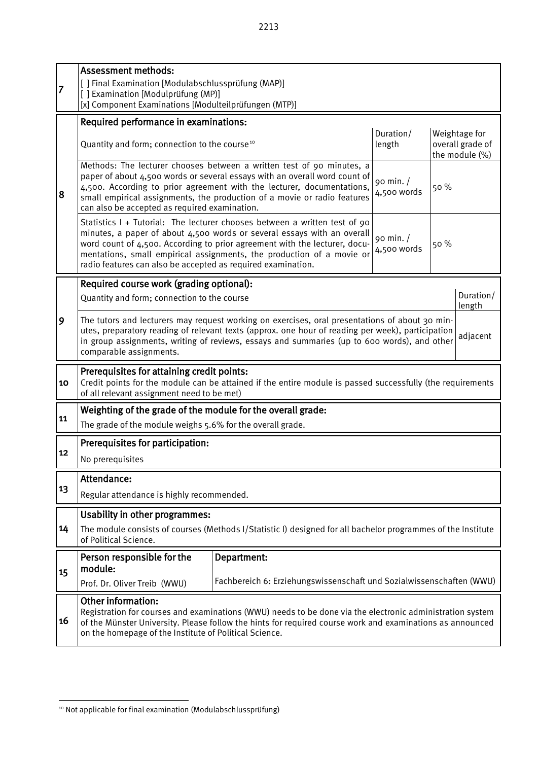|    | <b>Assessment methods:</b>                                                                                                                                                                                                                                                                                                                                                   |                                 |      |                                                     |                     |  |  |  |  |  |  |
|----|------------------------------------------------------------------------------------------------------------------------------------------------------------------------------------------------------------------------------------------------------------------------------------------------------------------------------------------------------------------------------|---------------------------------|------|-----------------------------------------------------|---------------------|--|--|--|--|--|--|
| 7  | [ ] Final Examination [Modulabschlussprüfung (MAP)]<br>[] Examination [Modulprüfung (MP)]                                                                                                                                                                                                                                                                                    |                                 |      |                                                     |                     |  |  |  |  |  |  |
|    | [x] Component Examinations [Modulteilprüfungen (MTP)]                                                                                                                                                                                                                                                                                                                        |                                 |      |                                                     |                     |  |  |  |  |  |  |
|    | Required performance in examinations:                                                                                                                                                                                                                                                                                                                                        |                                 |      |                                                     |                     |  |  |  |  |  |  |
|    | Quantity and form; connection to the course <sup>10</sup>                                                                                                                                                                                                                                                                                                                    | Duration/<br>length             |      | Weightage for<br>overall grade of<br>the module (%) |                     |  |  |  |  |  |  |
| 8  | Methods: The lecturer chooses between a written test of 90 minutes, a<br>paper of about 4,500 words or several essays with an overall word count of<br>4,500. According to prior agreement with the lecturer, documentations,<br>small empirical assignments, the production of a movie or radio features<br>can also be accepted as required examination.                   | 90 min. /<br>50%<br>4,500 words |      |                                                     |                     |  |  |  |  |  |  |
|    | Statistics I + Tutorial: The lecturer chooses between a written test of 90<br>minutes, a paper of about 4,500 words or several essays with an overall<br>word count of 4,500. According to prior agreement with the lecturer, docu-<br>mentations, small empirical assignments, the production of a movie or<br>radio features can also be accepted as required examination. | 90 min. /<br>4,500 words        | 50 % |                                                     |                     |  |  |  |  |  |  |
|    | Required course work (grading optional):                                                                                                                                                                                                                                                                                                                                     |                                 |      |                                                     |                     |  |  |  |  |  |  |
|    | Quantity and form; connection to the course                                                                                                                                                                                                                                                                                                                                  |                                 |      |                                                     | Duration/<br>length |  |  |  |  |  |  |
| 9  | The tutors and lecturers may request working on exercises, oral presentations of about 30 min-<br>utes, preparatory reading of relevant texts (approx. one hour of reading per week), participation<br>adjacent<br>in group assignments, writing of reviews, essays and summaries (up to 600 words), and other<br>comparable assignments.                                    |                                 |      |                                                     |                     |  |  |  |  |  |  |
| 10 | Prerequisites for attaining credit points:<br>Credit points for the module can be attained if the entire module is passed successfully (the requirements<br>of all relevant assignment need to be met)                                                                                                                                                                       |                                 |      |                                                     |                     |  |  |  |  |  |  |
|    | Weighting of the grade of the module for the overall grade:                                                                                                                                                                                                                                                                                                                  |                                 |      |                                                     |                     |  |  |  |  |  |  |
| 11 | The grade of the module weighs 5.6% for the overall grade.                                                                                                                                                                                                                                                                                                                   |                                 |      |                                                     |                     |  |  |  |  |  |  |
|    | Prerequisites for participation:                                                                                                                                                                                                                                                                                                                                             |                                 |      |                                                     |                     |  |  |  |  |  |  |
| 12 | No prerequisites                                                                                                                                                                                                                                                                                                                                                             |                                 |      |                                                     |                     |  |  |  |  |  |  |
|    | Attendance:                                                                                                                                                                                                                                                                                                                                                                  |                                 |      |                                                     |                     |  |  |  |  |  |  |
| 13 | Regular attendance is highly recommended.                                                                                                                                                                                                                                                                                                                                    |                                 |      |                                                     |                     |  |  |  |  |  |  |
|    | <b>Usability in other programmes:</b>                                                                                                                                                                                                                                                                                                                                        |                                 |      |                                                     |                     |  |  |  |  |  |  |
| 14 | The module consists of courses (Methods I/Statistic I) designed for all bachelor programmes of the Institute<br>of Political Science.                                                                                                                                                                                                                                        |                                 |      |                                                     |                     |  |  |  |  |  |  |
|    | Person responsible for the<br>Department:<br>module:                                                                                                                                                                                                                                                                                                                         |                                 |      |                                                     |                     |  |  |  |  |  |  |
| 15 | Fachbereich 6: Erziehungswissenschaft und Sozialwissenschaften (WWU)<br>Prof. Dr. Oliver Treib (WWU)                                                                                                                                                                                                                                                                         |                                 |      |                                                     |                     |  |  |  |  |  |  |
| 16 | Other information:<br>Registration for courses and examinations (WWU) needs to be done via the electronic administration system<br>of the Münster University. Please follow the hints for required course work and examinations as announced<br>on the homepage of the Institute of Political Science.                                                                       |                                 |      |                                                     |                     |  |  |  |  |  |  |
|    |                                                                                                                                                                                                                                                                                                                                                                              |                                 |      |                                                     |                     |  |  |  |  |  |  |

<span id="page-32-0"></span> $\overline{a}$ <sup>10</sup> Not applicable for final examination (Modulabschlussprüfung)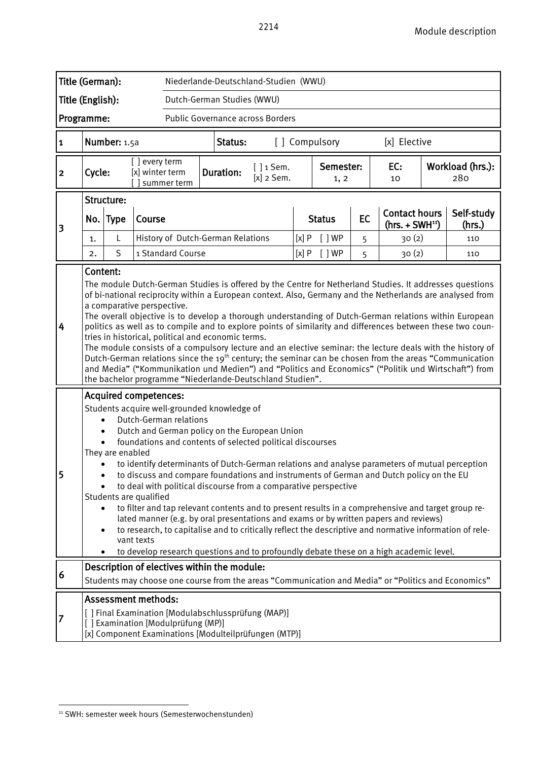| Title (German):<br>Niederlande-Deutschland-Studien (WWU) |                                                                                                                                                                                                                                                                                                                                                                                                                                                                                                                                                                                                                                                                                                                                                                                                                                                                                                                                                       |              |                                  |                                             |                                          |                                                  |  |               |  |                   |                                          |           |                      |                         |
|----------------------------------------------------------|-------------------------------------------------------------------------------------------------------------------------------------------------------------------------------------------------------------------------------------------------------------------------------------------------------------------------------------------------------------------------------------------------------------------------------------------------------------------------------------------------------------------------------------------------------------------------------------------------------------------------------------------------------------------------------------------------------------------------------------------------------------------------------------------------------------------------------------------------------------------------------------------------------------------------------------------------------|--------------|----------------------------------|---------------------------------------------|------------------------------------------|--------------------------------------------------|--|---------------|--|-------------------|------------------------------------------|-----------|----------------------|-------------------------|
| Title (English):<br>Dutch-German Studies (WWU)           |                                                                                                                                                                                                                                                                                                                                                                                                                                                                                                                                                                                                                                                                                                                                                                                                                                                                                                                                                       |              |                                  |                                             |                                          |                                                  |  |               |  |                   |                                          |           |                      |                         |
| Public Governance across Borders<br>Programme:           |                                                                                                                                                                                                                                                                                                                                                                                                                                                                                                                                                                                                                                                                                                                                                                                                                                                                                                                                                       |              |                                  |                                             |                                          |                                                  |  |               |  |                   |                                          |           |                      |                         |
| $\mathbf{1}$                                             |                                                                                                                                                                                                                                                                                                                                                                                                                                                                                                                                                                                                                                                                                                                                                                                                                                                                                                                                                       | Number: 1.5a |                                  |                                             | Status:<br>[] Compulsory<br>[x] Elective |                                                  |  |               |  |                   |                                          |           |                      |                         |
| $\mathbf{2}$                                             | Cycle:                                                                                                                                                                                                                                                                                                                                                                                                                                                                                                                                                                                                                                                                                                                                                                                                                                                                                                                                                |              | [] every term<br>[x] winter term | summer term                                 |                                          | $[ ] 1$ Sem.<br><b>Duration:</b><br>$[x]$ 2 Sem. |  |               |  | Semester:<br>1, 2 |                                          | EC:<br>10 |                      | Workload (hrs.):<br>280 |
| 3                                                        | Structure:<br>Course<br>No. Type                                                                                                                                                                                                                                                                                                                                                                                                                                                                                                                                                                                                                                                                                                                                                                                                                                                                                                                      |              |                                  |                                             |                                          |                                                  |  | <b>Status</b> |  | EC                | <b>Contact hours</b><br>$(hrs. + SWH11)$ |           | Self-study<br>(hrs.) |                         |
|                                                          | 1.                                                                                                                                                                                                                                                                                                                                                                                                                                                                                                                                                                                                                                                                                                                                                                                                                                                                                                                                                    | L            |                                  | History of Dutch-German Relations           |                                          |                                                  |  | [x]P          |  | [ ]WP             | 5                                        | 30(2)     |                      | 110                     |
|                                                          | 2.                                                                                                                                                                                                                                                                                                                                                                                                                                                                                                                                                                                                                                                                                                                                                                                                                                                                                                                                                    | S            |                                  | 1 Standard Course                           |                                          |                                                  |  | [x]P          |  | [ ]WP             | 5                                        | 30(2)     |                      | 110                     |
| 4                                                        | Content:<br>The module Dutch-German Studies is offered by the Centre for Netherland Studies. It addresses questions<br>of bi-national reciprocity within a European context. Also, Germany and the Netherlands are analysed from<br>a comparative perspective.<br>The overall objective is to develop a thorough understanding of Dutch-German relations within European<br>politics as well as to compile and to explore points of similarity and differences between these two coun-<br>tries in historical, political and economic terms.<br>The module consists of a compulsory lecture and an elective seminar: the lecture deals with the history of<br>Dutch-German relations since the 19 <sup>th</sup> century; the seminar can be chosen from the areas "Communication<br>and Media" ("Kommunikation und Medien") and "Politics and Economics" ("Politik und Wirtschaft") from<br>the bachelor programme "Niederlande-Deutschland Studien". |              |                                  |                                             |                                          |                                                  |  |               |  |                   |                                          |           |                      |                         |
| 5                                                        | <b>Acquired competences:</b><br>Students acquire well-grounded knowledge of<br>Dutch-German relations<br>$\bullet$<br>Dutch and German policy on the European Union<br>$\bullet$<br>foundations and contents of selected political discourses<br>They are enabled<br>to identify determinants of Dutch-German relations and analyse parameters of mutual perception<br>$\bullet$<br>to discuss and compare foundations and instruments of German and Dutch policy on the EU<br>to deal with political discourse from a comparative perspective<br>Students are qualified<br>to filter and tap relevant contents and to present results in a comprehensive and target group re-<br>$\bullet$<br>lated manner (e.g. by oral presentations and exams or by written papers and reviews)<br>to research, to capitalise and to critically reflect the descriptive and normative information of rele-<br>$\bullet$<br>vant texts                             |              |                                  |                                             |                                          |                                                  |  |               |  |                   |                                          |           |                      |                         |
| 6                                                        |                                                                                                                                                                                                                                                                                                                                                                                                                                                                                                                                                                                                                                                                                                                                                                                                                                                                                                                                                       |              |                                  | Description of electives within the module: |                                          |                                                  |  |               |  |                   |                                          |           |                      |                         |
| 7                                                        | Students may choose one course from the areas "Communication and Media" or "Politics and Economics"<br><b>Assessment methods:</b><br>[ ] Final Examination [Modulabschlussprüfung (MAP)]<br>[] Examination [Modulprüfung (MP)]<br>[x] Component Examinations [Modulteilprüfungen (MTP)]                                                                                                                                                                                                                                                                                                                                                                                                                                                                                                                                                                                                                                                               |              |                                  |                                             |                                          |                                                  |  |               |  |                   |                                          |           |                      |                         |

<span id="page-33-0"></span> $\overline{a}$ <sup>11</sup> SWH: semester week hours (Semesterwochenstunden)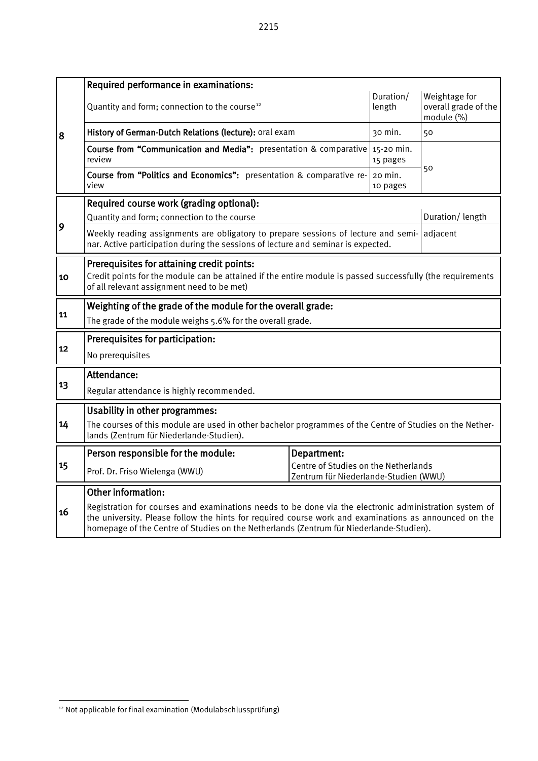8 Required performance in examinations: Quantity and form; connection to the course<sup>[12](#page-34-0)</sup> Duration/ length Weightage for overall grade of the module (%) History of German-Dutch Relations (lecture): oral exam  $\vert$  30 min.  $\vert$  50 Course from "Communication and Media": presentation & comparative review 15-20 min. 15 pages 50 Course from "Politics and Economics": presentation & comparative re-<br>view view view 20 min. **10 pages** and the contract of the contract of the contract of the contract of the contract of the contract of the contract of the contract of the contract of the contract of the contract of the contract of the contract of 9 Required course work (grading optional): Quantity and form; connection to the course during the contraction of the course during puration/ length Weekly reading assignments are obligatory to prepare sessions of lecture and seminar. Active participation during the sessions of lecture and seminar is expected. adjacent 10 Prerequisites for attaining credit points: Credit points for the module can be attained if the entire module is passed successfully (the requirements of all relevant assignment need to be met) 11 Weighting of the grade of the module for the overall grade: The grade of the module weighs 5.6% for the overall grade. **Prerequisites for participation:** No prerequisites 13 **Attendance:** Regular attendance is highly recommended. 14 Usability in other programmes: The courses of this module are used in other bachelor programmes of the Centre of Studies on the Netherlands (Zentrum für Niederlande-Studien). 15 Person responsible for the module: Department: Prof. Dr. Friso Wielenga (WWU) Centre of Studies on the Netherlands Zentrum für Niederlande-Studien (WWU) 16 Other information: Registration for courses and examinations needs to be done via the electronic administration system of the university. Please follow the hints for required course work and examinations as announced on the homepage of the Centre of Studies on the Netherlands (Zentrum für Niederlande-Studien).

<span id="page-34-0"></span> $\overline{a}$ <sup>12</sup> Not applicable for final examination (Modulabschlussprüfung)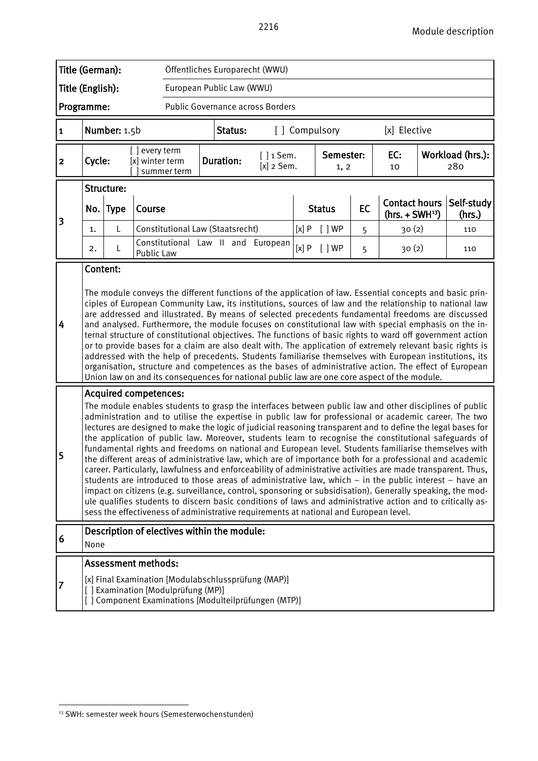| Title (German):<br>Öffentliches Europarecht (WWU)                                                                                                                                                                                                                                                                                                                                                                                                                                                                                                                                                                                                                                                                                                                                                                                                                                                                                                                                    |                                                                                                                                                                                                                                                                                                                                                                                                                                                                                                                                                                                                                                                                                                                                                                                                                                                                                                                                                                                                                                                                                                                                                                                                                                            |              |                                  |                                             |  |                                                  |                                    |                   |               |    |                                          |     |                         |
|--------------------------------------------------------------------------------------------------------------------------------------------------------------------------------------------------------------------------------------------------------------------------------------------------------------------------------------------------------------------------------------------------------------------------------------------------------------------------------------------------------------------------------------------------------------------------------------------------------------------------------------------------------------------------------------------------------------------------------------------------------------------------------------------------------------------------------------------------------------------------------------------------------------------------------------------------------------------------------------|--------------------------------------------------------------------------------------------------------------------------------------------------------------------------------------------------------------------------------------------------------------------------------------------------------------------------------------------------------------------------------------------------------------------------------------------------------------------------------------------------------------------------------------------------------------------------------------------------------------------------------------------------------------------------------------------------------------------------------------------------------------------------------------------------------------------------------------------------------------------------------------------------------------------------------------------------------------------------------------------------------------------------------------------------------------------------------------------------------------------------------------------------------------------------------------------------------------------------------------------|--------------|----------------------------------|---------------------------------------------|--|--------------------------------------------------|------------------------------------|-------------------|---------------|----|------------------------------------------|-----|-------------------------|
| Title (English):<br>European Public Law (WWU)                                                                                                                                                                                                                                                                                                                                                                                                                                                                                                                                                                                                                                                                                                                                                                                                                                                                                                                                        |                                                                                                                                                                                                                                                                                                                                                                                                                                                                                                                                                                                                                                                                                                                                                                                                                                                                                                                                                                                                                                                                                                                                                                                                                                            |              |                                  |                                             |  |                                                  |                                    |                   |               |    |                                          |     |                         |
| Programme:<br>Public Governance across Borders                                                                                                                                                                                                                                                                                                                                                                                                                                                                                                                                                                                                                                                                                                                                                                                                                                                                                                                                       |                                                                                                                                                                                                                                                                                                                                                                                                                                                                                                                                                                                                                                                                                                                                                                                                                                                                                                                                                                                                                                                                                                                                                                                                                                            |              |                                  |                                             |  |                                                  |                                    |                   |               |    |                                          |     |                         |
| 1                                                                                                                                                                                                                                                                                                                                                                                                                                                                                                                                                                                                                                                                                                                                                                                                                                                                                                                                                                                    |                                                                                                                                                                                                                                                                                                                                                                                                                                                                                                                                                                                                                                                                                                                                                                                                                                                                                                                                                                                                                                                                                                                                                                                                                                            | Number: 1.5b |                                  |                                             |  | Status:                                          |                                    |                   | [] Compulsory |    | [x] Elective                             |     |                         |
| $\overline{\mathbf{2}}$                                                                                                                                                                                                                                                                                                                                                                                                                                                                                                                                                                                                                                                                                                                                                                                                                                                                                                                                                              | Cycle:                                                                                                                                                                                                                                                                                                                                                                                                                                                                                                                                                                                                                                                                                                                                                                                                                                                                                                                                                                                                                                                                                                                                                                                                                                     |              | [] every term<br>[x] winter term | summer term                                 |  | $[ ] 1$ Sem.<br><b>Duration:</b><br>$[x]$ 2 Sem. |                                    | Semester:<br>1, 2 |               |    | EC:<br>10                                |     | Workload (hrs.):<br>280 |
|                                                                                                                                                                                                                                                                                                                                                                                                                                                                                                                                                                                                                                                                                                                                                                                                                                                                                                                                                                                      |                                                                                                                                                                                                                                                                                                                                                                                                                                                                                                                                                                                                                                                                                                                                                                                                                                                                                                                                                                                                                                                                                                                                                                                                                                            | Structure:   |                                  |                                             |  |                                                  |                                    |                   |               |    |                                          |     |                         |
| 3                                                                                                                                                                                                                                                                                                                                                                                                                                                                                                                                                                                                                                                                                                                                                                                                                                                                                                                                                                                    |                                                                                                                                                                                                                                                                                                                                                                                                                                                                                                                                                                                                                                                                                                                                                                                                                                                                                                                                                                                                                                                                                                                                                                                                                                            | No. Type     | Course                           |                                             |  |                                                  |                                    | <b>Status</b>     |               | EC | <b>Contact hours</b><br>$(hrs. + SWH13)$ |     | Self-study<br>(hrs.)    |
|                                                                                                                                                                                                                                                                                                                                                                                                                                                                                                                                                                                                                                                                                                                                                                                                                                                                                                                                                                                      | 1.                                                                                                                                                                                                                                                                                                                                                                                                                                                                                                                                                                                                                                                                                                                                                                                                                                                                                                                                                                                                                                                                                                                                                                                                                                         | L            |                                  | Constitutional Law (Staatsrecht)            |  |                                                  |                                    | [x]P              | $[$ $]$ WP    | 5  | 30(2)                                    |     | 110                     |
|                                                                                                                                                                                                                                                                                                                                                                                                                                                                                                                                                                                                                                                                                                                                                                                                                                                                                                                                                                                      | 2.                                                                                                                                                                                                                                                                                                                                                                                                                                                                                                                                                                                                                                                                                                                                                                                                                                                                                                                                                                                                                                                                                                                                                                                                                                         | L            | Public Law                       |                                             |  |                                                  | Constitutional Law II and European | [x]P              | [ ]WP         | 5  | 30(2)                                    | 110 |                         |
| The module conveys the different functions of the application of law. Essential concepts and basic prin-<br>ciples of European Community Law, its institutions, sources of law and the relationship to national law<br>are addressed and illustrated. By means of selected precedents fundamental freedoms are discussed<br>4<br>and analysed. Furthermore, the module focuses on constitutional law with special emphasis on the in-<br>ternal structure of constitutional objectives. The functions of basic rights to ward off government action<br>or to provide bases for a claim are also dealt with. The application of extremely relevant basic rights is<br>addressed with the help of precedents. Students familiarise themselves with European institutions, its<br>organisation, structure and competences as the bases of administrative action. The effect of European<br>Union law on and its consequences for national public law are one core aspect of the module. |                                                                                                                                                                                                                                                                                                                                                                                                                                                                                                                                                                                                                                                                                                                                                                                                                                                                                                                                                                                                                                                                                                                                                                                                                                            |              |                                  |                                             |  |                                                  |                                    |                   |               |    |                                          |     |                         |
| 5                                                                                                                                                                                                                                                                                                                                                                                                                                                                                                                                                                                                                                                                                                                                                                                                                                                                                                                                                                                    | <b>Acquired competences:</b><br>The module enables students to grasp the interfaces between public law and other disciplines of public<br>administration and to utilise the expertise in public law for professional or academic career. The two<br>lectures are designed to make the logic of judicial reasoning transparent and to define the legal bases for<br>the application of public law. Moreover, students learn to recognise the constitutional safeguards of<br>fundamental rights and freedoms on national and European level. Students familiarise themselves with<br>the different areas of administrative law, which are of importance both for a professional and academic<br>career. Particularly, lawfulness and enforceability of administrative activities are made transparent. Thus,<br>students are introduced to those areas of administrative law, which - in the public interest - have an<br>impact on citizens (e.g. surveillance, control, sponsoring or subsidisation). Generally speaking, the mod-<br>ule qualifies students to discern basic conditions of laws and administrative action and to critically as-<br>sess the effectiveness of administrative requirements at national and European level. |              |                                  |                                             |  |                                                  |                                    |                   |               |    |                                          |     |                         |
| 6                                                                                                                                                                                                                                                                                                                                                                                                                                                                                                                                                                                                                                                                                                                                                                                                                                                                                                                                                                                    | None                                                                                                                                                                                                                                                                                                                                                                                                                                                                                                                                                                                                                                                                                                                                                                                                                                                                                                                                                                                                                                                                                                                                                                                                                                       |              |                                  | Description of electives within the module: |  |                                                  |                                    |                   |               |    |                                          |     |                         |
|                                                                                                                                                                                                                                                                                                                                                                                                                                                                                                                                                                                                                                                                                                                                                                                                                                                                                                                                                                                      | <b>Assessment methods:</b><br>[x] Final Examination [Modulabschlussprüfung (MAP)]<br>[] Examination [Modulprüfung (MP)]<br>[ ] Component Examinations [Modulteilprüfungen (MTP)]                                                                                                                                                                                                                                                                                                                                                                                                                                                                                                                                                                                                                                                                                                                                                                                                                                                                                                                                                                                                                                                           |              |                                  |                                             |  |                                                  |                                    |                   |               |    |                                          |     |                         |

<span id="page-35-0"></span> $\overline{a}$ <sup>13</sup> SWH: semester week hours (Semesterwochenstunden)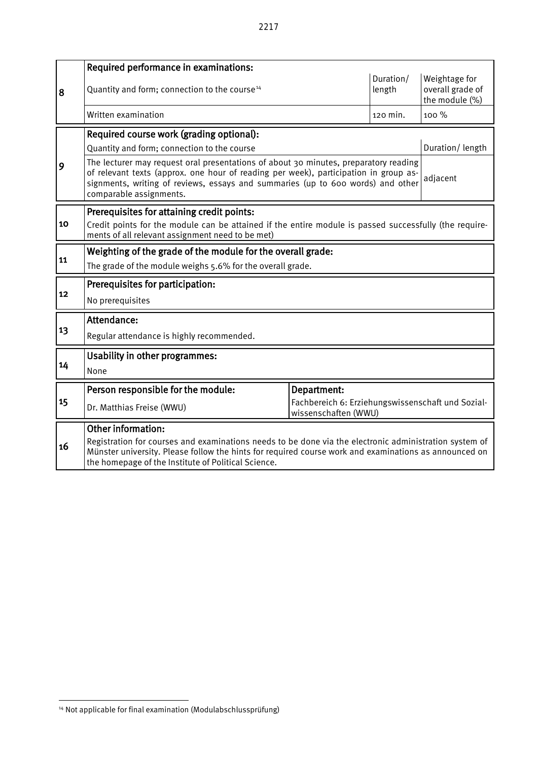|    | Required performance in examinations:                                                                                                                                                                                                                                                        |             |                     |                                                     |  |  |  |  |  |
|----|----------------------------------------------------------------------------------------------------------------------------------------------------------------------------------------------------------------------------------------------------------------------------------------------|-------------|---------------------|-----------------------------------------------------|--|--|--|--|--|
| 8  | Quantity and form; connection to the course <sup>14</sup>                                                                                                                                                                                                                                    |             | Duration/<br>length | Weightage for<br>overall grade of<br>the module (%) |  |  |  |  |  |
|    | Written examination                                                                                                                                                                                                                                                                          |             | 120 min.            | 100 %                                               |  |  |  |  |  |
|    | Required course work (grading optional):                                                                                                                                                                                                                                                     |             |                     |                                                     |  |  |  |  |  |
|    | Quantity and form; connection to the course                                                                                                                                                                                                                                                  |             |                     | Duration/length                                     |  |  |  |  |  |
| 9  | The lecturer may request oral presentations of about 30 minutes, preparatory reading<br>of relevant texts (approx. one hour of reading per week), participation in group as-<br>signments, writing of reviews, essays and summaries (up to 600 words) and other<br>comparable assignments.   |             |                     | adjacent                                            |  |  |  |  |  |
|    | Prerequisites for attaining credit points:                                                                                                                                                                                                                                                   |             |                     |                                                     |  |  |  |  |  |
| 10 | Credit points for the module can be attained if the entire module is passed successfully (the require-<br>ments of all relevant assignment need to be met)                                                                                                                                   |             |                     |                                                     |  |  |  |  |  |
|    | Weighting of the grade of the module for the overall grade:                                                                                                                                                                                                                                  |             |                     |                                                     |  |  |  |  |  |
| 11 | The grade of the module weighs 5.6% for the overall grade.                                                                                                                                                                                                                                   |             |                     |                                                     |  |  |  |  |  |
|    | Prerequisites for participation:                                                                                                                                                                                                                                                             |             |                     |                                                     |  |  |  |  |  |
| 12 | No prerequisites                                                                                                                                                                                                                                                                             |             |                     |                                                     |  |  |  |  |  |
|    | Attendance:                                                                                                                                                                                                                                                                                  |             |                     |                                                     |  |  |  |  |  |
| 13 | Regular attendance is highly recommended.                                                                                                                                                                                                                                                    |             |                     |                                                     |  |  |  |  |  |
|    | Usability in other programmes:                                                                                                                                                                                                                                                               |             |                     |                                                     |  |  |  |  |  |
| 14 | None                                                                                                                                                                                                                                                                                         |             |                     |                                                     |  |  |  |  |  |
|    | Person responsible for the module:                                                                                                                                                                                                                                                           | Department: |                     |                                                     |  |  |  |  |  |
| 15 | Fachbereich 6: Erziehungswissenschaft und Sozial-<br>Dr. Matthias Freise (WWU)<br>wissenschaften (WWU)                                                                                                                                                                                       |             |                     |                                                     |  |  |  |  |  |
| 16 | Other information:<br>Registration for courses and examinations needs to be done via the electronic administration system of<br>Münster university. Please follow the hints for required course work and examinations as announced on<br>the homepage of the Institute of Political Science. |             |                     |                                                     |  |  |  |  |  |

<span id="page-36-0"></span> $\overline{a}$ <sup>14</sup> Not applicable for final examination (Modulabschlussprüfung)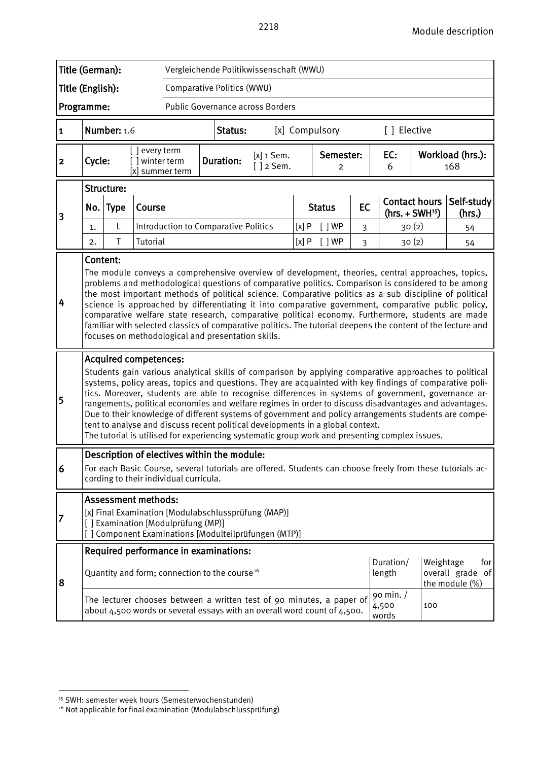|                  | Title (German):<br>Vergleichende Politikwissenschaft (WWU)                                                                                                                                                                                                                                                                                                                                                                                                                                                                                                                                                                                                                                                                                                                                                                                                                                                                                                                                                                                                                  |                            |                                      |                                                                                                                                                                                  |                                                                                                                                                   |         |                                 |   |                             |                             |                     |                      |                                           |                                                                                                                                                                                                                |
|------------------|-----------------------------------------------------------------------------------------------------------------------------------------------------------------------------------------------------------------------------------------------------------------------------------------------------------------------------------------------------------------------------------------------------------------------------------------------------------------------------------------------------------------------------------------------------------------------------------------------------------------------------------------------------------------------------------------------------------------------------------------------------------------------------------------------------------------------------------------------------------------------------------------------------------------------------------------------------------------------------------------------------------------------------------------------------------------------------|----------------------------|--------------------------------------|----------------------------------------------------------------------------------------------------------------------------------------------------------------------------------|---------------------------------------------------------------------------------------------------------------------------------------------------|---------|---------------------------------|---|-----------------------------|-----------------------------|---------------------|----------------------|-------------------------------------------|----------------------------------------------------------------------------------------------------------------------------------------------------------------------------------------------------------------|
| Title (English): |                                                                                                                                                                                                                                                                                                                                                                                                                                                                                                                                                                                                                                                                                                                                                                                                                                                                                                                                                                                                                                                                             |                            |                                      | Comparative Politics (WWU)                                                                                                                                                       |                                                                                                                                                   |         |                                 |   |                             |                             |                     |                      |                                           |                                                                                                                                                                                                                |
| Programme:       |                                                                                                                                                                                                                                                                                                                                                                                                                                                                                                                                                                                                                                                                                                                                                                                                                                                                                                                                                                                                                                                                             |                            |                                      | Public Governance across Borders                                                                                                                                                 |                                                                                                                                                   |         |                                 |   |                             |                             |                     |                      |                                           |                                                                                                                                                                                                                |
| $\mathbf{1}$     |                                                                                                                                                                                                                                                                                                                                                                                                                                                                                                                                                                                                                                                                                                                                                                                                                                                                                                                                                                                                                                                                             | Number: 1.6                |                                      |                                                                                                                                                                                  |                                                                                                                                                   | Status: |                                 |   |                             | [x] Compulsory              |                     | [ ] Elective         |                                           |                                                                                                                                                                                                                |
| $\mathbf{2}$     | Cycle:                                                                                                                                                                                                                                                                                                                                                                                                                                                                                                                                                                                                                                                                                                                                                                                                                                                                                                                                                                                                                                                                      |                            | [] every term<br>[] winter term      | [x] summer term                                                                                                                                                                  | <b>Duration:</b>                                                                                                                                  |         | $[x]$ 1 Sem.<br>$\lceil$ 2 Sem. |   |                             | Semester:<br>$\overline{2}$ |                     | EC:<br>6             |                                           | Workload (hrs.):<br>168                                                                                                                                                                                        |
|                  | No.                                                                                                                                                                                                                                                                                                                                                                                                                                                                                                                                                                                                                                                                                                                                                                                                                                                                                                                                                                                                                                                                         | Structure:<br><b>Type</b>  | Course                               |                                                                                                                                                                                  |                                                                                                                                                   |         |                                 |   |                             | <b>Status</b>               | EC                  | <b>Contact hours</b> |                                           | Self-study                                                                                                                                                                                                     |
| 3                | L<br>1.                                                                                                                                                                                                                                                                                                                                                                                                                                                                                                                                                                                                                                                                                                                                                                                                                                                                                                                                                                                                                                                                     |                            | Introduction to Comparative Politics |                                                                                                                                                                                  |                                                                                                                                                   | [x]P    | [ ]WP                           | 3 |                             | $(hrs. + SWH15)$<br>30(2)   | (hrs.)<br>54        |                      |                                           |                                                                                                                                                                                                                |
|                  | 2.                                                                                                                                                                                                                                                                                                                                                                                                                                                                                                                                                                                                                                                                                                                                                                                                                                                                                                                                                                                                                                                                          | Τ                          | Tutorial                             |                                                                                                                                                                                  |                                                                                                                                                   |         |                                 |   | [x]P                        | $[$ $]$ WP                  | 3                   |                      | 30(2)                                     | 54                                                                                                                                                                                                             |
| 4<br>5           | Content:<br>The module conveys a comprehensive overview of development, theories, central approaches, topics,<br>problems and methodological questions of comparative politics. Comparison is considered to be among<br>the most important methods of political science. Comparative politics as a sub discipline of political<br>science is approached by differentiating it into comparative government, comparative public policy,<br>comparative welfare state research, comparative political economy. Furthermore, students are made<br>familiar with selected classics of comparative politics. The tutorial deepens the content of the lecture and<br>focuses on methodological and presentation skills.<br><b>Acquired competences:</b><br>Students gain various analytical skills of comparison by applying comparative approaches to political<br>systems, policy areas, topics and questions. They are acquainted with key findings of comparative poli-<br>tics. Moreover, students are able to recognise differences in systems of government, governance ar- |                            |                                      |                                                                                                                                                                                  |                                                                                                                                                   |         |                                 |   |                             |                             |                     |                      |                                           |                                                                                                                                                                                                                |
|                  |                                                                                                                                                                                                                                                                                                                                                                                                                                                                                                                                                                                                                                                                                                                                                                                                                                                                                                                                                                                                                                                                             |                            |                                      | tent to analyse and discuss recent political developments in a global context.<br>The tutorial is utilised for experiencing systematic group work and presenting complex issues. |                                                                                                                                                   |         |                                 |   |                             |                             |                     |                      |                                           | rangements, political economies and welfare regimes in order to discuss disadvantages and advantages.<br>Due to their knowledge of different systems of government and policy arrangements students are compe- |
| 6                |                                                                                                                                                                                                                                                                                                                                                                                                                                                                                                                                                                                                                                                                                                                                                                                                                                                                                                                                                                                                                                                                             |                            |                                      | Description of electives within the module:<br>cording to their individual curricula.                                                                                            |                                                                                                                                                   |         |                                 |   |                             |                             |                     |                      |                                           | For each Basic Course, several tutorials are offered. Students can choose freely from these tutorials ac-                                                                                                      |
| 7                |                                                                                                                                                                                                                                                                                                                                                                                                                                                                                                                                                                                                                                                                                                                                                                                                                                                                                                                                                                                                                                                                             | <b>Assessment methods:</b> |                                      | [x] Final Examination [Modulabschlussprüfung (MAP)]<br>[] Examination [Modulprüfung (MP)]<br>[] Component Examinations [Modulteilprüfungen (MTP)]                                |                                                                                                                                                   |         |                                 |   |                             |                             |                     |                      |                                           |                                                                                                                                                                                                                |
|                  |                                                                                                                                                                                                                                                                                                                                                                                                                                                                                                                                                                                                                                                                                                                                                                                                                                                                                                                                                                                                                                                                             |                            |                                      | Required performance in examinations:                                                                                                                                            |                                                                                                                                                   |         |                                 |   |                             |                             |                     |                      |                                           |                                                                                                                                                                                                                |
| 8                |                                                                                                                                                                                                                                                                                                                                                                                                                                                                                                                                                                                                                                                                                                                                                                                                                                                                                                                                                                                                                                                                             |                            |                                      | Quantity and form; connection to the course <sup>16</sup>                                                                                                                        |                                                                                                                                                   |         |                                 |   |                             |                             | Duration/<br>length | Weightage            | for<br>overall grade of<br>the module (%) |                                                                                                                                                                                                                |
|                  |                                                                                                                                                                                                                                                                                                                                                                                                                                                                                                                                                                                                                                                                                                                                                                                                                                                                                                                                                                                                                                                                             |                            |                                      |                                                                                                                                                                                  | The lecturer chooses between a written test of 90 minutes, a paper of<br>about 4,500 words or several essays with an overall word count of 4,500. |         |                                 |   | 90 min. /<br>4,500<br>words | 100                         |                     |                      |                                           |                                                                                                                                                                                                                |

<span id="page-37-0"></span><sup>-</sup><sup>15</sup> SWH: semester week hours (Semesterwochenstunden)

<span id="page-37-1"></span><sup>&</sup>lt;sup>16</sup> Not applicable for final examination (Modulabschlussprüfung)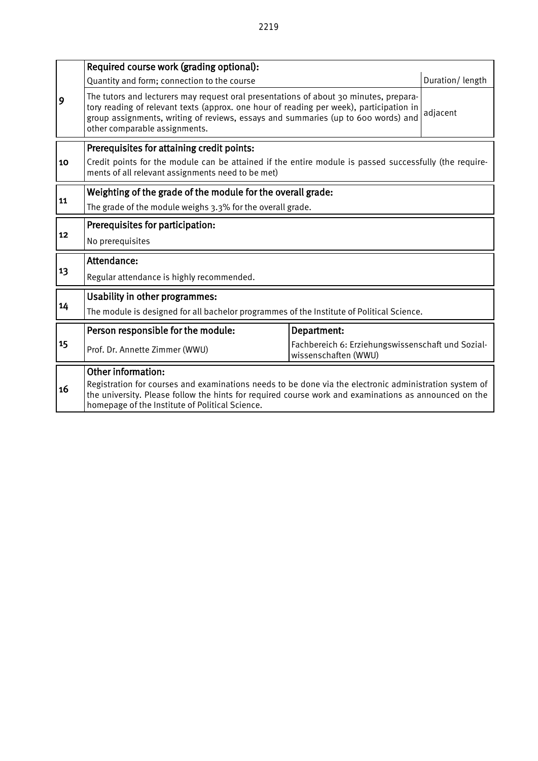|    | Required course work (grading optional):                                                                                                                                                                                                                                                               |                                                                           |                 |  |  |  |  |  |  |  |
|----|--------------------------------------------------------------------------------------------------------------------------------------------------------------------------------------------------------------------------------------------------------------------------------------------------------|---------------------------------------------------------------------------|-----------------|--|--|--|--|--|--|--|
|    | Quantity and form; connection to the course                                                                                                                                                                                                                                                            |                                                                           | Duration/length |  |  |  |  |  |  |  |
| 9  | The tutors and lecturers may request oral presentations of about 30 minutes, prepara-<br>tory reading of relevant texts (approx. one hour of reading per week), participation in<br>group assignments, writing of reviews, essays and summaries (up to 600 words) and<br>other comparable assignments. |                                                                           | adjacent        |  |  |  |  |  |  |  |
|    | Prerequisites for attaining credit points:                                                                                                                                                                                                                                                             |                                                                           |                 |  |  |  |  |  |  |  |
| 10 | Credit points for the module can be attained if the entire module is passed successfully (the require-<br>ments of all relevant assignments need to be met)                                                                                                                                            |                                                                           |                 |  |  |  |  |  |  |  |
|    | Weighting of the grade of the module for the overall grade:                                                                                                                                                                                                                                            |                                                                           |                 |  |  |  |  |  |  |  |
| 11 | The grade of the module weighs 3.3% for the overall grade.                                                                                                                                                                                                                                             |                                                                           |                 |  |  |  |  |  |  |  |
|    | Prerequisites for participation:                                                                                                                                                                                                                                                                       |                                                                           |                 |  |  |  |  |  |  |  |
| 12 | No prerequisites                                                                                                                                                                                                                                                                                       |                                                                           |                 |  |  |  |  |  |  |  |
|    | Attendance:                                                                                                                                                                                                                                                                                            |                                                                           |                 |  |  |  |  |  |  |  |
| 13 | Regular attendance is highly recommended.                                                                                                                                                                                                                                                              |                                                                           |                 |  |  |  |  |  |  |  |
|    | <b>Usability in other programmes:</b>                                                                                                                                                                                                                                                                  |                                                                           |                 |  |  |  |  |  |  |  |
| 14 | The module is designed for all bachelor programmes of the Institute of Political Science.                                                                                                                                                                                                              |                                                                           |                 |  |  |  |  |  |  |  |
|    | Person responsible for the module:                                                                                                                                                                                                                                                                     | Department:                                                               |                 |  |  |  |  |  |  |  |
| 15 | Prof. Dr. Annette Zimmer (WWU)                                                                                                                                                                                                                                                                         | Fachbereich 6: Erziehungswissenschaft und Sozial-<br>wissenschaften (WWU) |                 |  |  |  |  |  |  |  |
| 16 | <b>Other information:</b><br>Registration for courses and examinations needs to be done via the electronic administration system of<br>the university. Please follow the hints for required course work and examinations as announced on the<br>homepage of the Institute of Political Science.        |                                                                           |                 |  |  |  |  |  |  |  |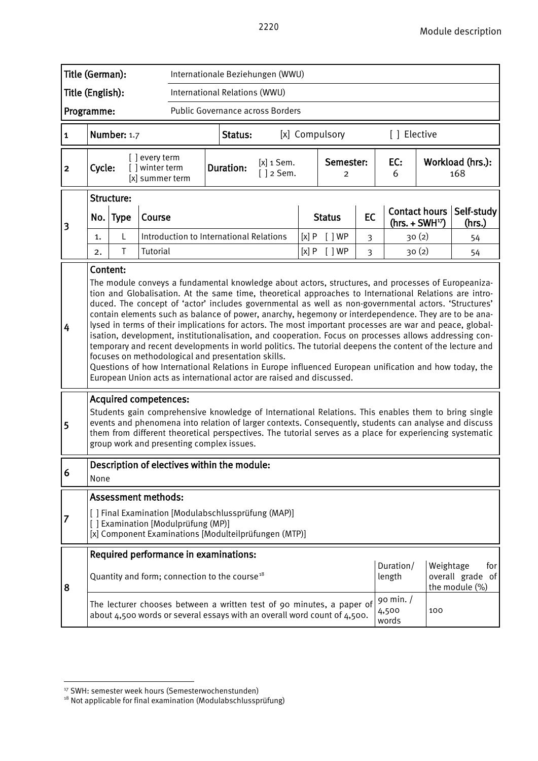| Title (German):<br>Internationale Beziehungen (WWU) |                                                                                                                                                                                                                                                                                                                                                                                                                                                                                                                                                                                                                                                                                                                                                                                                                                                                                                                                                                                                                                                                                                                                                                                                                                                                                                                                                                                                                            |                                                                                                                                                   |                                                      |                                                                                                                                                   |  |                  |                                         |               |                                 |                |                                   |                               |           |                                           |
|-----------------------------------------------------|----------------------------------------------------------------------------------------------------------------------------------------------------------------------------------------------------------------------------------------------------------------------------------------------------------------------------------------------------------------------------------------------------------------------------------------------------------------------------------------------------------------------------------------------------------------------------------------------------------------------------------------------------------------------------------------------------------------------------------------------------------------------------------------------------------------------------------------------------------------------------------------------------------------------------------------------------------------------------------------------------------------------------------------------------------------------------------------------------------------------------------------------------------------------------------------------------------------------------------------------------------------------------------------------------------------------------------------------------------------------------------------------------------------------------|---------------------------------------------------------------------------------------------------------------------------------------------------|------------------------------------------------------|---------------------------------------------------------------------------------------------------------------------------------------------------|--|------------------|-----------------------------------------|---------------|---------------------------------|----------------|-----------------------------------|-------------------------------|-----------|-------------------------------------------|
| Title (English):                                    |                                                                                                                                                                                                                                                                                                                                                                                                                                                                                                                                                                                                                                                                                                                                                                                                                                                                                                                                                                                                                                                                                                                                                                                                                                                                                                                                                                                                                            |                                                                                                                                                   |                                                      | International Relations (WWU)                                                                                                                     |  |                  |                                         |               |                                 |                |                                   |                               |           |                                           |
| Programme:                                          |                                                                                                                                                                                                                                                                                                                                                                                                                                                                                                                                                                                                                                                                                                                                                                                                                                                                                                                                                                                                                                                                                                                                                                                                                                                                                                                                                                                                                            |                                                                                                                                                   |                                                      |                                                                                                                                                   |  |                  | <b>Public Governance across Borders</b> |               |                                 |                |                                   |                               |           |                                           |
| $\mathbf{1}$                                        |                                                                                                                                                                                                                                                                                                                                                                                                                                                                                                                                                                                                                                                                                                                                                                                                                                                                                                                                                                                                                                                                                                                                                                                                                                                                                                                                                                                                                            | Number: 1.7                                                                                                                                       |                                                      |                                                                                                                                                   |  | Status:          |                                         |               |                                 | [x] Compulsory |                                   | [ ] Elective                  |           |                                           |
| $\overline{\mathbf{2}}$                             | Cycle:                                                                                                                                                                                                                                                                                                                                                                                                                                                                                                                                                                                                                                                                                                                                                                                                                                                                                                                                                                                                                                                                                                                                                                                                                                                                                                                                                                                                                     |                                                                                                                                                   | [ ] every term<br>[ ] winter term<br>[x] summer term |                                                                                                                                                   |  | <b>Duration:</b> | $[x]$ 1 Sem.<br>$[ ]$ 2 Sem.            |               | Semester:<br>2                  |                |                                   | EC:<br>6                      |           | Workload (hrs.):<br>168                   |
|                                                     |                                                                                                                                                                                                                                                                                                                                                                                                                                                                                                                                                                                                                                                                                                                                                                                                                                                                                                                                                                                                                                                                                                                                                                                                                                                                                                                                                                                                                            | Structure:                                                                                                                                        |                                                      |                                                                                                                                                   |  |                  |                                         |               |                                 |                |                                   |                               |           |                                           |
| 3                                                   | No. Type<br>Course                                                                                                                                                                                                                                                                                                                                                                                                                                                                                                                                                                                                                                                                                                                                                                                                                                                                                                                                                                                                                                                                                                                                                                                                                                                                                                                                                                                                         |                                                                                                                                                   |                                                      |                                                                                                                                                   |  |                  |                                         | <b>Status</b> | EC                              |                | Contact hours<br>$(hrs. + SWH17)$ | Self-study<br>(hrs.)          |           |                                           |
|                                                     | 1.                                                                                                                                                                                                                                                                                                                                                                                                                                                                                                                                                                                                                                                                                                                                                                                                                                                                                                                                                                                                                                                                                                                                                                                                                                                                                                                                                                                                                         | L                                                                                                                                                 |                                                      | Introduction to International Relations                                                                                                           |  |                  |                                         | [x]P          |                                 | [ ]WP          | 3                                 |                               | 30(2)     | 54                                        |
|                                                     | 2.                                                                                                                                                                                                                                                                                                                                                                                                                                                                                                                                                                                                                                                                                                                                                                                                                                                                                                                                                                                                                                                                                                                                                                                                                                                                                                                                                                                                                         | $\mathsf T$                                                                                                                                       | Tutorial                                             |                                                                                                                                                   |  |                  |                                         |               | [x]P<br>[ ]WP<br>$\overline{3}$ |                |                                   |                               | 30(2)     | 54                                        |
| 4<br>5                                              | Content:<br>The module conveys a fundamental knowledge about actors, structures, and processes of Europeaniza-<br>tion and Globalisation. At the same time, theoretical approaches to International Relations are intro-<br>duced. The concept of 'actor' includes governmental as well as non-governmental actors. 'Structures'<br>contain elements such as balance of power, anarchy, hegemony or interdependence. They are to be ana-<br>lysed in terms of their implications for actors. The most important processes are war and peace, global-<br>isation, development, institutionalisation, and cooperation. Focus on processes allows addressing con-<br>temporary and recent developments in world politics. The tutorial deepens the content of the lecture and<br>focuses on methodological and presentation skills.<br>Questions of how International Relations in Europe influenced European unification and how today, the<br>European Union acts as international actor are raised and discussed.<br><b>Acquired competences:</b><br>Students gain comprehensive knowledge of International Relations. This enables them to bring single<br>events and phenomena into relation of larger contexts. Consequently, students can analyse and discuss<br>them from different theoretical perspectives. The tutorial serves as a place for experiencing systematic<br>group work and presenting complex issues. |                                                                                                                                                   |                                                      |                                                                                                                                                   |  |                  |                                         |               |                                 |                |                                   |                               |           |                                           |
| 6                                                   | None                                                                                                                                                                                                                                                                                                                                                                                                                                                                                                                                                                                                                                                                                                                                                                                                                                                                                                                                                                                                                                                                                                                                                                                                                                                                                                                                                                                                                       |                                                                                                                                                   |                                                      | Description of electives within the module:                                                                                                       |  |                  |                                         |               |                                 |                |                                   |                               |           |                                           |
|                                                     |                                                                                                                                                                                                                                                                                                                                                                                                                                                                                                                                                                                                                                                                                                                                                                                                                                                                                                                                                                                                                                                                                                                                                                                                                                                                                                                                                                                                                            | <b>Assessment methods:</b>                                                                                                                        |                                                      |                                                                                                                                                   |  |                  |                                         |               |                                 |                |                                   |                               |           |                                           |
| 7                                                   |                                                                                                                                                                                                                                                                                                                                                                                                                                                                                                                                                                                                                                                                                                                                                                                                                                                                                                                                                                                                                                                                                                                                                                                                                                                                                                                                                                                                                            |                                                                                                                                                   |                                                      | [] Final Examination [Modulabschlussprüfung (MAP)]<br>[] Examination [Modulprüfung (MP)]<br>[x] Component Examinations [Modulteilprüfungen (MTP)] |  |                  |                                         |               |                                 |                |                                   |                               |           |                                           |
|                                                     |                                                                                                                                                                                                                                                                                                                                                                                                                                                                                                                                                                                                                                                                                                                                                                                                                                                                                                                                                                                                                                                                                                                                                                                                                                                                                                                                                                                                                            |                                                                                                                                                   |                                                      | Required performance in examinations:                                                                                                             |  |                  |                                         |               |                                 |                |                                   |                               |           |                                           |
| 8                                                   |                                                                                                                                                                                                                                                                                                                                                                                                                                                                                                                                                                                                                                                                                                                                                                                                                                                                                                                                                                                                                                                                                                                                                                                                                                                                                                                                                                                                                            |                                                                                                                                                   |                                                      | Quantity and form; connection to the course <sup>18</sup>                                                                                         |  |                  |                                         |               |                                 |                |                                   | Duration/<br>length           | Weightage | for<br>overall grade of<br>the module (%) |
|                                                     |                                                                                                                                                                                                                                                                                                                                                                                                                                                                                                                                                                                                                                                                                                                                                                                                                                                                                                                                                                                                                                                                                                                                                                                                                                                                                                                                                                                                                            | The lecturer chooses between a written test of 90 minutes, a paper of<br>about 4,500 words or several essays with an overall word count of 4,500. |                                                      |                                                                                                                                                   |  |                  |                                         |               |                                 |                |                                   | 90 min. $/$<br>4,500<br>words | 100       |                                           |

<span id="page-39-0"></span><sup>&</sup>lt;sup>17</sup> SWH: semester week hours (Semesterwochenstunden)

<span id="page-39-1"></span><sup>&</sup>lt;sup>18</sup> Not applicable for final examination (Modulabschlussprüfung)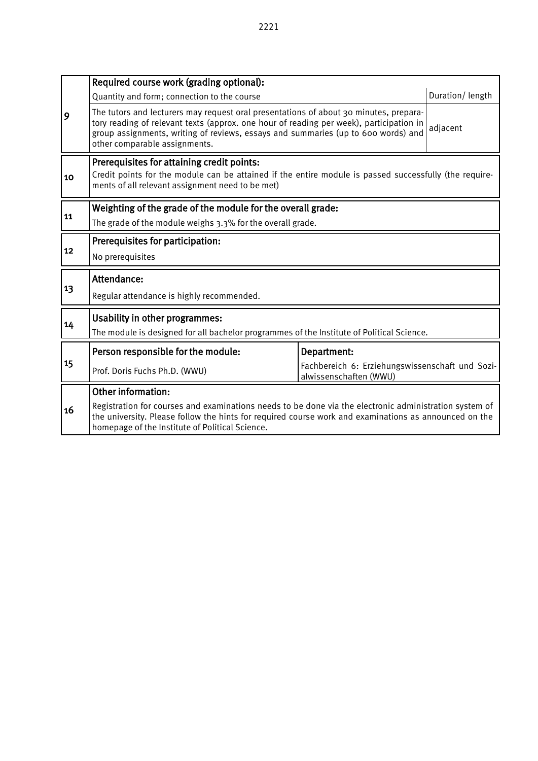|    | Required course work (grading optional):                                                                                                                                                                                                                                                               |                                                                           |                 |  |  |  |  |  |  |
|----|--------------------------------------------------------------------------------------------------------------------------------------------------------------------------------------------------------------------------------------------------------------------------------------------------------|---------------------------------------------------------------------------|-----------------|--|--|--|--|--|--|
|    | Quantity and form; connection to the course                                                                                                                                                                                                                                                            |                                                                           | Duration/length |  |  |  |  |  |  |
| 9  | The tutors and lecturers may request oral presentations of about 30 minutes, prepara-<br>tory reading of relevant texts (approx. one hour of reading per week), participation in<br>group assignments, writing of reviews, essays and summaries (up to 600 words) and<br>other comparable assignments. |                                                                           | adjacent        |  |  |  |  |  |  |
| 10 | Prerequisites for attaining credit points:<br>Credit points for the module can be attained if the entire module is passed successfully (the require-<br>ments of all relevant assignment need to be met)                                                                                               |                                                                           |                 |  |  |  |  |  |  |
| 11 | Weighting of the grade of the module for the overall grade:                                                                                                                                                                                                                                            |                                                                           |                 |  |  |  |  |  |  |
|    | The grade of the module weighs 3.3% for the overall grade.                                                                                                                                                                                                                                             |                                                                           |                 |  |  |  |  |  |  |
|    | Prerequisites for participation:                                                                                                                                                                                                                                                                       |                                                                           |                 |  |  |  |  |  |  |
| 12 | No prerequisites                                                                                                                                                                                                                                                                                       |                                                                           |                 |  |  |  |  |  |  |
|    | Attendance:                                                                                                                                                                                                                                                                                            |                                                                           |                 |  |  |  |  |  |  |
| 13 | Regular attendance is highly recommended.                                                                                                                                                                                                                                                              |                                                                           |                 |  |  |  |  |  |  |
|    | Usability in other programmes:                                                                                                                                                                                                                                                                         |                                                                           |                 |  |  |  |  |  |  |
| 14 | The module is designed for all bachelor programmes of the Institute of Political Science.                                                                                                                                                                                                              |                                                                           |                 |  |  |  |  |  |  |
|    | Person responsible for the module:                                                                                                                                                                                                                                                                     | Department:                                                               |                 |  |  |  |  |  |  |
| 15 | Prof. Doris Fuchs Ph.D. (WWU)                                                                                                                                                                                                                                                                          | Fachbereich 6: Erziehungswissenschaft und Sozi-<br>alwissenschaften (WWU) |                 |  |  |  |  |  |  |
|    | Other information:                                                                                                                                                                                                                                                                                     |                                                                           |                 |  |  |  |  |  |  |
| 16 | Registration for courses and examinations needs to be done via the electronic administration system of<br>the university. Please follow the hints for required course work and examinations as announced on the<br>homepage of the Institute of Political Science.                                     |                                                                           |                 |  |  |  |  |  |  |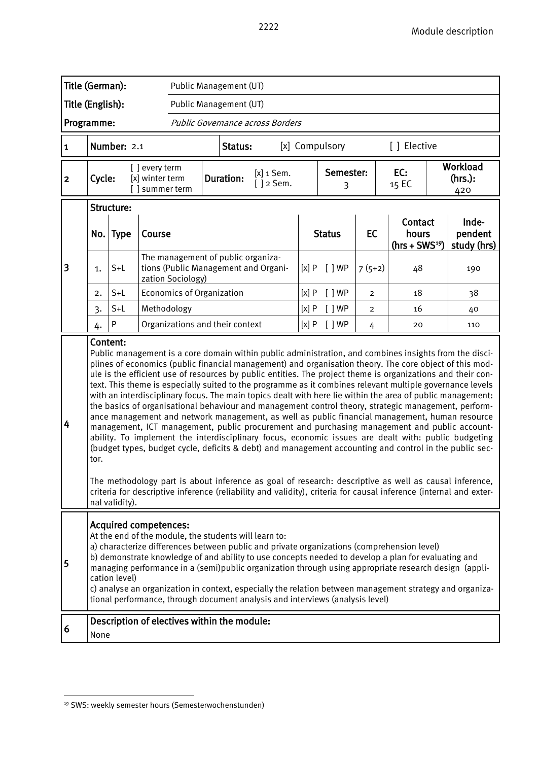|                  | Title (German):<br>Public Management (UT)                                                                                                                                                                                                                                                                                                                                                                                                                                                                                                                                                                  |                        |                                                    |  |                                                                                                                                                                                                                                                                                                                                                                                                                                                                                                                                                                                                                                                                                                                                                                                                                                                                                                                                                                                                                                                                                                                                                                                                 |                                  |                |                |                     |                                            |  |                                                                                                                   |
|------------------|------------------------------------------------------------------------------------------------------------------------------------------------------------------------------------------------------------------------------------------------------------------------------------------------------------------------------------------------------------------------------------------------------------------------------------------------------------------------------------------------------------------------------------------------------------------------------------------------------------|------------------------|----------------------------------------------------|--|-------------------------------------------------------------------------------------------------------------------------------------------------------------------------------------------------------------------------------------------------------------------------------------------------------------------------------------------------------------------------------------------------------------------------------------------------------------------------------------------------------------------------------------------------------------------------------------------------------------------------------------------------------------------------------------------------------------------------------------------------------------------------------------------------------------------------------------------------------------------------------------------------------------------------------------------------------------------------------------------------------------------------------------------------------------------------------------------------------------------------------------------------------------------------------------------------|----------------------------------|----------------|----------------|---------------------|--------------------------------------------|--|-------------------------------------------------------------------------------------------------------------------|
| Title (English): |                                                                                                                                                                                                                                                                                                                                                                                                                                                                                                                                                                                                            |                        |                                                    |  | Public Management (UT)                                                                                                                                                                                                                                                                                                                                                                                                                                                                                                                                                                                                                                                                                                                                                                                                                                                                                                                                                                                                                                                                                                                                                                          |                                  |                |                |                     |                                            |  |                                                                                                                   |
| Programme:       |                                                                                                                                                                                                                                                                                                                                                                                                                                                                                                                                                                                                            |                        |                                                    |  | Public Governance across Borders                                                                                                                                                                                                                                                                                                                                                                                                                                                                                                                                                                                                                                                                                                                                                                                                                                                                                                                                                                                                                                                                                                                                                                |                                  |                |                |                     |                                            |  |                                                                                                                   |
| $\mathbf{1}$     |                                                                                                                                                                                                                                                                                                                                                                                                                                                                                                                                                                                                            | Number: 2.1            |                                                    |  | Status:                                                                                                                                                                                                                                                                                                                                                                                                                                                                                                                                                                                                                                                                                                                                                                                                                                                                                                                                                                                                                                                                                                                                                                                         |                                  |                | [x] Compulsory |                     | [ ] Elective                               |  |                                                                                                                   |
| $\overline{2}$   | Cycle:                                                                                                                                                                                                                                                                                                                                                                                                                                                                                                                                                                                                     |                        | [] every term<br>[x] winter term<br>[] summer term |  | <b>Duration:</b>                                                                                                                                                                                                                                                                                                                                                                                                                                                                                                                                                                                                                                                                                                                                                                                                                                                                                                                                                                                                                                                                                                                                                                                | $[x]$ 1 Sem.<br>$\lceil$ 12 Sem. | Semester:<br>3 |                |                     | Workload<br>EC:<br>(hrs.):<br>15 EC<br>420 |  |                                                                                                                   |
|                  |                                                                                                                                                                                                                                                                                                                                                                                                                                                                                                                                                                                                            | Structure:<br>No. Type | Course                                             |  |                                                                                                                                                                                                                                                                                                                                                                                                                                                                                                                                                                                                                                                                                                                                                                                                                                                                                                                                                                                                                                                                                                                                                                                                 |                                  | <b>Status</b>  |                | <b>EC</b>           | Contact<br>hours<br>$(hrs + SWS19)$        |  | Inde-<br>pendent<br>study (hrs)                                                                                   |
| 3                | The management of public organiza-<br>tions (Public Management and Organi-<br>$S+L$<br>1.<br>zation Sociology)<br><b>Economics of Organization</b>                                                                                                                                                                                                                                                                                                                                                                                                                                                         |                        |                                                    |  |                                                                                                                                                                                                                                                                                                                                                                                                                                                                                                                                                                                                                                                                                                                                                                                                                                                                                                                                                                                                                                                                                                                                                                                                 |                                  | [x]P           | [ ]WP          | $7(5+2)$            | 48                                         |  | 190                                                                                                               |
|                  | 2.                                                                                                                                                                                                                                                                                                                                                                                                                                                                                                                                                                                                         | $S+L$                  |                                                    |  |                                                                                                                                                                                                                                                                                                                                                                                                                                                                                                                                                                                                                                                                                                                                                                                                                                                                                                                                                                                                                                                                                                                                                                                                 |                                  | [x]P           | [ ]WP          | $\overline{2}$      | 18                                         |  | 38                                                                                                                |
|                  | 3.<br>4.                                                                                                                                                                                                                                                                                                                                                                                                                                                                                                                                                                                                   | $S+L$<br>$\sf P$       | Methodology                                        |  | Organizations and their context                                                                                                                                                                                                                                                                                                                                                                                                                                                                                                                                                                                                                                                                                                                                                                                                                                                                                                                                                                                                                                                                                                                                                                 |                                  | [x]P<br>[x]P   | [ ]WP<br>[ ]WP | $\overline{2}$<br>4 | 16<br>20                                   |  | 40<br>110                                                                                                         |
| 4                | tor.                                                                                                                                                                                                                                                                                                                                                                                                                                                                                                                                                                                                       | nal validity).         |                                                    |  | Public management is a core domain within public administration, and combines insights from the disci-<br>plines of economics (public financial management) and organisation theory. The core object of this mod-<br>ule is the efficient use of resources by public entities. The project theme is organizations and their con-<br>text. This theme is especially suited to the programme as it combines relevant multiple governance levels<br>with an interdisciplinary focus. The main topics dealt with here lie within the area of public management:<br>the basics of organisational behaviour and management control theory, strategic management, perform-<br>ance management and network management, as well as public financial management, human resource<br>management, ICT management, public procurement and purchasing management and public account-<br>ability. To implement the interdisciplinary focus, economic issues are dealt with: public budgeting<br>(budget types, budget cycle, deficits & debt) and management accounting and control in the public sec-<br>The methodology part is about inference as goal of research: descriptive as well as causal inference, |                                  |                |                |                     |                                            |  | criteria for descriptive inference (reliability and validity), criteria for causal inference (internal and exter- |
| 5                | Acquired competences:<br>At the end of the module, the students will learn to:<br>a) characterize differences between public and private organizations (comprehension level)<br>b) demonstrate knowledge of and ability to use concepts needed to develop a plan for evaluating and<br>managing performance in a (semi)public organization through using appropriate research design (appli-<br>cation level)<br>c) analyse an organization in context, especially the relation between management strategy and organiza-<br>tional performance, through document analysis and interviews (analysis level) |                        |                                                    |  |                                                                                                                                                                                                                                                                                                                                                                                                                                                                                                                                                                                                                                                                                                                                                                                                                                                                                                                                                                                                                                                                                                                                                                                                 |                                  |                |                |                     |                                            |  |                                                                                                                   |
| 6                | None                                                                                                                                                                                                                                                                                                                                                                                                                                                                                                                                                                                                       |                        |                                                    |  | Description of electives within the module:                                                                                                                                                                                                                                                                                                                                                                                                                                                                                                                                                                                                                                                                                                                                                                                                                                                                                                                                                                                                                                                                                                                                                     |                                  |                |                |                     |                                            |  |                                                                                                                   |

<span id="page-41-0"></span><sup>&</sup>lt;sup>19</sup> SWS: weekly semester hours (Semesterwochenstunden)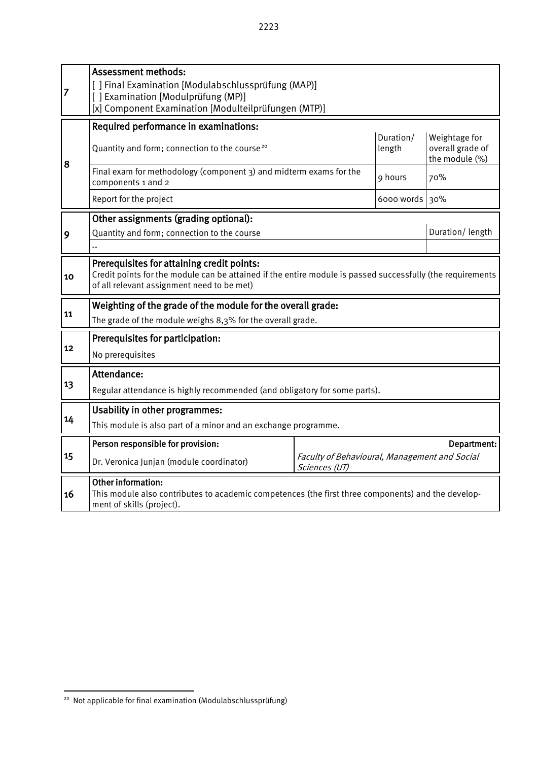| 7  | <b>Assessment methods:</b><br>[ ] Final Examination [Modulabschlussprüfung (MAP)]<br>[] Examination [Modulprüfung (MP)]<br>[x] Component Examination [Modulteilprüfungen (MTP)]                        |                 |                     |                                                     |  |  |  |  |  |
|----|--------------------------------------------------------------------------------------------------------------------------------------------------------------------------------------------------------|-----------------|---------------------|-----------------------------------------------------|--|--|--|--|--|
|    | Required performance in examinations:                                                                                                                                                                  |                 |                     |                                                     |  |  |  |  |  |
| 8  | Quantity and form; connection to the course <sup>20</sup>                                                                                                                                              |                 | Duration/<br>length | Weightage for<br>overall grade of<br>the module (%) |  |  |  |  |  |
|    | Final exam for methodology (component 3) and midterm exams for the<br>components 1 and 2                                                                                                               |                 | 9 hours             | 70%                                                 |  |  |  |  |  |
|    | Report for the project                                                                                                                                                                                 |                 | 6000 words 30%      |                                                     |  |  |  |  |  |
|    | Other assignments (grading optional):                                                                                                                                                                  |                 |                     |                                                     |  |  |  |  |  |
| 9  | Quantity and form; connection to the course                                                                                                                                                            | Duration/length |                     |                                                     |  |  |  |  |  |
|    |                                                                                                                                                                                                        |                 |                     |                                                     |  |  |  |  |  |
| 10 | Prerequisites for attaining credit points:<br>Credit points for the module can be attained if the entire module is passed successfully (the requirements<br>of all relevant assignment need to be met) |                 |                     |                                                     |  |  |  |  |  |
|    | Weighting of the grade of the module for the overall grade:                                                                                                                                            |                 |                     |                                                     |  |  |  |  |  |
| 11 | The grade of the module weighs 8,3% for the overall grade.                                                                                                                                             |                 |                     |                                                     |  |  |  |  |  |
|    | Prerequisites for participation:                                                                                                                                                                       |                 |                     |                                                     |  |  |  |  |  |
| 12 | No prerequisites                                                                                                                                                                                       |                 |                     |                                                     |  |  |  |  |  |
|    | Attendance:                                                                                                                                                                                            |                 |                     |                                                     |  |  |  |  |  |
| 13 |                                                                                                                                                                                                        |                 |                     |                                                     |  |  |  |  |  |
|    | Regular attendance is highly recommended (and obligatory for some parts).                                                                                                                              |                 |                     |                                                     |  |  |  |  |  |
| 14 | <b>Usability in other programmes:</b>                                                                                                                                                                  |                 |                     |                                                     |  |  |  |  |  |
|    | This module is also part of a minor and an exchange programme.                                                                                                                                         |                 |                     |                                                     |  |  |  |  |  |
|    | Person responsible for provision:<br>Department:                                                                                                                                                       |                 |                     |                                                     |  |  |  |  |  |
| 15 | Faculty of Behavioural, Management and Social<br>Dr. Veronica Junjan (module coordinator)<br>Sciences (UT)                                                                                             |                 |                     |                                                     |  |  |  |  |  |
| 16 | Other information:<br>This module also contributes to academic competences (the first three components) and the develop-<br>ment of skills (project).                                                  |                 |                     |                                                     |  |  |  |  |  |

<span id="page-42-0"></span><sup>-</sup><sup>20</sup> Not applicable for final examination (Modulabschlussprüfung)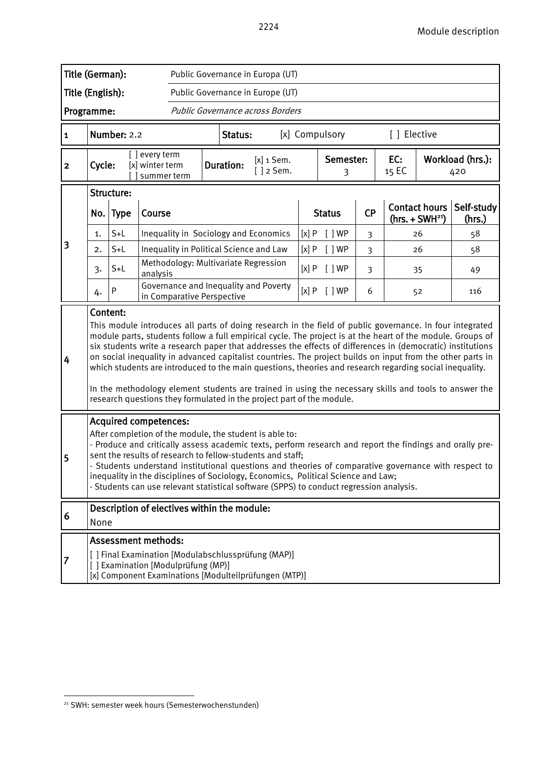|                         | Title (German):<br>Public Governance in Europa (UT)                                                                                                                                                                                                                                                                                                                                                                                                                                                                                                       |              |                                                  |                                    |  |                  |                                                                                                                                                                                                                                                                                                                                                                                                                                                                                                                                                                                                                                                                                                                                                 |                |                |              |                                          |                      |     |
|-------------------------|-----------------------------------------------------------------------------------------------------------------------------------------------------------------------------------------------------------------------------------------------------------------------------------------------------------------------------------------------------------------------------------------------------------------------------------------------------------------------------------------------------------------------------------------------------------|--------------|--------------------------------------------------|------------------------------------|--|------------------|-------------------------------------------------------------------------------------------------------------------------------------------------------------------------------------------------------------------------------------------------------------------------------------------------------------------------------------------------------------------------------------------------------------------------------------------------------------------------------------------------------------------------------------------------------------------------------------------------------------------------------------------------------------------------------------------------------------------------------------------------|----------------|----------------|--------------|------------------------------------------|----------------------|-----|
| Title (English):        |                                                                                                                                                                                                                                                                                                                                                                                                                                                                                                                                                           |              |                                                  |                                    |  |                  | Public Governance in Europe (UT)                                                                                                                                                                                                                                                                                                                                                                                                                                                                                                                                                                                                                                                                                                                |                |                |              |                                          |                      |     |
| Programme:              |                                                                                                                                                                                                                                                                                                                                                                                                                                                                                                                                                           |              |                                                  |                                    |  |                  | Public Governance across Borders                                                                                                                                                                                                                                                                                                                                                                                                                                                                                                                                                                                                                                                                                                                |                |                |              |                                          |                      |     |
| $\mathbf{1}$            |                                                                                                                                                                                                                                                                                                                                                                                                                                                                                                                                                           | Number: 2.2  |                                                  |                                    |  | Status:          |                                                                                                                                                                                                                                                                                                                                                                                                                                                                                                                                                                                                                                                                                                                                                 |                | [x] Compulsory |              | [ ] Elective                             |                      |     |
| $\overline{\mathbf{2}}$ | Cycle:                                                                                                                                                                                                                                                                                                                                                                                                                                                                                                                                                    |              | [ ] every term<br>[x] winter term<br>summer term |                                    |  | <b>Duration:</b> | $[x]$ 1 Sem.<br>$[ ]$ 2 Sem.                                                                                                                                                                                                                                                                                                                                                                                                                                                                                                                                                                                                                                                                                                                    | Semester:<br>3 |                | EC:<br>15 EC | Workload (hrs.):<br>420                  |                      |     |
|                         | Structure:                                                                                                                                                                                                                                                                                                                                                                                                                                                                                                                                                |              |                                                  |                                    |  |                  |                                                                                                                                                                                                                                                                                                                                                                                                                                                                                                                                                                                                                                                                                                                                                 |                |                |              |                                          |                      |     |
|                         | No. Type<br>Course                                                                                                                                                                                                                                                                                                                                                                                                                                                                                                                                        |              |                                                  |                                    |  |                  |                                                                                                                                                                                                                                                                                                                                                                                                                                                                                                                                                                                                                                                                                                                                                 | <b>Status</b>  | <b>CP</b>      |              | <b>Contact hours</b><br>$(hrs. + SWH21)$ | Self-study<br>(hrs.) |     |
|                         | 1.                                                                                                                                                                                                                                                                                                                                                                                                                                                                                                                                                        | $S+L$        |                                                  |                                    |  |                  | Inequality in Sociology and Economics                                                                                                                                                                                                                                                                                                                                                                                                                                                                                                                                                                                                                                                                                                           | [x]P           | [ ]WP          | 3            |                                          | 26                   | 58  |
| 3                       | 2.                                                                                                                                                                                                                                                                                                                                                                                                                                                                                                                                                        | $S+L$        |                                                  |                                    |  |                  | Inequality in Political Science and Law                                                                                                                                                                                                                                                                                                                                                                                                                                                                                                                                                                                                                                                                                                         | [x]P           | $[$ $]$ WP     | 3            |                                          | 26                   | 58  |
|                         | 3.                                                                                                                                                                                                                                                                                                                                                                                                                                                                                                                                                        | $S+L$        | analysis                                         |                                    |  |                  | Methodology: Multivariate Regression                                                                                                                                                                                                                                                                                                                                                                                                                                                                                                                                                                                                                                                                                                            | [x]P           | $[$ $]$ WP     | 3            |                                          | 35                   | 49  |
|                         | 4.                                                                                                                                                                                                                                                                                                                                                                                                                                                                                                                                                        | $\mathsf{P}$ |                                                  | in Comparative Perspective         |  |                  | Governance and Inequality and Poverty                                                                                                                                                                                                                                                                                                                                                                                                                                                                                                                                                                                                                                                                                                           | [x]P           | [ ]WP          | 6            |                                          | 52                   | 116 |
| 4                       | Content:                                                                                                                                                                                                                                                                                                                                                                                                                                                                                                                                                  |              |                                                  |                                    |  |                  | This module introduces all parts of doing research in the field of public governance. In four integrated<br>module parts, students follow a full empirical cycle. The project is at the heart of the module. Groups of<br>six students write a research paper that addresses the effects of differences in (democratic) institutions<br>on social inequality in advanced capitalist countries. The project builds on input from the other parts in<br>which students are introduced to the main questions, theories and research regarding social inequality.<br>In the methodology element students are trained in using the necessary skills and tools to answer the<br>research questions they formulated in the project part of the module. |                |                |              |                                          |                      |     |
| 5                       | <b>Acquired competences:</b><br>After completion of the module, the student is able to:<br>- Produce and critically assess academic texts, perform research and report the findings and orally pre-<br>sent the results of research to fellow-students and staff;<br>- Students understand institutional questions and theories of comparative governance with respect to<br>inequality in the disciplines of Sociology, Economics, Political Science and Law;<br>- Students can use relevant statistical software (SPPS) to conduct regression analysis. |              |                                                  |                                    |  |                  |                                                                                                                                                                                                                                                                                                                                                                                                                                                                                                                                                                                                                                                                                                                                                 |                |                |              |                                          |                      |     |
| 6                       | Description of electives within the module:<br>None                                                                                                                                                                                                                                                                                                                                                                                                                                                                                                       |              |                                                  |                                    |  |                  |                                                                                                                                                                                                                                                                                                                                                                                                                                                                                                                                                                                                                                                                                                                                                 |                |                |              |                                          |                      |     |
|                         |                                                                                                                                                                                                                                                                                                                                                                                                                                                                                                                                                           |              | <b>Assessment methods:</b>                       | [] Examination [Modulprüfung (MP)] |  |                  | [ ] Final Examination [Modulabschlussprüfung (MAP)]<br>[x] Component Examinations [Modulteilprüfungen (MTP)]                                                                                                                                                                                                                                                                                                                                                                                                                                                                                                                                                                                                                                    |                |                |              |                                          |                      |     |

<span id="page-43-0"></span><sup>&</sup>lt;sup>21</sup> SWH: semester week hours (Semesterwochenstunden)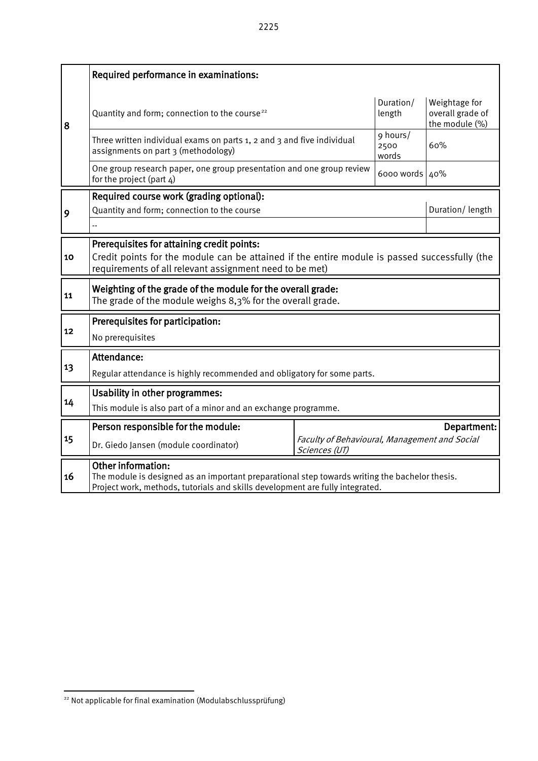|    | Required performance in examinations:                                                                                                                                                                        |  |                                               |                                                     |  |  |  |  |  |
|----|--------------------------------------------------------------------------------------------------------------------------------------------------------------------------------------------------------------|--|-----------------------------------------------|-----------------------------------------------------|--|--|--|--|--|
| 8  | Quantity and form; connection to the course <sup>22</sup>                                                                                                                                                    |  | Duration/<br>length                           | Weightage for<br>overall grade of<br>the module (%) |  |  |  |  |  |
|    | Three written individual exams on parts 1, 2 and 3 and five individual<br>assignments on part 3 (methodology)                                                                                                |  | 9 hours/<br>2500<br>words                     | 60%                                                 |  |  |  |  |  |
|    | One group research paper, one group presentation and one group review<br>for the project (part 4)                                                                                                            |  | 6000 words 40%                                |                                                     |  |  |  |  |  |
|    | Required course work (grading optional):                                                                                                                                                                     |  |                                               |                                                     |  |  |  |  |  |
| 9  | Quantity and form; connection to the course                                                                                                                                                                  |  | Duration/length                               |                                                     |  |  |  |  |  |
|    |                                                                                                                                                                                                              |  |                                               |                                                     |  |  |  |  |  |
| 10 | Prerequisites for attaining credit points:<br>Credit points for the module can be attained if the entire module is passed successfully (the<br>requirements of all relevant assignment need to be met)       |  |                                               |                                                     |  |  |  |  |  |
| 11 | Weighting of the grade of the module for the overall grade:<br>The grade of the module weighs 8,3% for the overall grade.                                                                                    |  |                                               |                                                     |  |  |  |  |  |
|    | Prerequisites for participation:                                                                                                                                                                             |  |                                               |                                                     |  |  |  |  |  |
| 12 | No prerequisites                                                                                                                                                                                             |  |                                               |                                                     |  |  |  |  |  |
|    | Attendance:                                                                                                                                                                                                  |  |                                               |                                                     |  |  |  |  |  |
| 13 | Regular attendance is highly recommended and obligatory for some parts.                                                                                                                                      |  |                                               |                                                     |  |  |  |  |  |
|    | <b>Usability in other programmes:</b>                                                                                                                                                                        |  |                                               |                                                     |  |  |  |  |  |
| 14 | This module is also part of a minor and an exchange programme.                                                                                                                                               |  |                                               |                                                     |  |  |  |  |  |
|    | Person responsible for the module:                                                                                                                                                                           |  |                                               | Department:                                         |  |  |  |  |  |
| 15 | Dr. Giedo Jansen (module coordinator)                                                                                                                                                                        |  | Faculty of Behavioural, Management and Social |                                                     |  |  |  |  |  |
| 16 | <b>Other information:</b><br>The module is designed as an important preparational step towards writing the bachelor thesis.<br>Project work, methods, tutorials and skills development are fully integrated. |  |                                               |                                                     |  |  |  |  |  |

-

<span id="page-44-0"></span><sup>&</sup>lt;sup>22</sup> Not applicable for final examination (Modulabschlussprüfung)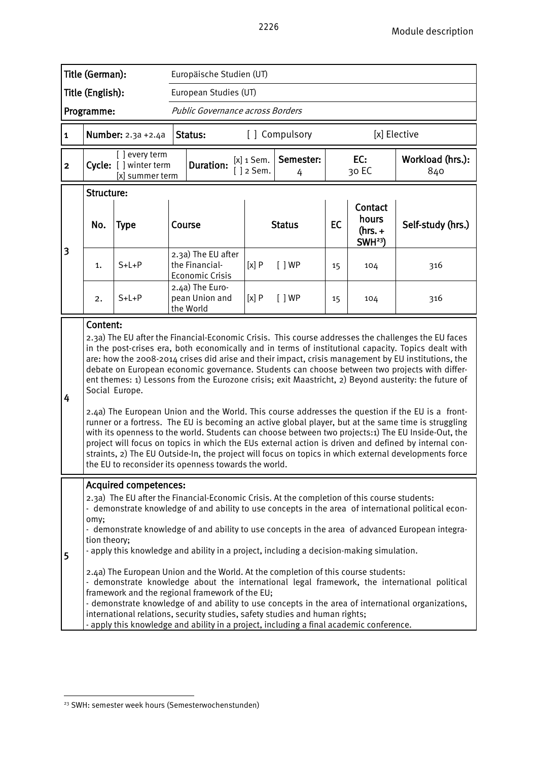|                         | Title (German):                                                                                                                                                                                                                                                                                                                                                                                                                                                                                                                                                                                                                                                                                                                                                                                                                                                                                                                                                                                                                                                                                                                                     |                                                            |  | Europäische Studien (UT)                                                                                                                                                                                                                                                                                                                                                                                                                                                                                    |                                                   |               |              |                                                    |                                                                                                                                                                                                                                                                                                                                                                                                               |  |
|-------------------------|-----------------------------------------------------------------------------------------------------------------------------------------------------------------------------------------------------------------------------------------------------------------------------------------------------------------------------------------------------------------------------------------------------------------------------------------------------------------------------------------------------------------------------------------------------------------------------------------------------------------------------------------------------------------------------------------------------------------------------------------------------------------------------------------------------------------------------------------------------------------------------------------------------------------------------------------------------------------------------------------------------------------------------------------------------------------------------------------------------------------------------------------------------|------------------------------------------------------------|--|-------------------------------------------------------------------------------------------------------------------------------------------------------------------------------------------------------------------------------------------------------------------------------------------------------------------------------------------------------------------------------------------------------------------------------------------------------------------------------------------------------------|---------------------------------------------------|---------------|--------------|----------------------------------------------------|---------------------------------------------------------------------------------------------------------------------------------------------------------------------------------------------------------------------------------------------------------------------------------------------------------------------------------------------------------------------------------------------------------------|--|
|                         | Title (English):                                                                                                                                                                                                                                                                                                                                                                                                                                                                                                                                                                                                                                                                                                                                                                                                                                                                                                                                                                                                                                                                                                                                    |                                                            |  | European Studies (UT)                                                                                                                                                                                                                                                                                                                                                                                                                                                                                       |                                                   |               |              |                                                    |                                                                                                                                                                                                                                                                                                                                                                                                               |  |
|                         | Programme:                                                                                                                                                                                                                                                                                                                                                                                                                                                                                                                                                                                                                                                                                                                                                                                                                                                                                                                                                                                                                                                                                                                                          |                                                            |  | Public Governance across Borders                                                                                                                                                                                                                                                                                                                                                                                                                                                                            |                                                   |               |              |                                                    |                                                                                                                                                                                                                                                                                                                                                                                                               |  |
| 1                       |                                                                                                                                                                                                                                                                                                                                                                                                                                                                                                                                                                                                                                                                                                                                                                                                                                                                                                                                                                                                                                                                                                                                                     | <b>Number:</b> 2.3a +2.4a                                  |  | Status:                                                                                                                                                                                                                                                                                                                                                                                                                                                                                                     | [] Compulsory                                     |               |              | [x] Elective                                       |                                                                                                                                                                                                                                                                                                                                                                                                               |  |
| $\overline{\mathbf{c}}$ |                                                                                                                                                                                                                                                                                                                                                                                                                                                                                                                                                                                                                                                                                                                                                                                                                                                                                                                                                                                                                                                                                                                                                     | [ ] every term<br>Cycle: [] winter term<br>[x] summer term |  | <b>Duration:</b>                                                                                                                                                                                                                                                                                                                                                                                                                                                                                            | Semester:<br>$[x]$ 1 Sem.<br>$\lceil$ 2 Sem.<br>4 |               | EC:<br>30 EC |                                                    | Workload (hrs.):<br>840                                                                                                                                                                                                                                                                                                                                                                                       |  |
|                         | Structure:<br>No.                                                                                                                                                                                                                                                                                                                                                                                                                                                                                                                                                                                                                                                                                                                                                                                                                                                                                                                                                                                                                                                                                                                                   | <b>Type</b>                                                |  | Course                                                                                                                                                                                                                                                                                                                                                                                                                                                                                                      |                                                   | <b>Status</b> | <b>EC</b>    | Contact<br>hours<br>$(hrs. +$<br>SWH <sup>23</sup> | Self-study (hrs.)                                                                                                                                                                                                                                                                                                                                                                                             |  |
| 3                       | 1.                                                                                                                                                                                                                                                                                                                                                                                                                                                                                                                                                                                                                                                                                                                                                                                                                                                                                                                                                                                                                                                                                                                                                  | $S+L+P$                                                    |  | 2.3a) The EU after<br>the Financial-<br><b>Economic Crisis</b>                                                                                                                                                                                                                                                                                                                                                                                                                                              | [x]P                                              | $\lceil$   WP | 15           | 104                                                | 316                                                                                                                                                                                                                                                                                                                                                                                                           |  |
|                         | 2.                                                                                                                                                                                                                                                                                                                                                                                                                                                                                                                                                                                                                                                                                                                                                                                                                                                                                                                                                                                                                                                                                                                                                  | $S+L+P$                                                    |  | 2.4a) The Euro-<br>pean Union and<br>the World                                                                                                                                                                                                                                                                                                                                                                                                                                                              | [x]P<br>[ ]WP<br>15                               |               |              | 104                                                | 316                                                                                                                                                                                                                                                                                                                                                                                                           |  |
| 4                       | Content:<br>2.3a) The EU after the Financial-Economic Crisis. This course addresses the challenges the EU faces<br>in the post-crises era, both economically and in terms of institutional capacity. Topics dealt with<br>are: how the 2008-2014 crises did arise and their impact, crisis management by EU institutions, the<br>debate on European economic governance. Students can choose between two projects with differ-<br>ent themes: 1) Lessons from the Eurozone crisis; exit Maastricht, 2) Beyond austerity: the future of<br>Social Europe.<br>2.4a) The European Union and the World. This course addresses the question if the EU is a front-<br>runner or a fortress. The EU is becoming an active global player, but at the same time is struggling<br>with its openness to the world. Students can choose between two projects:1) The EU Inside-Out, the<br>project will focus on topics in which the EUs external action is driven and defined by internal con-<br>straints, 2) The EU Outside-In, the project will focus on topics in which external developments force<br>the EU to reconsider its openness towards the world. |                                                            |  |                                                                                                                                                                                                                                                                                                                                                                                                                                                                                                             |                                                   |               |              |                                                    |                                                                                                                                                                                                                                                                                                                                                                                                               |  |
| 5                       | omy;<br>tion theory;                                                                                                                                                                                                                                                                                                                                                                                                                                                                                                                                                                                                                                                                                                                                                                                                                                                                                                                                                                                                                                                                                                                                | <b>Acquired competences:</b>                               |  | 2.3a) The EU after the Financial-Economic Crisis. At the completion of this course students:<br>- apply this knowledge and ability in a project, including a decision-making simulation.<br>2.4a) The European Union and the World. At the completion of this course students:<br>framework and the regional framework of the EU;<br>international relations, security studies, safety studies and human rights;<br>- apply this knowledge and ability in a project, including a final academic conference. |                                                   |               |              |                                                    | - demonstrate knowledge of and ability to use concepts in the area of international political econ-<br>- demonstrate knowledge of and ability to use concepts in the area of advanced European integra-<br>- demonstrate knowledge about the international legal framework, the international political<br>- demonstrate knowledge of and ability to use concepts in the area of international organizations, |  |

<span id="page-45-0"></span><sup>&</sup>lt;sup>23</sup> SWH: semester week hours (Semesterwochenstunden)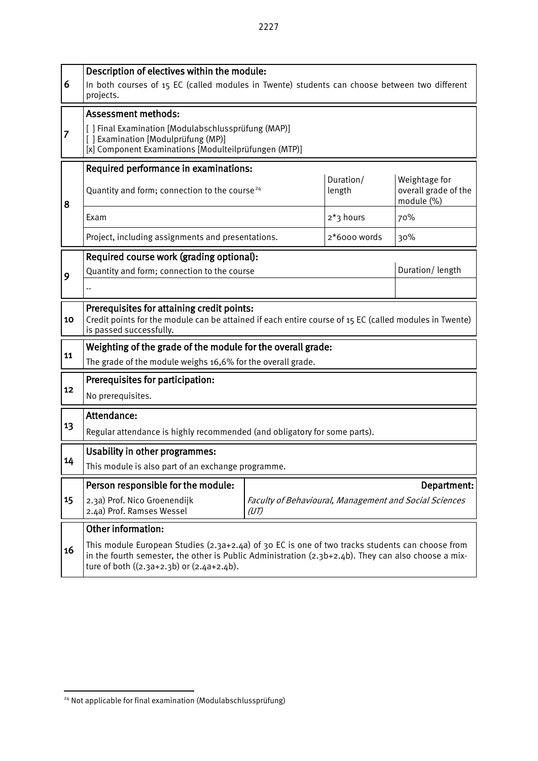| 6  | Description of electives within the module:<br>In both courses of 15 EC (called modules in Twente) students can choose between two different<br>projects.                                                                                                |              |                     |                                                     |  |  |  |  |  |
|----|----------------------------------------------------------------------------------------------------------------------------------------------------------------------------------------------------------------------------------------------------------|--------------|---------------------|-----------------------------------------------------|--|--|--|--|--|
|    | <b>Assessment methods:</b>                                                                                                                                                                                                                               |              |                     |                                                     |  |  |  |  |  |
| 7  | [ ] Final Examination [Modulabschlussprüfung (MAP)]<br>[] Examination [Modulprüfung (MP)]<br>[x] Component Examinations [Modulteilprüfungen (MTP)]                                                                                                       |              |                     |                                                     |  |  |  |  |  |
|    | Required performance in examinations:                                                                                                                                                                                                                    |              |                     |                                                     |  |  |  |  |  |
| 8  | Quantity and form; connection to the course <sup>24</sup>                                                                                                                                                                                                |              | Duration/<br>length | Weightage for<br>overall grade of the<br>module (%) |  |  |  |  |  |
|    | Exam                                                                                                                                                                                                                                                     |              | 2*3 hours           | 70%                                                 |  |  |  |  |  |
|    | Project, including assignments and presentations.                                                                                                                                                                                                        | 2*6000 words | 30%                 |                                                     |  |  |  |  |  |
|    | Required course work (grading optional):                                                                                                                                                                                                                 |              |                     |                                                     |  |  |  |  |  |
| 9  | Quantity and form; connection to the course                                                                                                                                                                                                              |              | Duration/length     |                                                     |  |  |  |  |  |
|    |                                                                                                                                                                                                                                                          |              |                     |                                                     |  |  |  |  |  |
| 10 | Prerequisites for attaining credit points:<br>Credit points for the module can be attained if each entire course of 15 EC (called modules in Twente)<br>is passed successfully.                                                                          |              |                     |                                                     |  |  |  |  |  |
|    | Weighting of the grade of the module for the overall grade:                                                                                                                                                                                              |              |                     |                                                     |  |  |  |  |  |
| 11 | The grade of the module weighs 16,6% for the overall grade.                                                                                                                                                                                              |              |                     |                                                     |  |  |  |  |  |
|    | Prerequisites for participation:                                                                                                                                                                                                                         |              |                     |                                                     |  |  |  |  |  |
| 12 | No prerequisites.                                                                                                                                                                                                                                        |              |                     |                                                     |  |  |  |  |  |
|    | Attendance:                                                                                                                                                                                                                                              |              |                     |                                                     |  |  |  |  |  |
| 13 | Regular attendance is highly recommended (and obligatory for some parts).                                                                                                                                                                                |              |                     |                                                     |  |  |  |  |  |
|    | <b>Usability in other programmes:</b>                                                                                                                                                                                                                    |              |                     |                                                     |  |  |  |  |  |
| 14 | This module is also part of an exchange programme.                                                                                                                                                                                                       |              |                     |                                                     |  |  |  |  |  |
|    | Person responsible for the module:                                                                                                                                                                                                                       |              |                     | Department:                                         |  |  |  |  |  |
| 15 | 2.3a) Prof. Nico Groenendijk<br>Faculty of Behavioural, Management and Social Sciences<br>2.4a) Prof. Ramses Wessel<br>(UT)                                                                                                                              |              |                     |                                                     |  |  |  |  |  |
|    | Other information:                                                                                                                                                                                                                                       |              |                     |                                                     |  |  |  |  |  |
| 16 | This module European Studies $(2.3a+2.4a)$ of 30 EC is one of two tracks students can choose from<br>in the fourth semester, the other is Public Administration $(2.3b+2.4b)$ . They can also choose a mix-<br>ture of both ((2.3a+2.3b) or (2.4a+2.4b). |              |                     |                                                     |  |  |  |  |  |

-

H

<span id="page-46-0"></span><sup>&</sup>lt;sup>24</sup> Not applicable for final examination (Modulabschlussprüfung)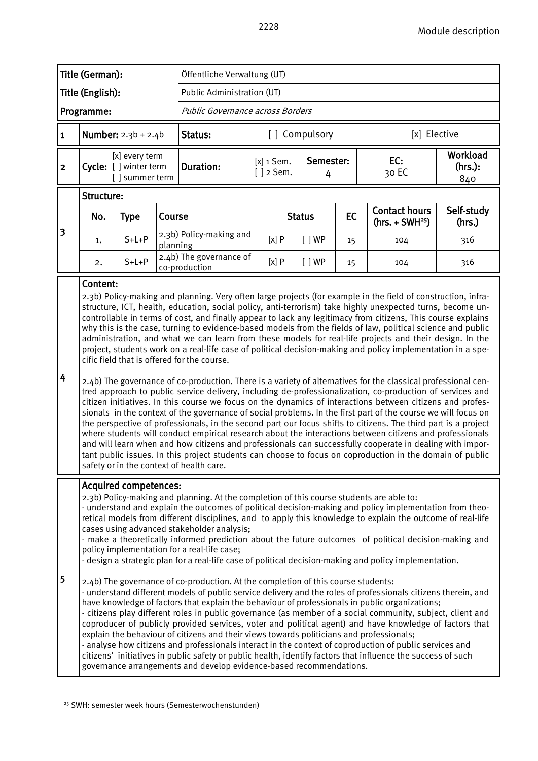|              | Title (German):                                                                                                                                                                                                                                                                                                                                                                                                                                                                                                                                                                                                                                                                                                                                                                                                                                                                                                                                                                                                                                                                                                                                                                                                                                                                                                                                                                                                                                                                                                                                                                                                                                                   |                                                            |          | Öffentliche Verwaltung (UT)              |                              |                |    |                                          |                            |  |
|--------------|-------------------------------------------------------------------------------------------------------------------------------------------------------------------------------------------------------------------------------------------------------------------------------------------------------------------------------------------------------------------------------------------------------------------------------------------------------------------------------------------------------------------------------------------------------------------------------------------------------------------------------------------------------------------------------------------------------------------------------------------------------------------------------------------------------------------------------------------------------------------------------------------------------------------------------------------------------------------------------------------------------------------------------------------------------------------------------------------------------------------------------------------------------------------------------------------------------------------------------------------------------------------------------------------------------------------------------------------------------------------------------------------------------------------------------------------------------------------------------------------------------------------------------------------------------------------------------------------------------------------------------------------------------------------|------------------------------------------------------------|----------|------------------------------------------|------------------------------|----------------|----|------------------------------------------|----------------------------|--|
|              | Title (English):                                                                                                                                                                                                                                                                                                                                                                                                                                                                                                                                                                                                                                                                                                                                                                                                                                                                                                                                                                                                                                                                                                                                                                                                                                                                                                                                                                                                                                                                                                                                                                                                                                                  |                                                            |          | Public Administration (UT)               |                              |                |    |                                          |                            |  |
|              | Programme:                                                                                                                                                                                                                                                                                                                                                                                                                                                                                                                                                                                                                                                                                                                                                                                                                                                                                                                                                                                                                                                                                                                                                                                                                                                                                                                                                                                                                                                                                                                                                                                                                                                        |                                                            |          | Public Governance across Borders         |                              |                |    |                                          |                            |  |
| $\mathbf{1}$ |                                                                                                                                                                                                                                                                                                                                                                                                                                                                                                                                                                                                                                                                                                                                                                                                                                                                                                                                                                                                                                                                                                                                                                                                                                                                                                                                                                                                                                                                                                                                                                                                                                                                   | <b>Number:</b> $2.3b + 2.4b$                               |          | Status:                                  |                              | [] Compulsory  |    | [x] Elective                             |                            |  |
| $\mathbf{2}$ |                                                                                                                                                                                                                                                                                                                                                                                                                                                                                                                                                                                                                                                                                                                                                                                                                                                                                                                                                                                                                                                                                                                                                                                                                                                                                                                                                                                                                                                                                                                                                                                                                                                                   | [x] every term<br>Cycle: [ ] winter term<br>[] summer term |          | <b>Duration:</b>                         | $[x]$ 1 Sem.<br>$[ ]$ 2 Sem. | Semester:<br>4 |    | EC:<br>30 EC                             | Workload<br>(hrs.):<br>840 |  |
|              | Structure:                                                                                                                                                                                                                                                                                                                                                                                                                                                                                                                                                                                                                                                                                                                                                                                                                                                                                                                                                                                                                                                                                                                                                                                                                                                                                                                                                                                                                                                                                                                                                                                                                                                        |                                                            |          |                                          |                              |                |    |                                          |                            |  |
|              | No.                                                                                                                                                                                                                                                                                                                                                                                                                                                                                                                                                                                                                                                                                                                                                                                                                                                                                                                                                                                                                                                                                                                                                                                                                                                                                                                                                                                                                                                                                                                                                                                                                                                               | <b>Type</b>                                                | Course   |                                          |                              | <b>Status</b>  | EC | <b>Contact hours</b><br>$(hrs. + SWH25)$ | Self-study<br>(hrs.)       |  |
| 3            | 1.                                                                                                                                                                                                                                                                                                                                                                                                                                                                                                                                                                                                                                                                                                                                                                                                                                                                                                                                                                                                                                                                                                                                                                                                                                                                                                                                                                                                                                                                                                                                                                                                                                                                | $S+L+P$                                                    | planning | 2.3b) Policy-making and                  | [x]P                         | [ ]WP          | 15 | 104                                      | 316                        |  |
|              | 2.                                                                                                                                                                                                                                                                                                                                                                                                                                                                                                                                                                                                                                                                                                                                                                                                                                                                                                                                                                                                                                                                                                                                                                                                                                                                                                                                                                                                                                                                                                                                                                                                                                                                | $S+L+P$                                                    |          | 2.4b) The governance of<br>co-production | [x]P                         | [ ]WP          | 15 | 104                                      | 316                        |  |
| 4            | Content:<br>2.3b) Policy-making and planning. Very often large projects (for example in the field of construction, infra-<br>structure, ICT, health, education, social policy, anti-terrorism) take highly unexpected turns, become un-<br>controllable in terms of cost, and finally appear to lack any legitimacy from citizens, This course explains<br>why this is the case, turning to evidence-based models from the fields of law, political science and public<br>administration, and what we can learn from these models for real-life projects and their design. In the<br>project, students work on a real-life case of political decision-making and policy implementation in a spe-<br>cific field that is offered for the course.<br>2.4b) The governance of co-production. There is a variety of alternatives for the classical professional cen-<br>tred approach to public service delivery, including de-professionalization, co-production of services and<br>citizen initiatives. In this course we focus on the dynamics of interactions between citizens and profes-<br>sionals in the context of the governance of social problems. In the first part of the course we will focus on<br>the perspective of professionals, in the second part our focus shifts to citizens. The third part is a project<br>where students will conduct empirical research about the interactions between citizens and professionals<br>and will learn when and how citizens and professionals can successfully cooperate in dealing with impor-<br>tant public issues. In this project students can choose to focus on coproduction in the domain of public |                                                            |          |                                          |                              |                |    |                                          |                            |  |
| 5            | safety or in the context of health care.<br><b>Acquired competences:</b><br>2.3b) Policy-making and planning. At the completion of this course students are able to:<br>- understand and explain the outcomes of political decision-making and policy implementation from theo-<br>retical models from different disciplines, and to apply this knowledge to explain the outcome of real-life<br>cases using advanced stakeholder analysis;<br>- make a theoretically informed prediction about the future outcomes of political decision-making and<br>policy implementation for a real-life case;<br>- design a strategic plan for a real-life case of political decision-making and policy implementation.<br>2.4b) The governance of co-production. At the completion of this course students:<br>- understand different models of public service delivery and the roles of professionals citizens therein, and<br>have knowledge of factors that explain the behaviour of professionals in public organizations;<br>- citizens play different roles in public governance (as member of a social community, subject, client and<br>coproducer of publicly provided services, voter and political agent) and have knowledge of factors that<br>explain the behaviour of citizens and their views towards politicians and professionals;<br>- analyse how citizens and professionals interact in the context of coproduction of public services and<br>citizens' initiatives in public safety or public health, identify factors that influence the success of such                                                                                             |                                                            |          |                                          |                              |                |    |                                          |                            |  |

<span id="page-47-0"></span><sup>&</sup>lt;sup>25</sup> SWH: semester week hours (Semesterwochenstunden)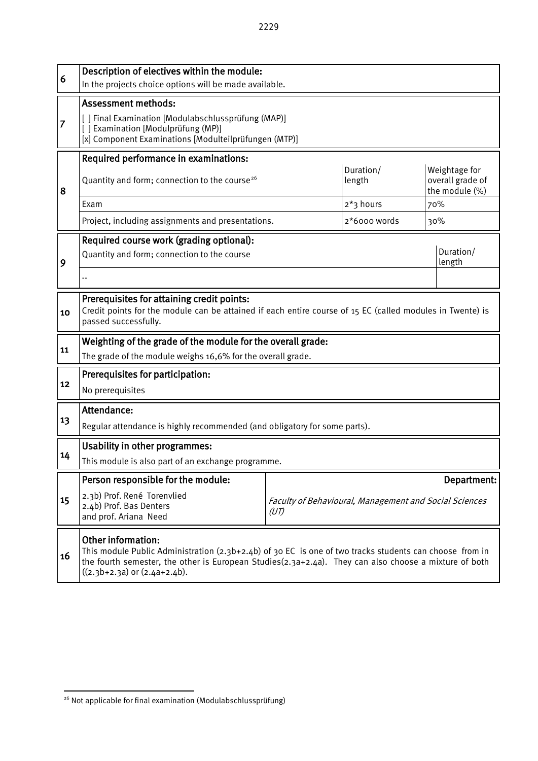| 6              | Description of electives within the module:<br>In the projects choice options will be made available.                                                                                                                                                                             |                                                                               |                                  |                                                            |  |  |  |  |
|----------------|-----------------------------------------------------------------------------------------------------------------------------------------------------------------------------------------------------------------------------------------------------------------------------------|-------------------------------------------------------------------------------|----------------------------------|------------------------------------------------------------|--|--|--|--|
| $\overline{7}$ | <b>Assessment methods:</b><br>[ ] Final Examination [Modulabschlussprüfung (MAP)]<br>[] Examination [Modulprüfung (MP)]<br>[x] Component Examinations [Modulteilprüfungen (MTP)]                                                                                                  |                                                                               |                                  |                                                            |  |  |  |  |
| 8              | Required performance in examinations:<br>Quantity and form; connection to the course <sup>26</sup><br>Exam                                                                                                                                                                        |                                                                               | Duration/<br>length<br>2*3 hours | Weightage for<br>overall grade of<br>the module (%)<br>70% |  |  |  |  |
|                | Project, including assignments and presentations.                                                                                                                                                                                                                                 | 2*6000 words                                                                  | 30%                              |                                                            |  |  |  |  |
| 9              | Required course work (grading optional):<br>Duration/<br>Quantity and form; connection to the course<br>length                                                                                                                                                                    |                                                                               |                                  |                                                            |  |  |  |  |
| 10             | Prerequisites for attaining credit points:<br>Credit points for the module can be attained if each entire course of 15 EC (called modules in Twente) is<br>passed successfully.                                                                                                   |                                                                               |                                  |                                                            |  |  |  |  |
| 11             | Weighting of the grade of the module for the overall grade:<br>The grade of the module weighs 16,6% for the overall grade.                                                                                                                                                        |                                                                               |                                  |                                                            |  |  |  |  |
| 12             | Prerequisites for participation:<br>No prerequisites                                                                                                                                                                                                                              |                                                                               |                                  |                                                            |  |  |  |  |
| 13             | Attendance:<br>Regular attendance is highly recommended (and obligatory for some parts).                                                                                                                                                                                          |                                                                               |                                  |                                                            |  |  |  |  |
| 14             | Usability in other programmes:<br>This module is also part of an exchange programme.                                                                                                                                                                                              |                                                                               |                                  |                                                            |  |  |  |  |
| 15             | Person responsible for the module:<br>2.3b) Prof. René Torenvlied<br>2.4b) Prof. Bas Denters<br>and prof. Ariana Need                                                                                                                                                             | Department:<br>Faculty of Behavioural, Management and Social Sciences<br>(UT) |                                  |                                                            |  |  |  |  |
| 16             | Other information:<br>This module Public Administration $(2.3b+2.4b)$ of 30 EC is one of two tracks students can choose from in<br>the fourth semester, the other is European Studies( $2.3a+2.4a$ ). They can also choose a mixture of both<br>$((2.3b+2.3a)$ or $(2.4a+2.4b)$ . |                                                                               |                                  |                                                            |  |  |  |  |

<span id="page-48-0"></span><sup>-</sup><sup>26</sup> Not applicable for final examination (Modulabschlussprüfung)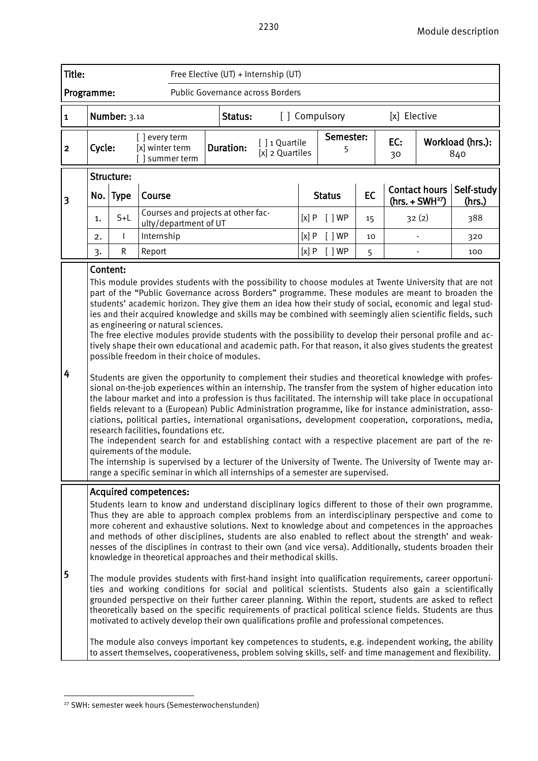| <b>Title:</b>           |                                                                                                                                                                                                                                                                                                                                                                                                                                                                                                                                                                                                                                                                                                                                                                                                                                                                                                                                                                                                                                                                                                                                                                                                                                                                                                                                                                                                                                                                                                                                                                                                                                                                                                        |                     |                                                                                                                                                                                                                                                                                                                                                                                                                                                                                                                                                                                                                                                                                                                                                                                                                                                                                                                                                                                                                                                                                                                                                                                                                                                                                                                                                                                                         | Free Elective (UT) + Internship (UT)       |                                  |      |                |    |                           |                      |                         |
|-------------------------|--------------------------------------------------------------------------------------------------------------------------------------------------------------------------------------------------------------------------------------------------------------------------------------------------------------------------------------------------------------------------------------------------------------------------------------------------------------------------------------------------------------------------------------------------------------------------------------------------------------------------------------------------------------------------------------------------------------------------------------------------------------------------------------------------------------------------------------------------------------------------------------------------------------------------------------------------------------------------------------------------------------------------------------------------------------------------------------------------------------------------------------------------------------------------------------------------------------------------------------------------------------------------------------------------------------------------------------------------------------------------------------------------------------------------------------------------------------------------------------------------------------------------------------------------------------------------------------------------------------------------------------------------------------------------------------------------------|---------------------|---------------------------------------------------------------------------------------------------------------------------------------------------------------------------------------------------------------------------------------------------------------------------------------------------------------------------------------------------------------------------------------------------------------------------------------------------------------------------------------------------------------------------------------------------------------------------------------------------------------------------------------------------------------------------------------------------------------------------------------------------------------------------------------------------------------------------------------------------------------------------------------------------------------------------------------------------------------------------------------------------------------------------------------------------------------------------------------------------------------------------------------------------------------------------------------------------------------------------------------------------------------------------------------------------------------------------------------------------------------------------------------------------------|--------------------------------------------|----------------------------------|------|----------------|----|---------------------------|----------------------|-------------------------|
| Programme:              |                                                                                                                                                                                                                                                                                                                                                                                                                                                                                                                                                                                                                                                                                                                                                                                                                                                                                                                                                                                                                                                                                                                                                                                                                                                                                                                                                                                                                                                                                                                                                                                                                                                                                                        |                     |                                                                                                                                                                                                                                                                                                                                                                                                                                                                                                                                                                                                                                                                                                                                                                                                                                                                                                                                                                                                                                                                                                                                                                                                                                                                                                                                                                                                         | Public Governance across Borders           |                                  |      |                |    |                           |                      |                         |
| $\mathbf 1$             |                                                                                                                                                                                                                                                                                                                                                                                                                                                                                                                                                                                                                                                                                                                                                                                                                                                                                                                                                                                                                                                                                                                                                                                                                                                                                                                                                                                                                                                                                                                                                                                                                                                                                                        | Number: 3.1a        |                                                                                                                                                                                                                                                                                                                                                                                                                                                                                                                                                                                                                                                                                                                                                                                                                                                                                                                                                                                                                                                                                                                                                                                                                                                                                                                                                                                                         | Status:                                    |                                  |      | [] Compulsory  |    | [x] Elective              |                      |                         |
| $\overline{\mathbf{c}}$ | Cycle:                                                                                                                                                                                                                                                                                                                                                                                                                                                                                                                                                                                                                                                                                                                                                                                                                                                                                                                                                                                                                                                                                                                                                                                                                                                                                                                                                                                                                                                                                                                                                                                                                                                                                                 |                     | [ ] every term<br>[x] winter term<br>[] summer term                                                                                                                                                                                                                                                                                                                                                                                                                                                                                                                                                                                                                                                                                                                                                                                                                                                                                                                                                                                                                                                                                                                                                                                                                                                                                                                                                     | <b>Duration:</b>                           | [] 1 Quartile<br>[x] 2 Quartiles |      | Semester:<br>5 |    | EC:<br>30                 |                      | Workload (hrs.):<br>840 |
| 3                       | No.                                                                                                                                                                                                                                                                                                                                                                                                                                                                                                                                                                                                                                                                                                                                                                                                                                                                                                                                                                                                                                                                                                                                                                                                                                                                                                                                                                                                                                                                                                                                                                                                                                                                                                    | Structure:<br> Type | Course                                                                                                                                                                                                                                                                                                                                                                                                                                                                                                                                                                                                                                                                                                                                                                                                                                                                                                                                                                                                                                                                                                                                                                                                                                                                                                                                                                                                  |                                            |                                  |      | <b>Status</b>  | EC |                           | <b>Contact hours</b> | Self-study<br>(hrs.)    |
|                         | 1.                                                                                                                                                                                                                                                                                                                                                                                                                                                                                                                                                                                                                                                                                                                                                                                                                                                                                                                                                                                                                                                                                                                                                                                                                                                                                                                                                                                                                                                                                                                                                                                                                                                                                                     | $S+L$               | ulty/department of UT                                                                                                                                                                                                                                                                                                                                                                                                                                                                                                                                                                                                                                                                                                                                                                                                                                                                                                                                                                                                                                                                                                                                                                                                                                                                                                                                                                                   | Courses and projects at other fac-<br>[x]P |                                  |      | [ ]WP          | 15 | $(hrs. + SWH27)$<br>32(2) |                      | 388                     |
|                         | 2.                                                                                                                                                                                                                                                                                                                                                                                                                                                                                                                                                                                                                                                                                                                                                                                                                                                                                                                                                                                                                                                                                                                                                                                                                                                                                                                                                                                                                                                                                                                                                                                                                                                                                                     |                     | Internship                                                                                                                                                                                                                                                                                                                                                                                                                                                                                                                                                                                                                                                                                                                                                                                                                                                                                                                                                                                                                                                                                                                                                                                                                                                                                                                                                                                              |                                            |                                  | [x]P | [ ]WP          | 10 |                           |                      |                         |
|                         | 3.                                                                                                                                                                                                                                                                                                                                                                                                                                                                                                                                                                                                                                                                                                                                                                                                                                                                                                                                                                                                                                                                                                                                                                                                                                                                                                                                                                                                                                                                                                                                                                                                                                                                                                     | $\mathsf R$         | Report                                                                                                                                                                                                                                                                                                                                                                                                                                                                                                                                                                                                                                                                                                                                                                                                                                                                                                                                                                                                                                                                                                                                                                                                                                                                                                                                                                                                  |                                            |                                  | [x]P | [ ]WP          | 5  |                           |                      | 100                     |
| 4                       | Content:<br>This module provides students with the possibility to choose modules at Twente University that are not<br>part of the "Public Governance across Borders" programme. These modules are meant to broaden the<br>students' academic horizon. They give them an idea how their study of social, economic and legal stud-<br>ies and their acquired knowledge and skills may be combined with seemingly alien scientific fields, such<br>as engineering or natural sciences.<br>The free elective modules provide students with the possibility to develop their personal profile and ac-<br>tively shape their own educational and academic path. For that reason, it also gives students the greatest<br>possible freedom in their choice of modules.<br>Students are given the opportunity to complement their studies and theoretical knowledge with profes-<br>sional on-the-job experiences within an internship. The transfer from the system of higher education into<br>the labour market and into a profession is thus facilitated. The internship will take place in occupational<br>fields relevant to a (European) Public Administration programme, like for instance administration, asso-<br>ciations, political parties, international organisations, development cooperation, corporations, media,<br>research facilities, foundations etc.<br>The independent search for and establishing contact with a respective placement are part of the re-<br>quirements of the module.<br>The internship is supervised by a lecturer of the University of Twente. The University of Twente may ar-<br>range a specific seminar in which all internships of a semester are supervised. |                     |                                                                                                                                                                                                                                                                                                                                                                                                                                                                                                                                                                                                                                                                                                                                                                                                                                                                                                                                                                                                                                                                                                                                                                                                                                                                                                                                                                                                         |                                            |                                  |      |                |    |                           |                      |                         |
| 5                       |                                                                                                                                                                                                                                                                                                                                                                                                                                                                                                                                                                                                                                                                                                                                                                                                                                                                                                                                                                                                                                                                                                                                                                                                                                                                                                                                                                                                                                                                                                                                                                                                                                                                                                        |                     | <b>Acquired competences:</b><br>Students learn to know and understand disciplinary logics different to those of their own programme.<br>Thus they are able to approach complex problems from an interdisciplinary perspective and come to<br>more coherent and exhaustive solutions. Next to knowledge about and competences in the approaches<br>and methods of other disciplines, students are also enabled to reflect about the strength' and weak-<br>nesses of the disciplines in contrast to their own (and vice versa). Additionally, students broaden their<br>knowledge in theoretical approaches and their methodical skills.<br>The module provides students with first-hand insight into qualification requirements, career opportuni-<br>ties and working conditions for social and political scientists. Students also gain a scientifically<br>grounded perspective on their further career planning. Within the report, students are asked to reflect<br>theoretically based on the specific requirements of practical political science fields. Students are thus<br>motivated to actively develop their own qualifications profile and professional competences.<br>The module also conveys important key competences to students, e.g. independent working, the ability<br>to assert themselves, cooperativeness, problem solving skills, self- and time management and flexibility. |                                            |                                  |      |                |    |                           |                      |                         |

<span id="page-49-0"></span><sup>&</sup>lt;sup>27</sup> SWH: semester week hours (Semesterwochenstunden)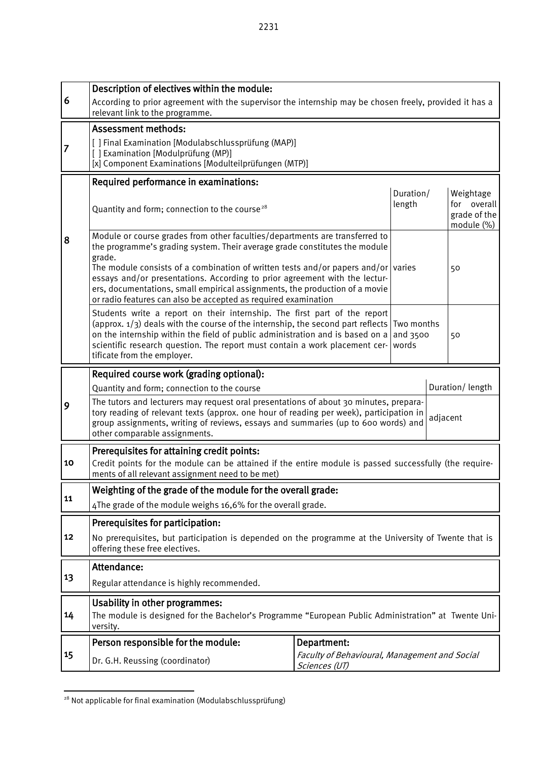Description of electives within the module: According to prior agreement with the supervisor the internship may be chosen freely, provided it has a relevant link to the programme. Assessment methods: [ ] Final Examination [Modulabschlussprüfung (MAP)] [ ] Examination [Modulprüfung (MP)] [x] Component Examinations [Modulteilprüfungen (MTP)] Required performance in examinations: Quantity and form; connection to the course<sup>[28](#page-50-0)</sup> Duration/ length Weightage for overall grade of the module (%) Module or course grades from other faculties/departments are transferred to the programme's grading system. Their average grade constitutes the module The module consists of a combination of written tests and/or papers and/or varies  $\vert$ 50 essays and/or presentations. According to prior agreement with the lecturers, documentations, small empirical assignments, the production of a movie or radio features can also be accepted as required examination Students write a report on their internship. The first part of the report (approx.  $1/3$ ) deals with the course of the internship, the second part reflects Two months on the internship within the field of public administration and is based on a and 3500 scientific research question. The report must contain a work placement cer- words tificate from the employer. 50 Required course work (grading optional):

|    | Quantity and form; connection to the course                                                                                                                                                                                                                                                            | Duration/length |  |  |  |  |  |
|----|--------------------------------------------------------------------------------------------------------------------------------------------------------------------------------------------------------------------------------------------------------------------------------------------------------|-----------------|--|--|--|--|--|
| 9  | The tutors and lecturers may request oral presentations of about 30 minutes, prepara-<br>tory reading of relevant texts (approx. one hour of reading per week), participation in<br>group assignments, writing of reviews, essays and summaries (up to 600 words) and<br>other comparable assignments. | adjacent        |  |  |  |  |  |
|    | Prerequisites for attaining credit points:                                                                                                                                                                                                                                                             |                 |  |  |  |  |  |
| 10 | Credit points for the module can be attained if the entire module is passed successfully (the require-<br>ments of all relevant assignment need to be met)                                                                                                                                             |                 |  |  |  |  |  |
|    | Weighting of the grade of the module for the overall grade:                                                                                                                                                                                                                                            |                 |  |  |  |  |  |
| 11 | 4The grade of the module weighs 16,6% for the overall grade.                                                                                                                                                                                                                                           |                 |  |  |  |  |  |
|    | Prerequisites for participation:                                                                                                                                                                                                                                                                       |                 |  |  |  |  |  |
| 12 | No prerequisites, but participation is depended on the programme at the University of Twente that is<br>offering these free electives.                                                                                                                                                                 |                 |  |  |  |  |  |
|    | Attendance:                                                                                                                                                                                                                                                                                            |                 |  |  |  |  |  |
| 13 | Regular attendance is highly recommended.                                                                                                                                                                                                                                                              |                 |  |  |  |  |  |

|    | Allchuance.                                                                                                                                       |                                                                |  |  |  |  |  |  |
|----|---------------------------------------------------------------------------------------------------------------------------------------------------|----------------------------------------------------------------|--|--|--|--|--|--|
| 13 | Regular attendance is highly recommended.                                                                                                         |                                                                |  |  |  |  |  |  |
| 14 | Usability in other programmes:<br>The module is designed for the Bachelor's Programme "European Public Administration" at Twente Uni-<br>versity. |                                                                |  |  |  |  |  |  |
|    | Person responsible for the module:                                                                                                                | Department:                                                    |  |  |  |  |  |  |
| 15 | Dr. G.H. Reussing (coordinator)                                                                                                                   | Faculty of Behavioural, Management and Social<br>Sciences (UT) |  |  |  |  |  |  |

6

7

8

grade.

<span id="page-50-0"></span><sup>-</sup><sup>28</sup> Not applicable for final examination (Modulabschlussprüfung)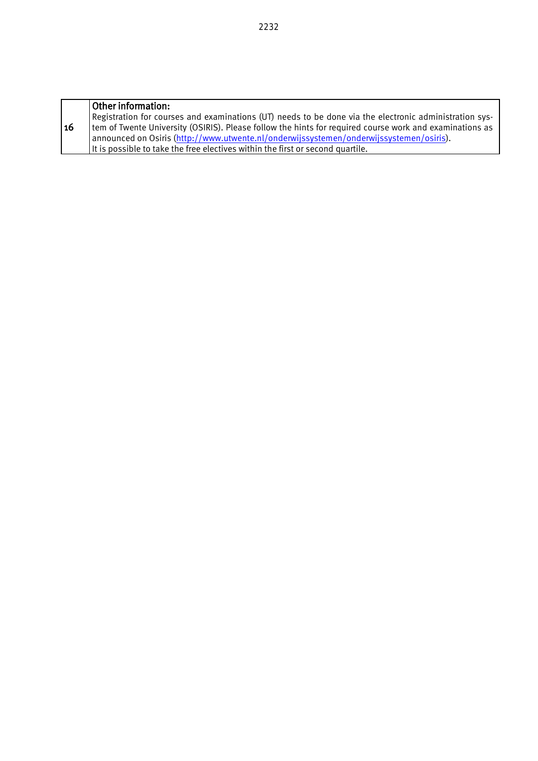|    | Other information:                                                                                      |
|----|---------------------------------------------------------------------------------------------------------|
|    | Registration for courses and examinations (UT) needs to be done via the electronic administration sys-  |
| 16 | tem of Twente University (OSIRIS). Please follow the hints for required course work and examinations as |
|    | announced on Osiris (http://www.utwente.nl/onderwijssystemen/onderwijssystemen/osiris).                 |
|    | It is possible to take the free electives within the first or second quartile.                          |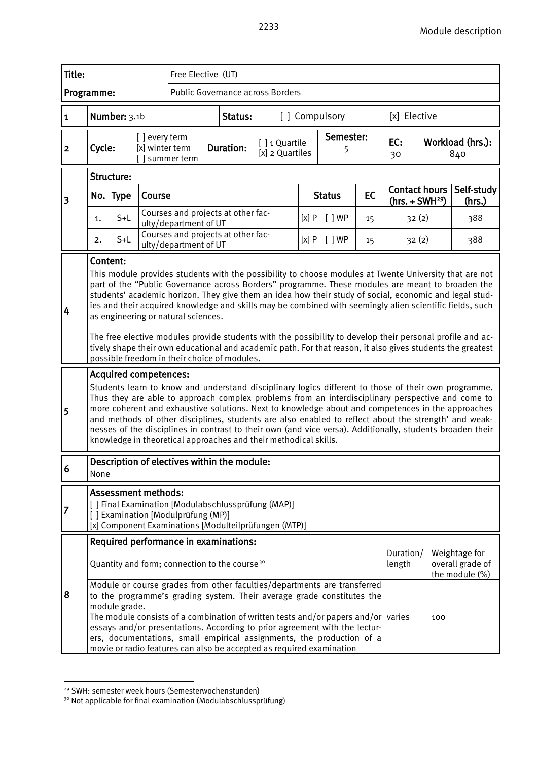| Title:                  |                                                                                                                                                                                                                                                                                                                                                                                                                                                                                                                                                                                                                                                                                                                                                                                                                                                                                                                                                                                                                                                                                                                                                                                                                          |               |                                  | Free Elective (UT)                 |                                                                                                                                                                                                                                                                                                                                                                                                                                                                        |                                  |               |                |    |                      |     |                                    |
|-------------------------|--------------------------------------------------------------------------------------------------------------------------------------------------------------------------------------------------------------------------------------------------------------------------------------------------------------------------------------------------------------------------------------------------------------------------------------------------------------------------------------------------------------------------------------------------------------------------------------------------------------------------------------------------------------------------------------------------------------------------------------------------------------------------------------------------------------------------------------------------------------------------------------------------------------------------------------------------------------------------------------------------------------------------------------------------------------------------------------------------------------------------------------------------------------------------------------------------------------------------|---------------|----------------------------------|------------------------------------|------------------------------------------------------------------------------------------------------------------------------------------------------------------------------------------------------------------------------------------------------------------------------------------------------------------------------------------------------------------------------------------------------------------------------------------------------------------------|----------------------------------|---------------|----------------|----|----------------------|-----|------------------------------------|
| Programme:              |                                                                                                                                                                                                                                                                                                                                                                                                                                                                                                                                                                                                                                                                                                                                                                                                                                                                                                                                                                                                                                                                                                                                                                                                                          |               |                                  |                                    | Public Governance across Borders                                                                                                                                                                                                                                                                                                                                                                                                                                       |                                  |               |                |    |                      |     |                                    |
| $\overline{\mathbf{1}}$ |                                                                                                                                                                                                                                                                                                                                                                                                                                                                                                                                                                                                                                                                                                                                                                                                                                                                                                                                                                                                                                                                                                                                                                                                                          | Number: 3.1b  |                                  |                                    | Status:                                                                                                                                                                                                                                                                                                                                                                                                                                                                |                                  |               | [] Compulsory  |    | [x] Elective         |     |                                    |
| $\overline{\mathbf{2}}$ | Cycle:                                                                                                                                                                                                                                                                                                                                                                                                                                                                                                                                                                                                                                                                                                                                                                                                                                                                                                                                                                                                                                                                                                                                                                                                                   |               | [] every term<br>[x] winter term | summer term                        | <b>Duration:</b>                                                                                                                                                                                                                                                                                                                                                                                                                                                       | [] 1 Quartile<br>[x] 2 Quartiles |               | Semester:<br>5 |    | EC:<br>30            |     | Workload (hrs.):<br>840            |
|                         |                                                                                                                                                                                                                                                                                                                                                                                                                                                                                                                                                                                                                                                                                                                                                                                                                                                                                                                                                                                                                                                                                                                                                                                                                          | Structure:    | Course                           |                                    |                                                                                                                                                                                                                                                                                                                                                                                                                                                                        |                                  |               |                | EC | <b>Contact hours</b> |     | Self-study                         |
| 3                       | No.                                                                                                                                                                                                                                                                                                                                                                                                                                                                                                                                                                                                                                                                                                                                                                                                                                                                                                                                                                                                                                                                                                                                                                                                                      | <b>Type</b>   |                                  | Courses and projects at other fac- |                                                                                                                                                                                                                                                                                                                                                                                                                                                                        |                                  | <b>Status</b> |                |    | $(hrs. + SWH29)$     |     | (hrs.)                             |
|                         | 1.                                                                                                                                                                                                                                                                                                                                                                                                                                                                                                                                                                                                                                                                                                                                                                                                                                                                                                                                                                                                                                                                                                                                                                                                                       | $S+L$         |                                  | ulty/department of UT              | Courses and projects at other fac-                                                                                                                                                                                                                                                                                                                                                                                                                                     |                                  | [x]P          | [ ]WP          | 15 | 32(2)                | 388 |                                    |
|                         | 2.                                                                                                                                                                                                                                                                                                                                                                                                                                                                                                                                                                                                                                                                                                                                                                                                                                                                                                                                                                                                                                                                                                                                                                                                                       | $S+L$         |                                  | ulty/department of UT              |                                                                                                                                                                                                                                                                                                                                                                                                                                                                        |                                  |               | [x] P [ ] WP   | 15 | 32(2)                |     | 388                                |
| 4<br>$\overline{5}$     | Content:<br>This module provides students with the possibility to choose modules at Twente University that are not<br>part of the "Public Governance across Borders" programme. These modules are meant to broaden the<br>students' academic horizon. They give them an idea how their study of social, economic and legal stud-<br>ies and their acquired knowledge and skills may be combined with seemingly alien scientific fields, such<br>as engineering or natural sciences.<br>The free elective modules provide students with the possibility to develop their personal profile and ac-<br>tively shape their own educational and academic path. For that reason, it also gives students the greatest<br>possible freedom in their choice of modules.<br><b>Acquired competences:</b><br>Students learn to know and understand disciplinary logics different to those of their own programme.<br>Thus they are able to approach complex problems from an interdisciplinary perspective and come to<br>more coherent and exhaustive solutions. Next to knowledge about and competences in the approaches<br>and methods of other disciplines, students are also enabled to reflect about the strength' and weak- |               |                                  |                                    |                                                                                                                                                                                                                                                                                                                                                                                                                                                                        |                                  |               |                |    |                      |     |                                    |
|                         |                                                                                                                                                                                                                                                                                                                                                                                                                                                                                                                                                                                                                                                                                                                                                                                                                                                                                                                                                                                                                                                                                                                                                                                                                          |               |                                  |                                    | knowledge in theoretical approaches and their methodical skills.                                                                                                                                                                                                                                                                                                                                                                                                       |                                  |               |                |    |                      |     |                                    |
| $\vert 6$               | None                                                                                                                                                                                                                                                                                                                                                                                                                                                                                                                                                                                                                                                                                                                                                                                                                                                                                                                                                                                                                                                                                                                                                                                                                     |               |                                  |                                    | Description of electives within the module:                                                                                                                                                                                                                                                                                                                                                                                                                            |                                  |               |                |    |                      |     |                                    |
| $\vert 7$               |                                                                                                                                                                                                                                                                                                                                                                                                                                                                                                                                                                                                                                                                                                                                                                                                                                                                                                                                                                                                                                                                                                                                                                                                                          |               | <b>Assessment methods:</b>       | [] Examination [Modulprüfung (MP)] | [ ] Final Examination [Modulabschlussprüfung (MAP)]<br>[x] Component Examinations [Modulteilprüfungen (MTP)]                                                                                                                                                                                                                                                                                                                                                           |                                  |               |                |    |                      |     |                                    |
|                         |                                                                                                                                                                                                                                                                                                                                                                                                                                                                                                                                                                                                                                                                                                                                                                                                                                                                                                                                                                                                                                                                                                                                                                                                                          |               |                                  |                                    | Required performance in examinations:                                                                                                                                                                                                                                                                                                                                                                                                                                  |                                  |               |                |    |                      |     | Weightage for                      |
|                         |                                                                                                                                                                                                                                                                                                                                                                                                                                                                                                                                                                                                                                                                                                                                                                                                                                                                                                                                                                                                                                                                                                                                                                                                                          |               |                                  |                                    | Quantity and form; connection to the course <sup>30</sup>                                                                                                                                                                                                                                                                                                                                                                                                              |                                  |               |                |    | Duration/<br>length  |     | overall grade of<br>the module (%) |
| 8                       |                                                                                                                                                                                                                                                                                                                                                                                                                                                                                                                                                                                                                                                                                                                                                                                                                                                                                                                                                                                                                                                                                                                                                                                                                          | module grade. |                                  |                                    | Module or course grades from other faculties/departments are transferred<br>to the programme's grading system. Their average grade constitutes the<br>The module consists of a combination of written tests and/or papers and/or varies<br>essays and/or presentations. According to prior agreement with the lectur-<br>ers, documentations, small empirical assignments, the production of a<br>movie or radio features can also be accepted as required examination |                                  |               |                |    |                      | 100 |                                    |

<span id="page-52-0"></span><sup>&</sup>lt;sup>29</sup> SWH: semester week hours (Semesterwochenstunden)

<span id="page-52-1"></span><sup>&</sup>lt;sup>30</sup> Not applicable for final examination (Modulabschlussprüfung)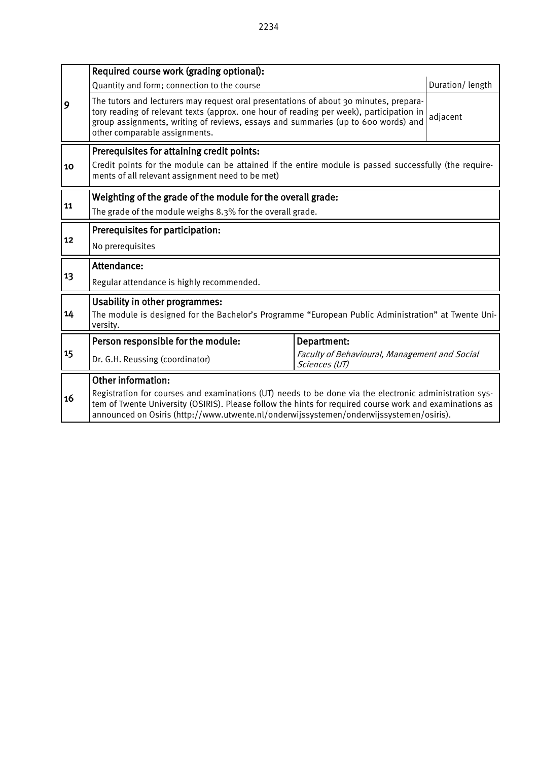|                                                                   | Required course work (grading optional):                                                                                                                                                                                                                                                                     |                                                                |                 |  |  |  |  |  |
|-------------------------------------------------------------------|--------------------------------------------------------------------------------------------------------------------------------------------------------------------------------------------------------------------------------------------------------------------------------------------------------------|----------------------------------------------------------------|-----------------|--|--|--|--|--|
|                                                                   | Quantity and form; connection to the course                                                                                                                                                                                                                                                                  |                                                                | Duration/length |  |  |  |  |  |
| 9                                                                 | The tutors and lecturers may request oral presentations of about 30 minutes, prepara-<br>tory reading of relevant texts (approx. one hour of reading per week), participation in<br>group assignments, writing of reviews, essays and summaries (up to 600 words) and<br>other comparable assignments.       | adjacent                                                       |                 |  |  |  |  |  |
|                                                                   | Prerequisites for attaining credit points:                                                                                                                                                                                                                                                                   |                                                                |                 |  |  |  |  |  |
| 10                                                                | Credit points for the module can be attained if the entire module is passed successfully (the require-<br>ments of all relevant assignment need to be met)                                                                                                                                                   |                                                                |                 |  |  |  |  |  |
| Weighting of the grade of the module for the overall grade:<br>11 |                                                                                                                                                                                                                                                                                                              |                                                                |                 |  |  |  |  |  |
|                                                                   | The grade of the module weighs 8.3% for the overall grade.                                                                                                                                                                                                                                                   |                                                                |                 |  |  |  |  |  |
|                                                                   | Prerequisites for participation:                                                                                                                                                                                                                                                                             |                                                                |                 |  |  |  |  |  |
| 12                                                                | No prerequisites                                                                                                                                                                                                                                                                                             |                                                                |                 |  |  |  |  |  |
|                                                                   | Attendance:                                                                                                                                                                                                                                                                                                  |                                                                |                 |  |  |  |  |  |
| 13                                                                | Regular attendance is highly recommended.                                                                                                                                                                                                                                                                    |                                                                |                 |  |  |  |  |  |
|                                                                   | <b>Usability in other programmes:</b>                                                                                                                                                                                                                                                                        |                                                                |                 |  |  |  |  |  |
| 14                                                                | The module is designed for the Bachelor's Programme "European Public Administration" at Twente Uni-<br>versity.                                                                                                                                                                                              |                                                                |                 |  |  |  |  |  |
|                                                                   | Person responsible for the module:                                                                                                                                                                                                                                                                           | Department:                                                    |                 |  |  |  |  |  |
| 15                                                                | Dr. G.H. Reussing (coordinator)                                                                                                                                                                                                                                                                              | Faculty of Behavioural, Management and Social<br>Sciences (UT) |                 |  |  |  |  |  |
|                                                                   | <b>Other information:</b>                                                                                                                                                                                                                                                                                    |                                                                |                 |  |  |  |  |  |
| 16                                                                | Registration for courses and examinations (UT) needs to be done via the electronic administration sys-<br>tem of Twente University (OSIRIS). Please follow the hints for required course work and examinations as<br>announced on Osiris (http://www.utwente.nl/onderwijssystemen/onderwijssystemen/osiris). |                                                                |                 |  |  |  |  |  |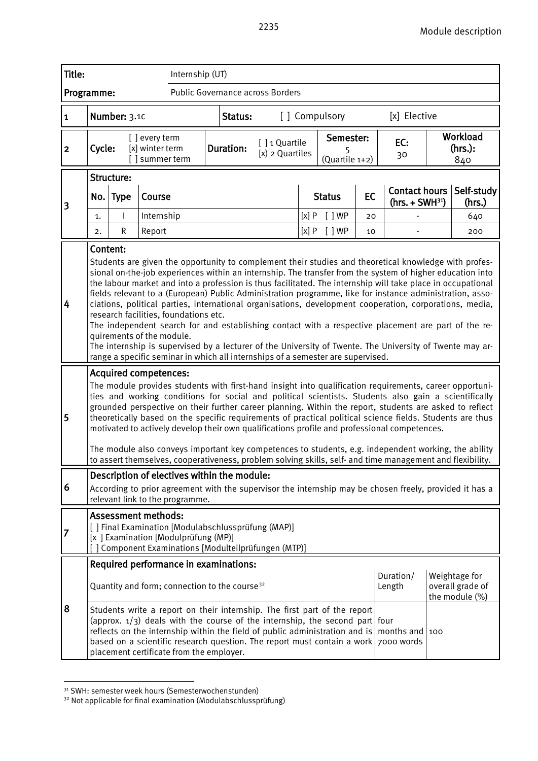| Title:       |                                                                                                                                                                                                                                                                                                                                                                                                                                                                                                                                                                                                                                                                                                                                                                                                                                                                                                                                                  |                              |                                                    | Internship (UT)                                                                                                                                                                                                                                                                        |  |                                                           |               |                                  |               |                             |       |                                          |                                                                                                                                                                                                                                                                                                                                                                                                                                                                                                                                                                                                                                                                                                                                                              |                      |                                                     |
|--------------|--------------------------------------------------------------------------------------------------------------------------------------------------------------------------------------------------------------------------------------------------------------------------------------------------------------------------------------------------------------------------------------------------------------------------------------------------------------------------------------------------------------------------------------------------------------------------------------------------------------------------------------------------------------------------------------------------------------------------------------------------------------------------------------------------------------------------------------------------------------------------------------------------------------------------------------------------|------------------------------|----------------------------------------------------|----------------------------------------------------------------------------------------------------------------------------------------------------------------------------------------------------------------------------------------------------------------------------------------|--|-----------------------------------------------------------|---------------|----------------------------------|---------------|-----------------------------|-------|------------------------------------------|--------------------------------------------------------------------------------------------------------------------------------------------------------------------------------------------------------------------------------------------------------------------------------------------------------------------------------------------------------------------------------------------------------------------------------------------------------------------------------------------------------------------------------------------------------------------------------------------------------------------------------------------------------------------------------------------------------------------------------------------------------------|----------------------|-----------------------------------------------------|
| Programme:   |                                                                                                                                                                                                                                                                                                                                                                                                                                                                                                                                                                                                                                                                                                                                                                                                                                                                                                                                                  |                              |                                                    | Public Governance across Borders                                                                                                                                                                                                                                                       |  |                                                           |               |                                  |               |                             |       |                                          |                                                                                                                                                                                                                                                                                                                                                                                                                                                                                                                                                                                                                                                                                                                                                              |                      |                                                     |
| $\vert$ 1    |                                                                                                                                                                                                                                                                                                                                                                                                                                                                                                                                                                                                                                                                                                                                                                                                                                                                                                                                                  | Number: 3.10                 |                                                    |                                                                                                                                                                                                                                                                                        |  | Status:                                                   |               |                                  | [] Compulsory |                             |       |                                          | [x] Elective                                                                                                                                                                                                                                                                                                                                                                                                                                                                                                                                                                                                                                                                                                                                                 |                      |                                                     |
| $\mathbf{2}$ | Cycle:                                                                                                                                                                                                                                                                                                                                                                                                                                                                                                                                                                                                                                                                                                                                                                                                                                                                                                                                           |                              | [] every term<br>[x] winter term<br>[] summer term |                                                                                                                                                                                                                                                                                        |  | <b>Duration:</b>                                          |               | [] 1 Quartile<br>(x) 2 Quartiles |               | Semester:<br>(Quartile 1+2) |       |                                          | EC:<br>30                                                                                                                                                                                                                                                                                                                                                                                                                                                                                                                                                                                                                                                                                                                                                    |                      | Workload<br>$(hrs.)$ :<br>840                       |
|              |                                                                                                                                                                                                                                                                                                                                                                                                                                                                                                                                                                                                                                                                                                                                                                                                                                                                                                                                                  | Structure:                   |                                                    |                                                                                                                                                                                                                                                                                        |  |                                                           |               |                                  |               |                             |       |                                          |                                                                                                                                                                                                                                                                                                                                                                                                                                                                                                                                                                                                                                                                                                                                                              |                      |                                                     |
| 3            | <b>Type</b><br>No.<br>Course                                                                                                                                                                                                                                                                                                                                                                                                                                                                                                                                                                                                                                                                                                                                                                                                                                                                                                                     |                              |                                                    |                                                                                                                                                                                                                                                                                        |  |                                                           |               |                                  | <b>Status</b> |                             | EC    | <b>Contact hours</b><br>$(hrs. + SWH31)$ |                                                                                                                                                                                                                                                                                                                                                                                                                                                                                                                                                                                                                                                                                                                                                              | Self-study<br>(hrs.) |                                                     |
|              | 1.                                                                                                                                                                                                                                                                                                                                                                                                                                                                                                                                                                                                                                                                                                                                                                                                                                                                                                                                               |                              | Internship                                         |                                                                                                                                                                                                                                                                                        |  |                                                           | [ ]WP<br>[x]P |                                  | 20            |                             |       | 640                                      |                                                                                                                                                                                                                                                                                                                                                                                                                                                                                                                                                                                                                                                                                                                                                              |                      |                                                     |
|              | 2.                                                                                                                                                                                                                                                                                                                                                                                                                                                                                                                                                                                                                                                                                                                                                                                                                                                                                                                                               | $\mathsf R$                  | Report                                             |                                                                                                                                                                                                                                                                                        |  |                                                           |               |                                  | [x]P          |                             | [ ]WP | 10                                       |                                                                                                                                                                                                                                                                                                                                                                                                                                                                                                                                                                                                                                                                                                                                                              |                      | 200                                                 |
| 4            | Content:<br>Students are given the opportunity to complement their studies and theoretical knowledge with profes-<br>sional on-the-job experiences within an internship. The transfer from the system of higher education into<br>the labour market and into a profession is thus facilitated. The internship will take place in occupational<br>fields relevant to a (European) Public Administration programme, like for instance administration, asso-<br>ciations, political parties, international organisations, development cooperation, corporations, media,<br>research facilities, foundations etc.<br>The independent search for and establishing contact with a respective placement are part of the re-<br>quirements of the module.<br>The internship is supervised by a lecturer of the University of Twente. The University of Twente may ar-<br>range a specific seminar in which all internships of a semester are supervised. |                              |                                                    |                                                                                                                                                                                                                                                                                        |  |                                                           |               |                                  |               |                             |       |                                          |                                                                                                                                                                                                                                                                                                                                                                                                                                                                                                                                                                                                                                                                                                                                                              |                      |                                                     |
| 5            |                                                                                                                                                                                                                                                                                                                                                                                                                                                                                                                                                                                                                                                                                                                                                                                                                                                                                                                                                  | <b>Acquired competences:</b> |                                                    |                                                                                                                                                                                                                                                                                        |  |                                                           |               |                                  |               |                             |       |                                          | The module provides students with first-hand insight into qualification requirements, career opportuni-<br>ties and working conditions for social and political scientists. Students also gain a scientifically<br>grounded perspective on their further career planning. Within the report, students are asked to reflect<br>theoretically based on the specific requirements of practical political science fields. Students are thus<br>motivated to actively develop their own qualifications profile and professional competences.<br>The module also conveys important key competences to students, e.g. independent working, the ability<br>to assert themselves, cooperativeness, problem solving skills, self- and time management and flexibility. |                      |                                                     |
| 6            |                                                                                                                                                                                                                                                                                                                                                                                                                                                                                                                                                                                                                                                                                                                                                                                                                                                                                                                                                  |                              |                                                    | Description of electives within the module:<br>relevant link to the programme.                                                                                                                                                                                                         |  |                                                           |               |                                  |               |                             |       |                                          | According to prior agreement with the supervisor the internship may be chosen freely, provided it has a                                                                                                                                                                                                                                                                                                                                                                                                                                                                                                                                                                                                                                                      |                      |                                                     |
| 7            |                                                                                                                                                                                                                                                                                                                                                                                                                                                                                                                                                                                                                                                                                                                                                                                                                                                                                                                                                  | <b>Assessment methods:</b>   |                                                    | [ ] Final Examination [Modulabschlussprüfung (MAP)]<br>[x ] Examination [Modulprüfung (MP)]<br>Component Examinations [Modulteilprüfungen (MTP)]                                                                                                                                       |  |                                                           |               |                                  |               |                             |       |                                          |                                                                                                                                                                                                                                                                                                                                                                                                                                                                                                                                                                                                                                                                                                                                                              |                      |                                                     |
|              |                                                                                                                                                                                                                                                                                                                                                                                                                                                                                                                                                                                                                                                                                                                                                                                                                                                                                                                                                  |                              |                                                    | Required performance in examinations:                                                                                                                                                                                                                                                  |  |                                                           |               |                                  |               |                             |       |                                          |                                                                                                                                                                                                                                                                                                                                                                                                                                                                                                                                                                                                                                                                                                                                                              |                      |                                                     |
|              |                                                                                                                                                                                                                                                                                                                                                                                                                                                                                                                                                                                                                                                                                                                                                                                                                                                                                                                                                  |                              |                                                    |                                                                                                                                                                                                                                                                                        |  | Quantity and form; connection to the course <sup>32</sup> |               |                                  |               |                             |       |                                          | Duration/<br>Length                                                                                                                                                                                                                                                                                                                                                                                                                                                                                                                                                                                                                                                                                                                                          |                      | Weightage for<br>overall grade of<br>the module (%) |
| 8            |                                                                                                                                                                                                                                                                                                                                                                                                                                                                                                                                                                                                                                                                                                                                                                                                                                                                                                                                                  |                              |                                                    | Students write a report on their internship. The first part of the report<br>(approx. $1/3$ ) deals with the course of the internship, the second part four<br>reflects on the internship within the field of public administration and is<br>placement certificate from the employer. |  |                                                           |               |                                  |               |                             |       |                                          | months and 100<br>based on a scientific research question. The report must contain a work 7000 words                                                                                                                                                                                                                                                                                                                                                                                                                                                                                                                                                                                                                                                         |                      |                                                     |

<span id="page-54-0"></span><sup>&</sup>lt;sup>31</sup> SWH: semester week hours (Semesterwochenstunden)

<span id="page-54-1"></span><sup>32</sup> Not applicable for final examination (Modulabschlussprüfung)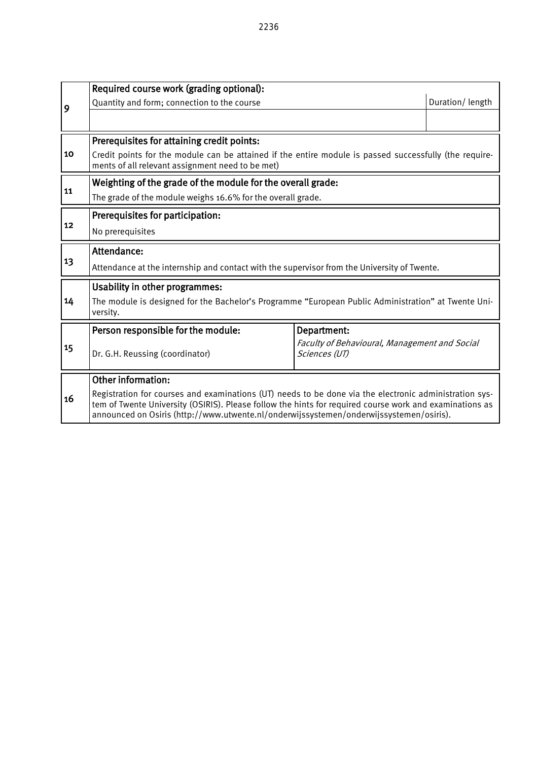|    | Required course work (grading optional):                                                                                                                                                                                                                                                                     |             |                 |  |  |  |  |  |
|----|--------------------------------------------------------------------------------------------------------------------------------------------------------------------------------------------------------------------------------------------------------------------------------------------------------------|-------------|-----------------|--|--|--|--|--|
| 9  | Quantity and form; connection to the course                                                                                                                                                                                                                                                                  |             | Duration/length |  |  |  |  |  |
|    |                                                                                                                                                                                                                                                                                                              |             |                 |  |  |  |  |  |
|    | Prerequisites for attaining credit points:                                                                                                                                                                                                                                                                   |             |                 |  |  |  |  |  |
| 10 | Credit points for the module can be attained if the entire module is passed successfully (the require-<br>ments of all relevant assignment need to be met)                                                                                                                                                   |             |                 |  |  |  |  |  |
|    | Weighting of the grade of the module for the overall grade:                                                                                                                                                                                                                                                  |             |                 |  |  |  |  |  |
| 11 | The grade of the module weighs 16.6% for the overall grade.                                                                                                                                                                                                                                                  |             |                 |  |  |  |  |  |
|    | Prerequisites for participation:                                                                                                                                                                                                                                                                             |             |                 |  |  |  |  |  |
| 12 | No prerequisites                                                                                                                                                                                                                                                                                             |             |                 |  |  |  |  |  |
|    | Attendance:                                                                                                                                                                                                                                                                                                  |             |                 |  |  |  |  |  |
| 13 | Attendance at the internship and contact with the supervisor from the University of Twente.                                                                                                                                                                                                                  |             |                 |  |  |  |  |  |
|    | <b>Usability in other programmes:</b>                                                                                                                                                                                                                                                                        |             |                 |  |  |  |  |  |
| 14 | The module is designed for the Bachelor's Programme "European Public Administration" at Twente Uni-<br>versity.                                                                                                                                                                                              |             |                 |  |  |  |  |  |
|    | Person responsible for the module:                                                                                                                                                                                                                                                                           | Department: |                 |  |  |  |  |  |
| 15 | Faculty of Behavioural, Management and Social<br>Dr. G.H. Reussing (coordinator)<br>Sciences (UT)                                                                                                                                                                                                            |             |                 |  |  |  |  |  |
|    | <b>Other information:</b>                                                                                                                                                                                                                                                                                    |             |                 |  |  |  |  |  |
| 16 | Registration for courses and examinations (UT) needs to be done via the electronic administration sys-<br>tem of Twente University (OSIRIS). Please follow the hints for required course work and examinations as<br>announced on Osiris (http://www.utwente.nl/onderwijssystemen/onderwijssystemen/osiris). |             |                 |  |  |  |  |  |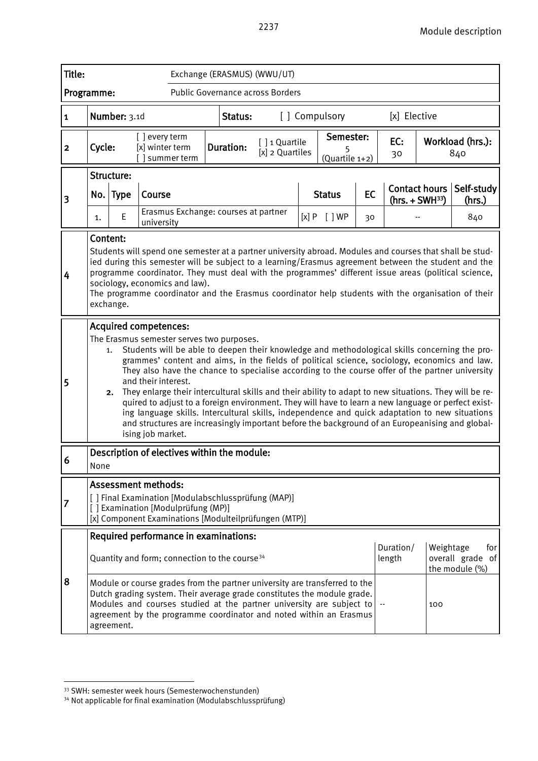| Title:                  | Exchange (ERASMUS) (WWU/UT)                                                                                                                                                                                                                                                                                                                                                                                                                                                                                                                         |                                                                                                                                                                                                                                                                                                                                                                                                                                                                                                                                                                                                                                                                                                                                                                                                                                                             |                                                                                                                         |                  |                                         |  |                             |           |              |                                          |                         |
|-------------------------|-----------------------------------------------------------------------------------------------------------------------------------------------------------------------------------------------------------------------------------------------------------------------------------------------------------------------------------------------------------------------------------------------------------------------------------------------------------------------------------------------------------------------------------------------------|-------------------------------------------------------------------------------------------------------------------------------------------------------------------------------------------------------------------------------------------------------------------------------------------------------------------------------------------------------------------------------------------------------------------------------------------------------------------------------------------------------------------------------------------------------------------------------------------------------------------------------------------------------------------------------------------------------------------------------------------------------------------------------------------------------------------------------------------------------------|-------------------------------------------------------------------------------------------------------------------------|------------------|-----------------------------------------|--|-----------------------------|-----------|--------------|------------------------------------------|-------------------------|
| Programme:              |                                                                                                                                                                                                                                                                                                                                                                                                                                                                                                                                                     |                                                                                                                                                                                                                                                                                                                                                                                                                                                                                                                                                                                                                                                                                                                                                                                                                                                             |                                                                                                                         |                  | <b>Public Governance across Borders</b> |  |                             |           |              |                                          |                         |
| 1                       |                                                                                                                                                                                                                                                                                                                                                                                                                                                                                                                                                     | Number: 3.1d                                                                                                                                                                                                                                                                                                                                                                                                                                                                                                                                                                                                                                                                                                                                                                                                                                                |                                                                                                                         | Status:          |                                         |  | [] Compulsory               |           | [x] Elective |                                          |                         |
| 2                       | [] every term<br>Cycle:<br>[x] winter term<br>summer term                                                                                                                                                                                                                                                                                                                                                                                                                                                                                           |                                                                                                                                                                                                                                                                                                                                                                                                                                                                                                                                                                                                                                                                                                                                                                                                                                                             |                                                                                                                         | <b>Duration:</b> | [] 1 Quartile<br>[x] 2 Quartiles        |  | Semester:<br>(Quartile 1+2) |           | EC:<br>30    |                                          | Workload (hrs.):<br>840 |
| 3                       |                                                                                                                                                                                                                                                                                                                                                                                                                                                                                                                                                     | Structure:<br>No. Type                                                                                                                                                                                                                                                                                                                                                                                                                                                                                                                                                                                                                                                                                                                                                                                                                                      | Course                                                                                                                  |                  |                                         |  | <b>Status</b>               | <b>EC</b> |              | <b>Contact hours</b><br>$(hrs. + SWH33)$ | Self-study<br>(hrs.)    |
|                         | 1.                                                                                                                                                                                                                                                                                                                                                                                                                                                                                                                                                  | E                                                                                                                                                                                                                                                                                                                                                                                                                                                                                                                                                                                                                                                                                                                                                                                                                                                           | Erasmus Exchange: courses at partner<br>university                                                                      |                  |                                         |  | [x] P [ ] WP<br>30          |           |              |                                          | 840                     |
| 4                       |                                                                                                                                                                                                                                                                                                                                                                                                                                                                                                                                                     | Content:<br>Students will spend one semester at a partner university abroad. Modules and courses that shall be stud-<br>ied during this semester will be subject to a learning/Erasmus agreement between the student and the<br>programme coordinator. They must deal with the programmes' different issue areas (political science,<br>sociology, economics and law).<br>The programme coordinator and the Erasmus coordinator help students with the organisation of their<br>exchange.                                                                                                                                                                                                                                                                                                                                                                   |                                                                                                                         |                  |                                         |  |                             |           |              |                                          |                         |
| $\overline{\mathbf{5}}$ |                                                                                                                                                                                                                                                                                                                                                                                                                                                                                                                                                     | <b>Acquired competences:</b><br>The Erasmus semester serves two purposes.<br>Students will be able to deepen their knowledge and methodological skills concerning the pro-<br>1.<br>grammes' content and aims, in the fields of political science, sociology, economics and law.<br>They also have the chance to specialise according to the course offer of the partner university<br>and their interest.<br>They enlarge their intercultural skills and their ability to adapt to new situations. They will be re-<br>2.<br>quired to adjust to a foreign environment. They will have to learn a new language or perfect exist-<br>ing language skills. Intercultural skills, independence and quick adaptation to new situations<br>and structures are increasingly important before the background of an Europeanising and global-<br>ising job market. |                                                                                                                         |                  |                                         |  |                             |           |              |                                          |                         |
| 6                       | None                                                                                                                                                                                                                                                                                                                                                                                                                                                                                                                                                |                                                                                                                                                                                                                                                                                                                                                                                                                                                                                                                                                                                                                                                                                                                                                                                                                                                             | Description of electives within the module:                                                                             |                  |                                         |  |                             |           |              |                                          |                         |
| 17                      |                                                                                                                                                                                                                                                                                                                                                                                                                                                                                                                                                     |                                                                                                                                                                                                                                                                                                                                                                                                                                                                                                                                                                                                                                                                                                                                                                                                                                                             | <b>Assessment methods:</b><br>[ ] Final Examination [Modulabschlussprüfung (MAP)]<br>[] Examination [Modulprüfung (MP)] |                  |                                         |  |                             |           |              |                                          |                         |
| 8                       | [x] Component Examinations [Modulteilprüfungen (MTP)]<br>Required performance in examinations:<br>Duration/<br>Weightage<br>Quantity and form; connection to the course <sup>34</sup><br>length<br>overall grade of<br>the module (%)<br>Module or course grades from the partner university are transferred to the<br>Dutch grading system. Their average grade constitutes the module grade.<br>Modules and courses studied at the partner university are subject to<br>100<br>agreement by the programme coordinator and noted within an Erasmus |                                                                                                                                                                                                                                                                                                                                                                                                                                                                                                                                                                                                                                                                                                                                                                                                                                                             |                                                                                                                         |                  |                                         |  |                             |           | for          |                                          |                         |

<span id="page-56-0"></span><sup>33</sup> SWH: semester week hours (Semesterwochenstunden)

<span id="page-56-1"></span><sup>34</sup> Not applicable for final examination (Modulabschlussprüfung)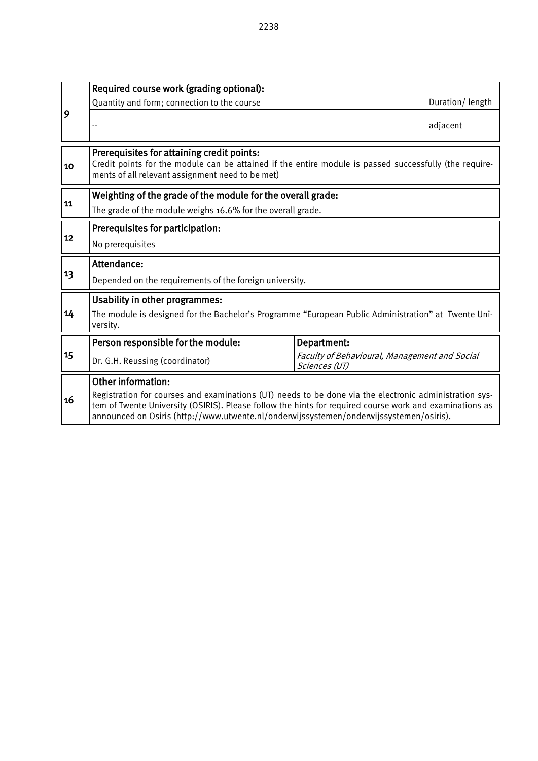|    | Required course work (grading optional):                                                                                                                                                                                                                                                                                                                   |                                                              |                 |  |  |  |  |  |  |
|----|------------------------------------------------------------------------------------------------------------------------------------------------------------------------------------------------------------------------------------------------------------------------------------------------------------------------------------------------------------|--------------------------------------------------------------|-----------------|--|--|--|--|--|--|
|    | Quantity and form; connection to the course                                                                                                                                                                                                                                                                                                                |                                                              | Duration/length |  |  |  |  |  |  |
| 9  |                                                                                                                                                                                                                                                                                                                                                            |                                                              | adjacent        |  |  |  |  |  |  |
| 10 | Prerequisites for attaining credit points:<br>Credit points for the module can be attained if the entire module is passed successfully (the require-<br>ments of all relevant assignment need to be met)                                                                                                                                                   |                                                              |                 |  |  |  |  |  |  |
| 11 | Weighting of the grade of the module for the overall grade:<br>The grade of the module weighs 16.6% for the overall grade.                                                                                                                                                                                                                                 |                                                              |                 |  |  |  |  |  |  |
| 12 | Prerequisites for participation:<br>No prerequisites                                                                                                                                                                                                                                                                                                       |                                                              |                 |  |  |  |  |  |  |
| 13 | Attendance:<br>Depended on the requirements of the foreign university.                                                                                                                                                                                                                                                                                     |                                                              |                 |  |  |  |  |  |  |
| 14 | <b>Usability in other programmes:</b><br>The module is designed for the Bachelor's Programme "European Public Administration" at Twente Uni-<br>versity.                                                                                                                                                                                                   |                                                              |                 |  |  |  |  |  |  |
| 15 | Person responsible for the module:<br>Dr. G.H. Reussing (coordinator)                                                                                                                                                                                                                                                                                      | Department:<br>Faculty of Behavioural, Management and Social |                 |  |  |  |  |  |  |
| 16 | Sciences (UT)<br><b>Other information:</b><br>Registration for courses and examinations (UT) needs to be done via the electronic administration sys-<br>tem of Twente University (OSIRIS). Please follow the hints for required course work and examinations as<br>announced on Osiris (http://www.utwente.nl/onderwijssystemen/onderwijssystemen/osiris). |                                                              |                 |  |  |  |  |  |  |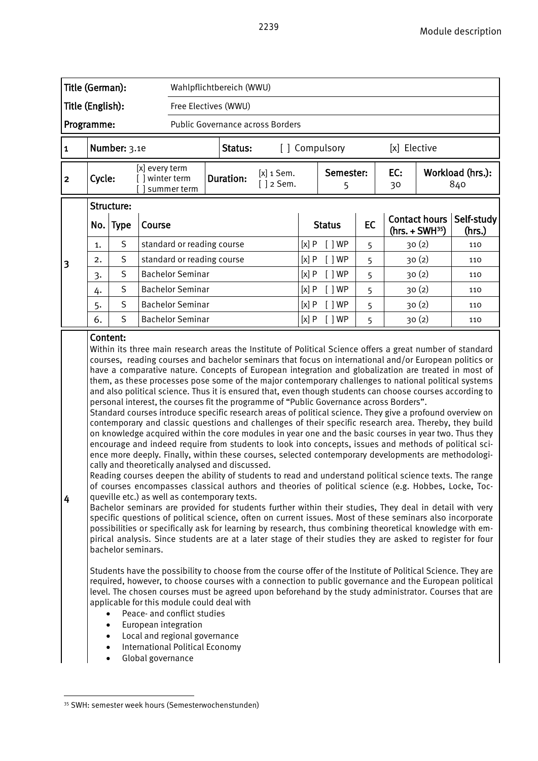|                                   | Title (German):                                                                                                                                                                                                                                                                                                                                                                                                                                                                                                                                                                                                                                                                                                                                                                                                                                                                                                                                                                                                                                                                                                                                                                                                                                                         |              |                                                  | Wahlpflichtbereich (WWU)         |                                 |      |                |              |           |                  |                                      |
|-----------------------------------|-------------------------------------------------------------------------------------------------------------------------------------------------------------------------------------------------------------------------------------------------------------------------------------------------------------------------------------------------------------------------------------------------------------------------------------------------------------------------------------------------------------------------------------------------------------------------------------------------------------------------------------------------------------------------------------------------------------------------------------------------------------------------------------------------------------------------------------------------------------------------------------------------------------------------------------------------------------------------------------------------------------------------------------------------------------------------------------------------------------------------------------------------------------------------------------------------------------------------------------------------------------------------|--------------|--------------------------------------------------|----------------------------------|---------------------------------|------|----------------|--------------|-----------|------------------|--------------------------------------|
|                                   | Title (English):                                                                                                                                                                                                                                                                                                                                                                                                                                                                                                                                                                                                                                                                                                                                                                                                                                                                                                                                                                                                                                                                                                                                                                                                                                                        |              |                                                  | Free Electives (WWU)             |                                 |      |                |              |           |                  |                                      |
|                                   | Programme:                                                                                                                                                                                                                                                                                                                                                                                                                                                                                                                                                                                                                                                                                                                                                                                                                                                                                                                                                                                                                                                                                                                                                                                                                                                              |              |                                                  | Public Governance across Borders |                                 |      |                |              |           |                  |                                      |
| 1                                 |                                                                                                                                                                                                                                                                                                                                                                                                                                                                                                                                                                                                                                                                                                                                                                                                                                                                                                                                                                                                                                                                                                                                                                                                                                                                         | Number: 3.1e |                                                  |                                  | [] Compulsory<br>Status:        |      |                | [x] Elective |           |                  |                                      |
| Cycle:<br>$\overline{\mathbf{2}}$ |                                                                                                                                                                                                                                                                                                                                                                                                                                                                                                                                                                                                                                                                                                                                                                                                                                                                                                                                                                                                                                                                                                                                                                                                                                                                         |              | [x] every term<br>[ ] winter term<br>summer term | <b>Duration:</b>                 | $[x]$ 1 Sem.<br>$\lceil$ 2 Sem. |      | Semester:<br>5 |              | EC:<br>30 |                  | Workload (hrs.):<br>840              |
|                                   |                                                                                                                                                                                                                                                                                                                                                                                                                                                                                                                                                                                                                                                                                                                                                                                                                                                                                                                                                                                                                                                                                                                                                                                                                                                                         | Structure:   |                                                  |                                  |                                 |      |                |              |           |                  |                                      |
|                                   |                                                                                                                                                                                                                                                                                                                                                                                                                                                                                                                                                                                                                                                                                                                                                                                                                                                                                                                                                                                                                                                                                                                                                                                                                                                                         | No. Type     | Course                                           |                                  |                                 |      | <b>Status</b>  | EC           |           | $(hrs. + SWH35)$ | Contact hours   Self-study<br>(hrs.) |
| 3                                 | 1.                                                                                                                                                                                                                                                                                                                                                                                                                                                                                                                                                                                                                                                                                                                                                                                                                                                                                                                                                                                                                                                                                                                                                                                                                                                                      | S            |                                                  | standard or reading course       |                                 |      |                | 5            |           | 30(2)            | 110                                  |
|                                   | 2.                                                                                                                                                                                                                                                                                                                                                                                                                                                                                                                                                                                                                                                                                                                                                                                                                                                                                                                                                                                                                                                                                                                                                                                                                                                                      | S            | standard or reading course                       |                                  |                                 |      | [ ]WP          | 5            | 30(2)     |                  | 110                                  |
|                                   | 3.                                                                                                                                                                                                                                                                                                                                                                                                                                                                                                                                                                                                                                                                                                                                                                                                                                                                                                                                                                                                                                                                                                                                                                                                                                                                      | S            | <b>Bachelor Seminar</b>                          | [x]P                             | [ ]WP                           | 5    |                | 30(2)        | 110       |                  |                                      |
|                                   | 4.                                                                                                                                                                                                                                                                                                                                                                                                                                                                                                                                                                                                                                                                                                                                                                                                                                                                                                                                                                                                                                                                                                                                                                                                                                                                      | S            | <b>Bachelor Seminar</b>                          |                                  |                                 | [x]P | [ ]WP          | 5            |           | 30(2)            | 110                                  |
|                                   | 5.                                                                                                                                                                                                                                                                                                                                                                                                                                                                                                                                                                                                                                                                                                                                                                                                                                                                                                                                                                                                                                                                                                                                                                                                                                                                      | $\sf S$      | <b>Bachelor Seminar</b>                          |                                  |                                 | [x]P | [ ]WP          | 5            |           | 30(2)            | 110                                  |
|                                   | 6.                                                                                                                                                                                                                                                                                                                                                                                                                                                                                                                                                                                                                                                                                                                                                                                                                                                                                                                                                                                                                                                                                                                                                                                                                                                                      | S            | <b>Bachelor Seminar</b>                          |                                  | [x]P                            |      | $\lceil$   WP  | 5            |           |                  | 110                                  |
|                                   | 30(2)<br>Content:<br>Within its three main research areas the Institute of Political Science offers a great number of standard<br>courses, reading courses and bachelor seminars that focus on international and/or European politics or<br>have a comparative nature. Concepts of European integration and globalization are treated in most of<br>them, as these processes pose some of the major contemporary challenges to national political systems<br>and also political science. Thus it is ensured that, even though students can choose courses according to<br>personal interest, the courses fit the programme of "Public Governance across Borders".<br>Standard courses introduce specific research areas of political science. They give a profound overview on<br>contemporary and classic questions and challenges of their specific research area. Thereby, they build<br>on knowledge acquired within the core modules in year one and the basic courses in year two. Thus they<br>encourage and indeed require from students to look into concepts, issues and methods of political sci-<br>ence more deeply. Finally, within these courses, selected contemporary developments are methodologi-<br>cally and theoretically analysed and discussed. |              |                                                  |                                  |                                 |      |                |              |           |                  |                                      |

eading courses deepen the ability of students to read and understand political science texts. The range of courses encompasses classical authors and theories of political science (e.g. Hobbes, Locke, Tocqueville etc.) as well as contemporary texts.

Bachelor seminars are provided for students further within their studies, They deal in detail with very specific questions of political science, often on current issues. Most of these seminars also incorporate possibilities or specifically ask for learning by research, thus combining theoretical knowledge with empirical analysis. Since students are at a later stage of their studies they are asked to register for four bachelor seminars.

Students have the possibility to choose from the course offer of the Institute of Political Science. They are required, however, to choose courses with a connection to public governance and the European political level. The chosen courses must be agreed upon beforehand by the study administrator. Courses that are applicable for this module could deal with

- Peace- and conflict studies
- European integration
- Local and regional governance
- International Political Economy
- Global governance

 $\overline{a}$ 

4

<span id="page-58-0"></span><sup>35</sup> SWH: semester week hours (Semesterwochenstunden)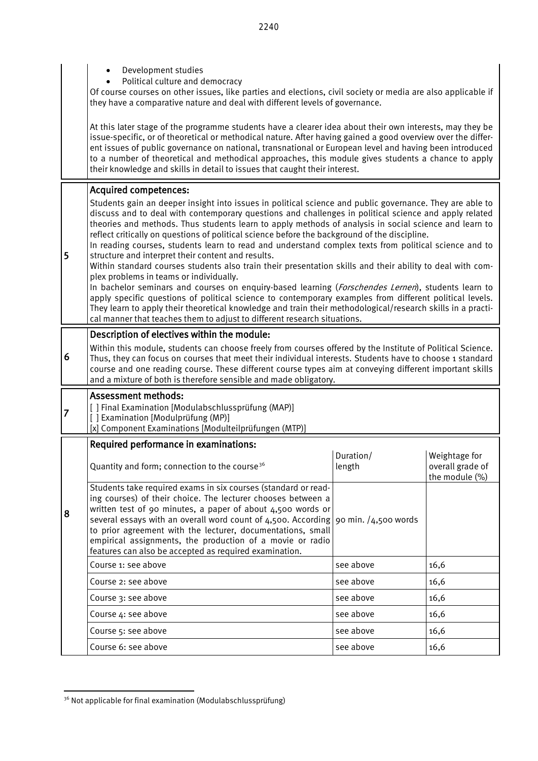|                | Development studies<br>Political culture and democracy<br>Of course courses on other issues, like parties and elections, civil society or media are also applicable if<br>they have a comparative nature and deal with different levels of governance.                                                                                                                                                                                                                                                                                                                                                                                                                                                                                                                                                                                                                                                                                                                                                                                                                                                                                                                                         |                     |                                                     |  |  |  |  |  |  |
|----------------|------------------------------------------------------------------------------------------------------------------------------------------------------------------------------------------------------------------------------------------------------------------------------------------------------------------------------------------------------------------------------------------------------------------------------------------------------------------------------------------------------------------------------------------------------------------------------------------------------------------------------------------------------------------------------------------------------------------------------------------------------------------------------------------------------------------------------------------------------------------------------------------------------------------------------------------------------------------------------------------------------------------------------------------------------------------------------------------------------------------------------------------------------------------------------------------------|---------------------|-----------------------------------------------------|--|--|--|--|--|--|
|                | At this later stage of the programme students have a clearer idea about their own interests, may they be<br>issue-specific, or of theoretical or methodical nature. After having gained a good overview over the differ-<br>ent issues of public governance on national, transnational or European level and having been introduced<br>to a number of theoretical and methodical approaches, this module gives students a chance to apply<br>their knowledge and skills in detail to issues that caught their interest.                                                                                                                                                                                                                                                                                                                                                                                                                                                                                                                                                                                                                                                                        |                     |                                                     |  |  |  |  |  |  |
| 5              | <b>Acquired competences:</b><br>Students gain an deeper insight into issues in political science and public governance. They are able to<br>discuss and to deal with contemporary questions and challenges in political science and apply related<br>theories and methods. Thus students learn to apply methods of analysis in social science and learn to<br>reflect critically on questions of political science before the background of the discipline.<br>In reading courses, students learn to read and understand complex texts from political science and to<br>structure and interpret their content and results.<br>Within standard courses students also train their presentation skills and their ability to deal with com-<br>plex problems in teams or individually.<br>In bachelor seminars and courses on enquiry-based learning (Forschendes Lernen), students learn to<br>apply specific questions of political science to contemporary examples from different political levels.<br>They learn to apply their theoretical knowledge and train their methodological/research skills in a practi-<br>cal manner that teaches them to adjust to different research situations. |                     |                                                     |  |  |  |  |  |  |
| 6              | Description of electives within the module:<br>Within this module, students can choose freely from courses offered by the Institute of Political Science.<br>Thus, they can focus on courses that meet their individual interests. Students have to choose 1 standard<br>course and one reading course. These different course types aim at conveying different important skills<br>and a mixture of both is therefore sensible and made obligatory.                                                                                                                                                                                                                                                                                                                                                                                                                                                                                                                                                                                                                                                                                                                                           |                     |                                                     |  |  |  |  |  |  |
| $\overline{7}$ | <b>Assessment methods:</b><br>[ ] Final Examination [Modulabschlussprüfung (MAP)]<br>[] Examination [Modulprüfung (MP)]<br>[x] Component Examinations [Modulteilprüfungen (MTP)]                                                                                                                                                                                                                                                                                                                                                                                                                                                                                                                                                                                                                                                                                                                                                                                                                                                                                                                                                                                                               |                     |                                                     |  |  |  |  |  |  |
|                | Required performance in examinations:                                                                                                                                                                                                                                                                                                                                                                                                                                                                                                                                                                                                                                                                                                                                                                                                                                                                                                                                                                                                                                                                                                                                                          |                     |                                                     |  |  |  |  |  |  |
|                | Quantity and form; connection to the course <sup>36</sup>                                                                                                                                                                                                                                                                                                                                                                                                                                                                                                                                                                                                                                                                                                                                                                                                                                                                                                                                                                                                                                                                                                                                      | Duration/<br>length | Weightage for<br>overall grade of<br>the module (%) |  |  |  |  |  |  |
| 8              | Students take required exams in six courses (standard or read-<br>ing courses) of their choice. The lecturer chooses between a<br>written test of 90 minutes, a paper of about 4,500 words or<br>several essays with an overall word count of $\frac{4}{500}$ . According 90 min. / $\frac{4}{500}$ words<br>to prior agreement with the lecturer, documentations, small<br>empirical assignments, the production of a movie or radio<br>features can also be accepted as required examination.                                                                                                                                                                                                                                                                                                                                                                                                                                                                                                                                                                                                                                                                                                |                     |                                                     |  |  |  |  |  |  |
|                | Course 1: see above                                                                                                                                                                                                                                                                                                                                                                                                                                                                                                                                                                                                                                                                                                                                                                                                                                                                                                                                                                                                                                                                                                                                                                            | see above           | 16,6                                                |  |  |  |  |  |  |
|                | Course 2: see above                                                                                                                                                                                                                                                                                                                                                                                                                                                                                                                                                                                                                                                                                                                                                                                                                                                                                                                                                                                                                                                                                                                                                                            | see above           | 16,6                                                |  |  |  |  |  |  |
|                | Course 3: see above                                                                                                                                                                                                                                                                                                                                                                                                                                                                                                                                                                                                                                                                                                                                                                                                                                                                                                                                                                                                                                                                                                                                                                            | see above           | 16,6                                                |  |  |  |  |  |  |
|                | Course 4: see above                                                                                                                                                                                                                                                                                                                                                                                                                                                                                                                                                                                                                                                                                                                                                                                                                                                                                                                                                                                                                                                                                                                                                                            | see above           | 16,6                                                |  |  |  |  |  |  |
|                | Course 5: see above                                                                                                                                                                                                                                                                                                                                                                                                                                                                                                                                                                                                                                                                                                                                                                                                                                                                                                                                                                                                                                                                                                                                                                            | see above           | 16,6                                                |  |  |  |  |  |  |
|                | Course 6: see above                                                                                                                                                                                                                                                                                                                                                                                                                                                                                                                                                                                                                                                                                                                                                                                                                                                                                                                                                                                                                                                                                                                                                                            | see above           | 16,6                                                |  |  |  |  |  |  |

<span id="page-59-0"></span><sup>-</sup><sup>36</sup> Not applicable for final examination (Modulabschlussprüfung)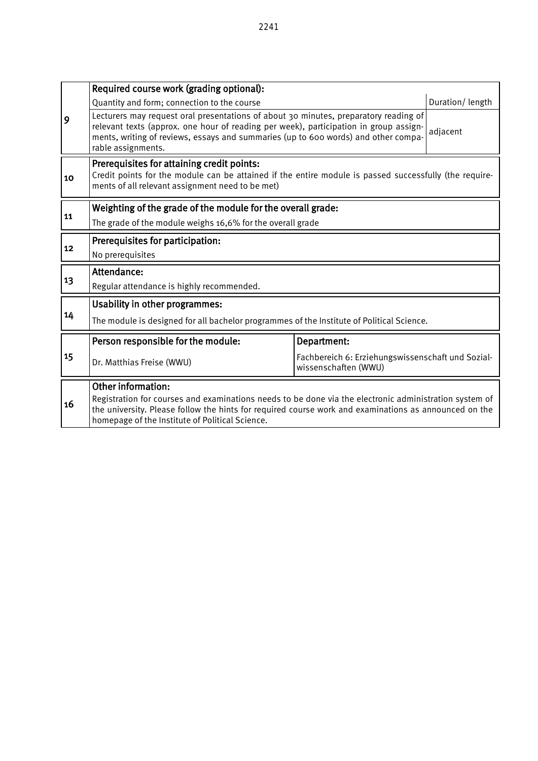|    | Required course work (grading optional):                                                                                                                                                                                                                                                  |                 |  |  |  |  |  |  |
|----|-------------------------------------------------------------------------------------------------------------------------------------------------------------------------------------------------------------------------------------------------------------------------------------------|-----------------|--|--|--|--|--|--|
|    | Quantity and form; connection to the course                                                                                                                                                                                                                                               | Duration/length |  |  |  |  |  |  |
| 9  | Lecturers may request oral presentations of about 30 minutes, preparatory reading of<br>relevant texts (approx. one hour of reading per week), participation in group assign-<br>ments, writing of reviews, essays and summaries (up to 600 words) and other compa-<br>rable assignments. | adjacent        |  |  |  |  |  |  |
| 10 | Prerequisites for attaining credit points:<br>Credit points for the module can be attained if the entire module is passed successfully (the require-<br>ments of all relevant assignment need to be met)                                                                                  |                 |  |  |  |  |  |  |
| 11 | Weighting of the grade of the module for the overall grade:                                                                                                                                                                                                                               |                 |  |  |  |  |  |  |
|    | The grade of the module weighs 16,6% for the overall grade                                                                                                                                                                                                                                |                 |  |  |  |  |  |  |
| 12 | Prerequisites for participation:                                                                                                                                                                                                                                                          |                 |  |  |  |  |  |  |
|    | No prerequisites                                                                                                                                                                                                                                                                          |                 |  |  |  |  |  |  |
|    | Attendance:                                                                                                                                                                                                                                                                               |                 |  |  |  |  |  |  |
| 13 | Regular attendance is highly recommended.                                                                                                                                                                                                                                                 |                 |  |  |  |  |  |  |
|    | Usability in other programmes:                                                                                                                                                                                                                                                            |                 |  |  |  |  |  |  |
| 14 | The module is designed for all bachelor programmes of the Institute of Political Science.                                                                                                                                                                                                 |                 |  |  |  |  |  |  |
|    | Person responsible for the module:                                                                                                                                                                                                                                                        | Department:     |  |  |  |  |  |  |
| 15 | Fachbereich 6: Erziehungswissenschaft und Sozial-<br>Dr. Matthias Freise (WWU)<br>wissenschaften (WWU)                                                                                                                                                                                    |                 |  |  |  |  |  |  |
|    | <b>Other information:</b>                                                                                                                                                                                                                                                                 |                 |  |  |  |  |  |  |
| 16 | Registration for courses and examinations needs to be done via the electronic administration system of<br>the university. Please follow the hints for required course work and examinations as announced on the<br>homepage of the Institute of Political Science.                        |                 |  |  |  |  |  |  |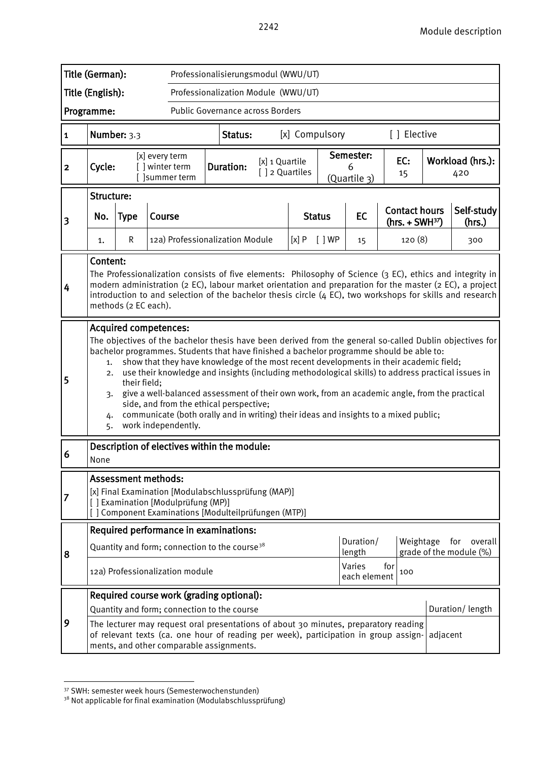|                                                | Title (German):<br>Professionalisierungsmodul (WWU/UT)                                                                                                                                                                                                                                                                                                                                                                                                                                                                                                                                                                                                                                                                                       |                                                                         |                                   |                |                                                      |  |      |                                                             |    |  |                                          |  |                         |
|------------------------------------------------|----------------------------------------------------------------------------------------------------------------------------------------------------------------------------------------------------------------------------------------------------------------------------------------------------------------------------------------------------------------------------------------------------------------------------------------------------------------------------------------------------------------------------------------------------------------------------------------------------------------------------------------------------------------------------------------------------------------------------------------------|-------------------------------------------------------------------------|-----------------------------------|----------------|------------------------------------------------------|--|------|-------------------------------------------------------------|----|--|------------------------------------------|--|-------------------------|
|                                                | Title (English):<br>Professionalization Module (WWU/UT)                                                                                                                                                                                                                                                                                                                                                                                                                                                                                                                                                                                                                                                                                      |                                                                         |                                   |                |                                                      |  |      |                                                             |    |  |                                          |  |                         |
| Public Governance across Borders<br>Programme: |                                                                                                                                                                                                                                                                                                                                                                                                                                                                                                                                                                                                                                                                                                                                              |                                                                         |                                   |                |                                                      |  |      |                                                             |    |  |                                          |  |                         |
| $\mathbf{1}$                                   | Number: 3.3<br>[x] Compulsory<br>[ ] Elective<br>Status:                                                                                                                                                                                                                                                                                                                                                                                                                                                                                                                                                                                                                                                                                     |                                                                         |                                   |                |                                                      |  |      |                                                             |    |  |                                          |  |                         |
| $\mathbf{2}$                                   | Cycle:                                                                                                                                                                                                                                                                                                                                                                                                                                                                                                                                                                                                                                                                                                                                       |                                                                         | [x] every term<br>[ ] winter term | [ ]summer term | [x] 1 Quartile<br><b>Duration:</b><br>[] 2 Quartiles |  |      | Semester:<br>6<br>(Quartile 3)                              |    |  | EC:<br>15                                |  | Workload (hrs.):<br>420 |
| 3                                              | Structure:<br><b>Type</b><br>Course<br>No.                                                                                                                                                                                                                                                                                                                                                                                                                                                                                                                                                                                                                                                                                                   |                                                                         |                                   |                |                                                      |  |      | <b>Status</b>                                               | EC |  | <b>Contact hours</b><br>$(hrs. + SWH37)$ |  | Self-study<br>(hrs.)    |
|                                                | 1.                                                                                                                                                                                                                                                                                                                                                                                                                                                                                                                                                                                                                                                                                                                                           | R                                                                       |                                   |                | 12a) Professionalization Module                      |  | [x]P | $\lceil$   WP                                               | 15 |  | 120(8)                                   |  | 300                     |
| 4                                              | Content:<br>The Professionalization consists of five elements: Philosophy of Science (3 EC), ethics and integrity in<br>modern administration (2 EC), labour market orientation and preparation for the master (2 EC), a project<br>introduction to and selection of the bachelor thesis circle $(4 \text{ EC})$ , two workshops for skills and research<br>methods (2 EC each).                                                                                                                                                                                                                                                                                                                                                             |                                                                         |                                   |                |                                                      |  |      |                                                             |    |  |                                          |  |                         |
| 5                                              | <b>Acquired competences:</b><br>The objectives of the bachelor thesis have been derived from the general so-called Dublin objectives for<br>bachelor programmes. Students that have finished a bachelor programme should be able to:<br>show that they have knowledge of the most recent developments in their academic field;<br>1.<br>use their knowledge and insights (including methodological skills) to address practical issues in<br>2.<br>their field;<br>give a well-balanced assessment of their own work, from an academic angle, from the practical<br>3.<br>side, and from the ethical perspective;<br>communicate (both orally and in writing) their ideas and insights to a mixed public;<br>4.<br>work independently.<br>5. |                                                                         |                                   |                |                                                      |  |      |                                                             |    |  |                                          |  |                         |
| 6                                              | Description of electives within the module:<br>None                                                                                                                                                                                                                                                                                                                                                                                                                                                                                                                                                                                                                                                                                          |                                                                         |                                   |                |                                                      |  |      |                                                             |    |  |                                          |  |                         |
| 7                                              | <b>Assessment methods:</b><br>[x] Final Examination [Modulabschlussprüfung (MAP)]<br>[] Examination [Modulprüfung (MP)]<br>[] Component Examinations [Modulteilprüfungen (MTP)]                                                                                                                                                                                                                                                                                                                                                                                                                                                                                                                                                              |                                                                         |                                   |                |                                                      |  |      |                                                             |    |  |                                          |  |                         |
|                                                | Required performance in examinations:                                                                                                                                                                                                                                                                                                                                                                                                                                                                                                                                                                                                                                                                                                        |                                                                         |                                   |                |                                                      |  |      |                                                             |    |  |                                          |  |                         |
| 8                                              | Quantity and form; connection to the course <sup>38</sup>                                                                                                                                                                                                                                                                                                                                                                                                                                                                                                                                                                                                                                                                                    |                                                                         |                                   |                |                                                      |  |      | Duration/<br>Weightage<br>grade of the module (%)<br>length |    |  | for overall                              |  |                         |
|                                                |                                                                                                                                                                                                                                                                                                                                                                                                                                                                                                                                                                                                                                                                                                                                              | Varies<br>for<br>12a) Professionalization module<br>100<br>each element |                                   |                |                                                      |  |      |                                                             |    |  |                                          |  |                         |
|                                                | Required course work (grading optional):                                                                                                                                                                                                                                                                                                                                                                                                                                                                                                                                                                                                                                                                                                     |                                                                         |                                   |                |                                                      |  |      |                                                             |    |  |                                          |  |                         |
|                                                | Duration/length<br>Quantity and form; connection to the course                                                                                                                                                                                                                                                                                                                                                                                                                                                                                                                                                                                                                                                                               |                                                                         |                                   |                |                                                      |  |      |                                                             |    |  |                                          |  |                         |
| 9                                              | The lecturer may request oral presentations of about 30 minutes, preparatory reading<br>of relevant texts (ca. one hour of reading per week), participation in group assign-<br>adjacent<br>ments, and other comparable assignments.                                                                                                                                                                                                                                                                                                                                                                                                                                                                                                         |                                                                         |                                   |                |                                                      |  |      |                                                             |    |  |                                          |  |                         |

<span id="page-61-0"></span><sup>&</sup>lt;sup>37</sup> SWH: semester week hours (Semesterwochenstunden)

<span id="page-61-1"></span><sup>&</sup>lt;sup>38</sup> Not applicable for final examination (Modulabschlussprüfung)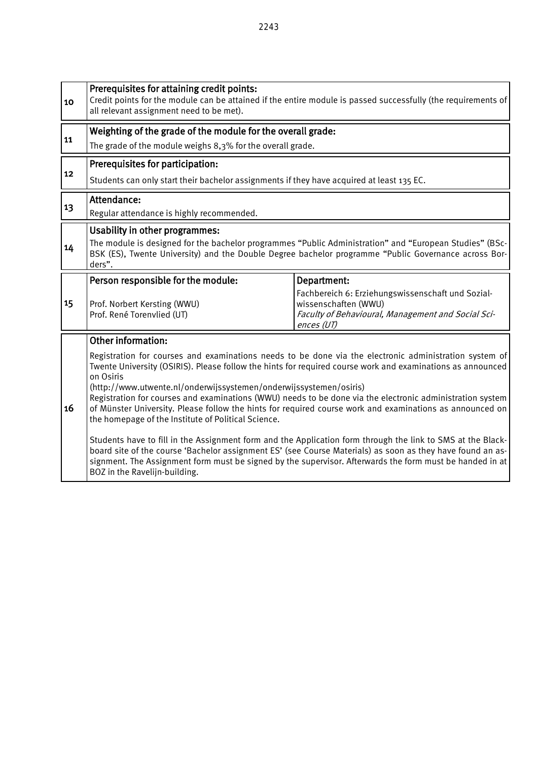10 Credit points for the module can be attained if the entire module is passed successfully (the requirements of all relevant assignment need to be met). Weighting of the grade of the module for the overall grade:<br>11 The grade of the module weighs 8,3% for the overall grade. **Prerequisites for participation:** Students can only start their bachelor assignments if they have acquired at least 135 EC.  $\begin{array}{c|c}\n13\n\end{array}$  Attendance: Regular attendance is highly recommended. 14 Usability in other programmes: The module is designed for the bachelor programmes "Public Administration" and "European Studies" (BSc-BSK (ES), Twente University) and the Double Degree bachelor programme "Public Governance across Borders". 15 Person responsible for the module: | Department: Prof. Norbert Kersting (WWU) Prof. René Torenvlied (UT) Fachbereich 6: Erziehungswissenschaft und Sozialwissenschaften (WWU) Faculty of Behavioural, Management and Social Sciences (UT)16 Other information: Registration for courses and examinations needs to be done via the electronic administration system of Twente University (OSIRIS). Please follow the hints for required course work and examinations as announced on Osiris (http://www.utwente.nl/onderwijssystemen/onderwijssystemen/osiris) Registration for courses and examinations (WWU) needs to be done via the electronic administration system of Münster University. Please follow the hints for required course work and examinations as announced on the homepage of the Institute of Political Science. Students have to fill in the Assignment form and the Application form through the link to SMS at the Blackboard site of the course 'Bachelor assignment ES' (see Course Materials) as soon as they have found an assignment. The Assignment form must be signed by the supervisor. Afterwards the form must be handed in at BOZ in the Ravelijn-building.

Prerequisites for attaining credit points: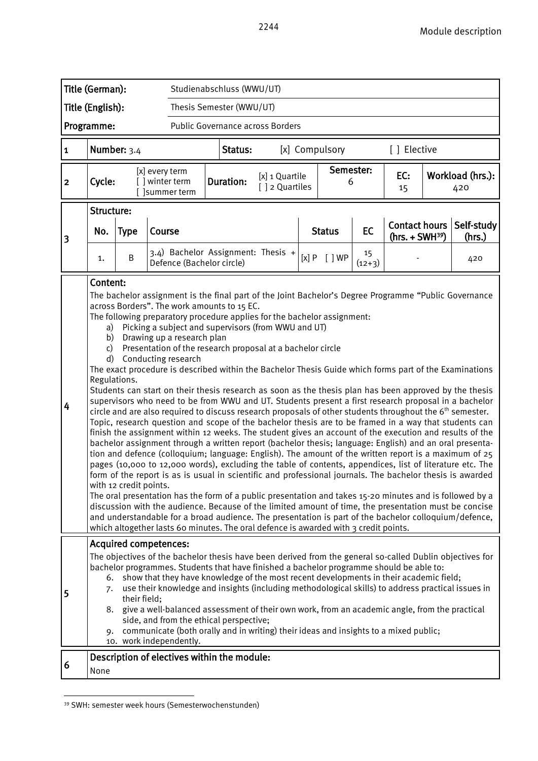| Title (German):<br>Studienabschluss (WWU/UT)          |                                                                                                                                                                                                                                                                                                                                                                                                                                                                                                                                                                                                                                                                                                                                                                                                                                                                                                                                                                                                                                                                                                                                                                                                                                                                                                                                                                                                                                                                                                                                                                                                                                                                                                                                                                                                                                                                                                                                                                                                                            |   |                                                                 |                  |                                  |                     |                |                                   |           |                      |                         |
|-------------------------------------------------------|----------------------------------------------------------------------------------------------------------------------------------------------------------------------------------------------------------------------------------------------------------------------------------------------------------------------------------------------------------------------------------------------------------------------------------------------------------------------------------------------------------------------------------------------------------------------------------------------------------------------------------------------------------------------------------------------------------------------------------------------------------------------------------------------------------------------------------------------------------------------------------------------------------------------------------------------------------------------------------------------------------------------------------------------------------------------------------------------------------------------------------------------------------------------------------------------------------------------------------------------------------------------------------------------------------------------------------------------------------------------------------------------------------------------------------------------------------------------------------------------------------------------------------------------------------------------------------------------------------------------------------------------------------------------------------------------------------------------------------------------------------------------------------------------------------------------------------------------------------------------------------------------------------------------------------------------------------------------------------------------------------------------------|---|-----------------------------------------------------------------|------------------|----------------------------------|---------------------|----------------|-----------------------------------|-----------|----------------------|-------------------------|
| Title (English):<br>Thesis Semester (WWU/UT)          |                                                                                                                                                                                                                                                                                                                                                                                                                                                                                                                                                                                                                                                                                                                                                                                                                                                                                                                                                                                                                                                                                                                                                                                                                                                                                                                                                                                                                                                                                                                                                                                                                                                                                                                                                                                                                                                                                                                                                                                                                            |   |                                                                 |                  |                                  |                     |                |                                   |           |                      |                         |
| Programme:<br><b>Public Governance across Borders</b> |                                                                                                                                                                                                                                                                                                                                                                                                                                                                                                                                                                                                                                                                                                                                                                                                                                                                                                                                                                                                                                                                                                                                                                                                                                                                                                                                                                                                                                                                                                                                                                                                                                                                                                                                                                                                                                                                                                                                                                                                                            |   |                                                                 |                  |                                  |                     |                |                                   |           |                      |                         |
| 1                                                     | Number: $3.4$<br>[x] Compulsory<br>[ ] Elective<br>Status:                                                                                                                                                                                                                                                                                                                                                                                                                                                                                                                                                                                                                                                                                                                                                                                                                                                                                                                                                                                                                                                                                                                                                                                                                                                                                                                                                                                                                                                                                                                                                                                                                                                                                                                                                                                                                                                                                                                                                                 |   |                                                                 |                  |                                  |                     |                |                                   |           |                      |                         |
| $\overline{\mathbf{2}}$                               | Cycle:                                                                                                                                                                                                                                                                                                                                                                                                                                                                                                                                                                                                                                                                                                                                                                                                                                                                                                                                                                                                                                                                                                                                                                                                                                                                                                                                                                                                                                                                                                                                                                                                                                                                                                                                                                                                                                                                                                                                                                                                                     |   | [x] every term<br>[ ] winter term<br>[ ]summer term             | <b>Duration:</b> | [x] 1 Quartile<br>[] 2 Quartiles |                     | Semester:<br>6 |                                   | EC:<br>15 |                      | Workload (hrs.):<br>420 |
|                                                       | Structure:                                                                                                                                                                                                                                                                                                                                                                                                                                                                                                                                                                                                                                                                                                                                                                                                                                                                                                                                                                                                                                                                                                                                                                                                                                                                                                                                                                                                                                                                                                                                                                                                                                                                                                                                                                                                                                                                                                                                                                                                                 |   |                                                                 |                  |                                  |                     |                |                                   |           |                      |                         |
| 3                                                     | No.<br><b>Type</b>                                                                                                                                                                                                                                                                                                                                                                                                                                                                                                                                                                                                                                                                                                                                                                                                                                                                                                                                                                                                                                                                                                                                                                                                                                                                                                                                                                                                                                                                                                                                                                                                                                                                                                                                                                                                                                                                                                                                                                                                         |   | Course                                                          |                  |                                  | EC<br><b>Status</b> |                | Contact hours<br>$(hrs. + SWH39)$ |           | Self-study<br>(hrs.) |                         |
|                                                       | 1.                                                                                                                                                                                                                                                                                                                                                                                                                                                                                                                                                                                                                                                                                                                                                                                                                                                                                                                                                                                                                                                                                                                                                                                                                                                                                                                                                                                                                                                                                                                                                                                                                                                                                                                                                                                                                                                                                                                                                                                                                         | B | 3.4) Bachelor Assignment: Thesis +<br>Defence (Bachelor circle) |                  |                                  |                     | [x] P [ ] WP   | 15<br>$(12+3)$                    |           |                      | 420                     |
| 4                                                     | Content:<br>The bachelor assignment is the final part of the Joint Bachelor's Degree Programme "Public Governance<br>across Borders". The work amounts to 15 EC.<br>The following preparatory procedure applies for the bachelor assignment:<br>Picking a subject and supervisors (from WWU and UT)<br>a)<br>Drawing up a research plan<br>b)<br>Presentation of the research proposal at a bachelor circle<br>c)<br>Conducting research<br>d)<br>The exact procedure is described within the Bachelor Thesis Guide which forms part of the Examinations<br>Regulations.<br>Students can start on their thesis research as soon as the thesis plan has been approved by the thesis<br>supervisors who need to be from WWU and UT. Students present a first research proposal in a bachelor<br>circle and are also required to discuss research proposals of other students throughout the $6th$ semester.<br>Topic, research question and scope of the bachelor thesis are to be framed in a way that students can<br>finish the assignment within 12 weeks. The student gives an account of the execution and results of the<br>bachelor assignment through a written report (bachelor thesis; language: English) and an oral presenta-<br>tion and defence (colloquium; language: English). The amount of the written report is a maximum of 25<br>pages (10,000 to 12,000 words), excluding the table of contents, appendices, list of literature etc. The<br>form of the report is as is usual in scientific and professional journals. The bachelor thesis is awarded<br>with 12 credit points.<br>The oral presentation has the form of a public presentation and takes 15-20 minutes and is followed by a<br>discussion with the audience. Because of the limited amount of time, the presentation must be concise<br>and understandable for a broad audience. The presentation is part of the bachelor colloquium/defence,<br>which altogether lasts 60 minutes. The oral defence is awarded with 3 credit points. |   |                                                                 |                  |                                  |                     |                |                                   |           |                      |                         |
| 5                                                     | <b>Acquired competences:</b><br>The objectives of the bachelor thesis have been derived from the general so-called Dublin objectives for<br>bachelor programmes. Students that have finished a bachelor programme should be able to:<br>6. show that they have knowledge of the most recent developments in their academic field;<br>use their knowledge and insights (including methodological skills) to address practical issues in<br>7.<br>their field;<br>give a well-balanced assessment of their own work, from an academic angle, from the practical<br>8.<br>side, and from the ethical perspective;<br>communicate (both orally and in writing) their ideas and insights to a mixed public;<br>9.<br>10. work independently.                                                                                                                                                                                                                                                                                                                                                                                                                                                                                                                                                                                                                                                                                                                                                                                                                                                                                                                                                                                                                                                                                                                                                                                                                                                                                    |   |                                                                 |                  |                                  |                     |                |                                   |           |                      |                         |
| 6                                                     | None                                                                                                                                                                                                                                                                                                                                                                                                                                                                                                                                                                                                                                                                                                                                                                                                                                                                                                                                                                                                                                                                                                                                                                                                                                                                                                                                                                                                                                                                                                                                                                                                                                                                                                                                                                                                                                                                                                                                                                                                                       |   | Description of electives within the module:                     |                  |                                  |                     |                |                                   |           |                      |                         |

<span id="page-63-0"></span><sup>39</sup> SWH: semester week hours (Semesterwochenstunden)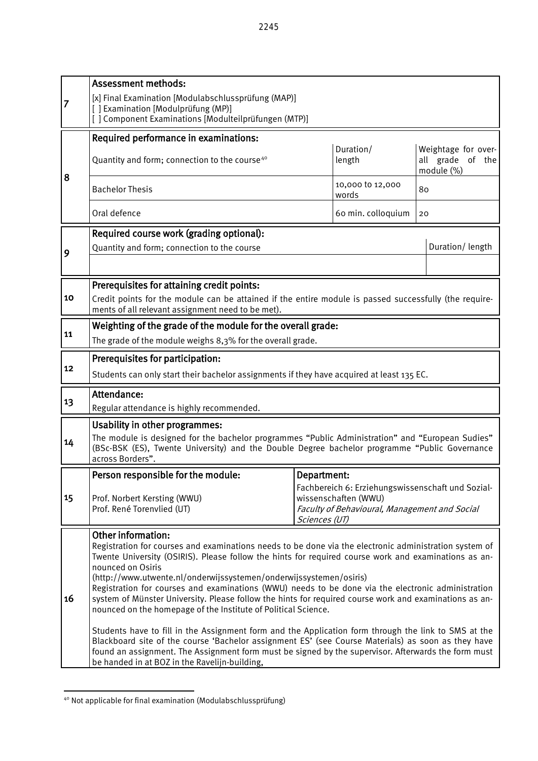|    | <b>Assessment methods:</b>                                                                                                                                                                                     |                                                                       |                     |                  |  |  |  |  |  |
|----|----------------------------------------------------------------------------------------------------------------------------------------------------------------------------------------------------------------|-----------------------------------------------------------------------|---------------------|------------------|--|--|--|--|--|
| 7  | [x] Final Examination [Modulabschlussprüfung (MAP)]<br>[] Examination [Modulprüfung (MP)]                                                                                                                      |                                                                       |                     |                  |  |  |  |  |  |
|    |                                                                                                                                                                                                                |                                                                       |                     |                  |  |  |  |  |  |
|    | [] Component Examinations [Modulteilprüfungen (MTP)]                                                                                                                                                           |                                                                       |                     |                  |  |  |  |  |  |
|    | Required performance in examinations:                                                                                                                                                                          | Weightage for over-                                                   |                     |                  |  |  |  |  |  |
|    | Quantity and form; connection to the course <sup>40</sup>                                                                                                                                                      |                                                                       | Duration/<br>length | all grade of the |  |  |  |  |  |
| 8  |                                                                                                                                                                                                                |                                                                       | module (%)          |                  |  |  |  |  |  |
|    | <b>Bachelor Thesis</b>                                                                                                                                                                                         | 10,000 to 12,000<br>words                                             | 80                  |                  |  |  |  |  |  |
|    | Oral defence                                                                                                                                                                                                   |                                                                       | 60 min. colloquium  | 20               |  |  |  |  |  |
|    | Required course work (grading optional):                                                                                                                                                                       |                                                                       |                     |                  |  |  |  |  |  |
| 9  | Quantity and form; connection to the course                                                                                                                                                                    |                                                                       |                     | Duration/length  |  |  |  |  |  |
|    |                                                                                                                                                                                                                |                                                                       |                     |                  |  |  |  |  |  |
|    | Prerequisites for attaining credit points:                                                                                                                                                                     |                                                                       |                     |                  |  |  |  |  |  |
| 10 | Credit points for the module can be attained if the entire module is passed successfully (the require-                                                                                                         |                                                                       |                     |                  |  |  |  |  |  |
|    | ments of all relevant assignment need to be met).                                                                                                                                                              |                                                                       |                     |                  |  |  |  |  |  |
| 11 | Weighting of the grade of the module for the overall grade:                                                                                                                                                    |                                                                       |                     |                  |  |  |  |  |  |
|    | The grade of the module weighs 8,3% for the overall grade.                                                                                                                                                     |                                                                       |                     |                  |  |  |  |  |  |
| 12 | Prerequisites for participation:                                                                                                                                                                               |                                                                       |                     |                  |  |  |  |  |  |
|    | Students can only start their bachelor assignments if they have acquired at least 135 EC.                                                                                                                      |                                                                       |                     |                  |  |  |  |  |  |
|    | Attendance:                                                                                                                                                                                                    |                                                                       |                     |                  |  |  |  |  |  |
| 13 | Regular attendance is highly recommended.                                                                                                                                                                      |                                                                       |                     |                  |  |  |  |  |  |
|    | Usability in other programmes:                                                                                                                                                                                 |                                                                       |                     |                  |  |  |  |  |  |
| 14 | The module is designed for the bachelor programmes "Public Administration" and "European Sudies"                                                                                                               |                                                                       |                     |                  |  |  |  |  |  |
|    | (BSc-BSK (ES), Twente University) and the Double Degree bachelor programme "Public Governance<br>across Borders".                                                                                              |                                                                       |                     |                  |  |  |  |  |  |
|    | Person responsible for the module:                                                                                                                                                                             | Department:                                                           |                     |                  |  |  |  |  |  |
|    |                                                                                                                                                                                                                | Fachbereich 6: Erziehungswissenschaft und Sozial-                     |                     |                  |  |  |  |  |  |
| 15 | Prof. Norbert Kersting (WWU)<br>Prof. René Torenvlied (UT)                                                                                                                                                     | wissenschaften (WWU)<br>Faculty of Behavioural, Management and Social |                     |                  |  |  |  |  |  |
|    |                                                                                                                                                                                                                |                                                                       |                     |                  |  |  |  |  |  |
|    | <b>Other information:</b>                                                                                                                                                                                      |                                                                       |                     |                  |  |  |  |  |  |
|    | Registration for courses and examinations needs to be done via the electronic administration system of<br>Twente University (OSIRIS). Please follow the hints for required course work and examinations as an- |                                                                       |                     |                  |  |  |  |  |  |
|    | nounced on Osiris                                                                                                                                                                                              |                                                                       |                     |                  |  |  |  |  |  |
|    | (http://www.utwente.nl/onderwijssystemen/onderwijssystemen/osiris)                                                                                                                                             |                                                                       |                     |                  |  |  |  |  |  |
| 16 | Registration for courses and examinations (WWU) needs to be done via the electronic administration<br>system of Münster University. Please follow the hints for required course work and examinations as an-   |                                                                       |                     |                  |  |  |  |  |  |
|    | nounced on the homepage of the Institute of Political Science.                                                                                                                                                 |                                                                       |                     |                  |  |  |  |  |  |
|    | Students have to fill in the Assignment form and the Application form through the link to SMS at the                                                                                                           |                                                                       |                     |                  |  |  |  |  |  |
|    | Blackboard site of the course 'Bachelor assignment ES' (see Course Materials) as soon as they have                                                                                                             |                                                                       |                     |                  |  |  |  |  |  |
|    | found an assignment. The Assignment form must be signed by the supervisor. Afterwards the form must<br>be handed in at BOZ in the Ravelijn-building,                                                           |                                                                       |                     |                  |  |  |  |  |  |

<span id="page-64-0"></span><sup>-</sup><sup>40</sup> Not applicable for final examination (Modulabschlussprüfung)

 $\mathbf{I}$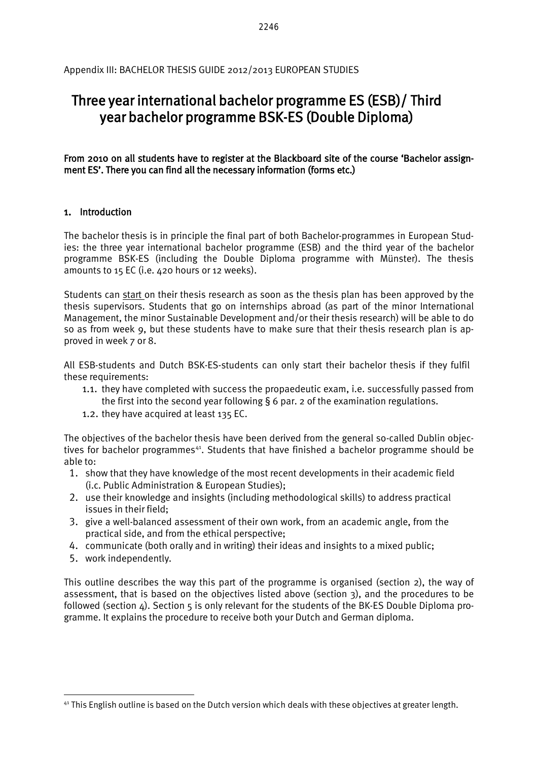# Three year international bachelor programme ES (ESB)/ Third year bachelor programme BSK-ES (Double Diploma)

From 2010 on all students have to register at the Blackboard site of the course 'Bachelor assignment ES'. There you can find all the necessary information (forms etc.)

### 1. Introduction

The bachelor thesis is in principle the final part of both Bachelor-programmes in European Studies: the three year international bachelor programme (ESB) and the third year of the bachelor programme BSK-ES (including the Double Diploma programme with Münster). The thesis amounts to 15 EC (i.e. 420 hours or 12 weeks).

Students can start on their thesis research as soon as the thesis plan has been approved by the thesis supervisors. Students that go on internships abroad (as part of the minor International Management, the minor Sustainable Development and/or their thesis research) will be able to do so as from week 9, but these students have to make sure that their thesis research plan is approved in week 7 or 8.

All ESB-students and Dutch BSK-ES-students can only start their bachelor thesis if they fulfil these requirements:

- 1.1. they have completed with success the propaedeutic exam, i.e. successfully passed from the first into the second year following § 6 par. 2 of the examination regulations.
- 1.2. they have acquired at least 135 EC.

The objectives of the bachelor thesis have been derived from the general so-called Dublin objectives for bachelor programmes<sup>41</sup>. Students that have finished a bachelor programme should be able to:

- 1. show that they have knowledge of the most recent developments in their academic field (i.c. Public Administration & European Studies);
- 2. use their knowledge and insights (including methodological skills) to address practical issues in their field;
- 3. give a well-balanced assessment of their own work, from an academic angle, from the practical side, and from the ethical perspective;
- 4. communicate (both orally and in writing) their ideas and insights to a mixed public;
- 5. work independently.

 $\overline{a}$ 

This outline describes the way this part of the programme is organised (section 2), the way of assessment, that is based on the objectives listed above (section 3), and the procedures to be followed (section  $\Delta$ ). Section 5 is only relevant for the students of the BK-ES Double Diploma programme. It explains the procedure to receive both your Dutch and German diploma.

<span id="page-65-0"></span><sup>41</sup> This English outline is based on the Dutch version which deals with these objectives at greater length.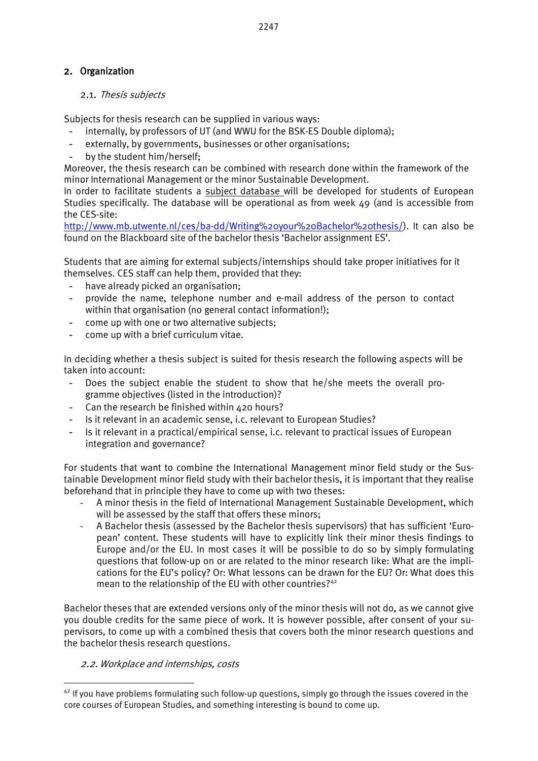### 2. Organization

#### 2.1. Thesis subjects

Subjects for thesis research can be supplied in various ways:

- internally, by professors of UT (and WWU for the BSK-ES Double diploma);
- externally, by governments, businesses or other organisations;
- by the student him/herself:

Moreover, the thesis research can be combined with research done within the framework of the minor International Management or the minor Sustainable Development.

In order to facilitate students a subject database will be developed for students of European Studies specifically. The database will be operational as from week 49 (and is accessible from the CES-site:

[http://www.mb.utwente.nl/ces/ba-dd/Writing%20your%20Bachelor%20thesis/\)](http://www.mb.utwente.nl/ces/ba-dd/Writing%20your%20Bachelor%20thesis/). It can also be found on the Blackboard site of the bachelor thesis 'Bachelor assignment ES'.

Students that are aiming for external subjects/internships should take proper initiatives for it themselves. CES staff can help them, provided that they:

- have already picked an organisation;
- provide the name, telephone number and e-mail address of the person to contact within that organisation (no general contact information!);
- come up with one or two alternative subjects;
- come up with a brief curriculum vitae.

In deciding whether a thesis subject is suited for thesis research the following aspects will be taken into account:

- Does the subject enable the student to show that he/she meets the overall programme objectives (listed in the introduction)?
- Can the research be finished within 420 hours?
- Is it relevant in an academic sense, i.c. relevant to European Studies?
- Is it relevant in a practical/empirical sense, i.c. relevant to practical issues of European integration and governance?

For students that want to combine the International Management minor field study or the Sustainable Development minor field study with their bachelor thesis, it is important that they realise beforehand that in principle they have to come up with two theses:

- A minor thesis in the field of International Management Sustainable Development, which will be assessed by the staff that offers these minors;
- A Bachelor thesis (assessed by the Bachelor thesis supervisors) that has sufficient 'European' content. These students will have to explicitly link their minor thesis findings to Europe and/or the EU. In most cases it will be possible to do so by simply formulating questions that follow-up on or are related to the minor research like: What are the implications for the EU's policy? Or: What lessons can be drawn for the EU? Or: What does this mean to the relationship of the EU with other countries?<sup>[42](#page-66-0)</sup>

Bachelor theses that are extended versions only of the minor thesis will not do, as we cannot give you double credits for the same piece of work. It is however possible, after consent of your supervisors, to come up with a combined thesis that covers both the minor research questions and the bachelor thesis research questions.

#### 2.2. Workplace and internships, costs

<span id="page-66-0"></span><sup>&</sup>lt;sup>42</sup> If you have problems formulating such follow-up questions, simply go through the issues covered in the core courses of European Studies, and something interesting is bound to come up.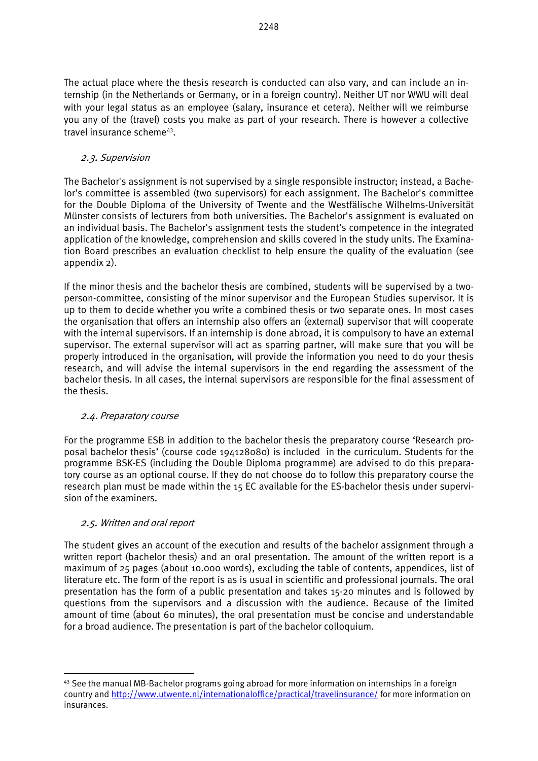The actual place where the thesis research is conducted can also vary, and can include an internship (in the Netherlands or Germany, or in a foreign country). Neither UT nor WWU will deal with your legal status as an employee (salary, insurance et cetera). Neither will we reimburse you any of the (travel) costs you make as part of your research. There is however a collective travel insurance scheme<sup>43</sup>.

### 2.3. Supervision

The Bachelor's assignment is not supervised by a single responsible instructor; instead, a Bachelor's committee is assembled (two supervisors) for each assignment. The Bachelor's committee for the Double Diploma of the University of Twente and the Westfälische Wilhelms-Universität Münster consists of lecturers from both universities. The Bachelor's assignment is evaluated on an individual basis. The Bachelor's assignment tests the student's competence in the integrated application of the knowledge, comprehension and skills covered in the study units. The Examination Board prescribes an evaluation checklist to help ensure the quality of the evaluation (see appendix 2).

If the minor thesis and the bachelor thesis are combined, students will be supervised by a twoperson-committee, consisting of the minor supervisor and the European Studies supervisor. It is up to them to decide whether you write a combined thesis or two separate ones. In most cases the organisation that offers an internship also offers an (external) supervisor that will cooperate with the internal supervisors. If an internship is done abroad, it is compulsory to have an external supervisor. The external supervisor will act as sparring partner, will make sure that you will be properly introduced in the organisation, will provide the information you need to do your thesis research, and will advise the internal supervisors in the end regarding the assessment of the bachelor thesis. In all cases, the internal supervisors are responsible for the final assessment of the thesis.

### 2.4. Preparatory course

For the programme ESB in addition to the bachelor thesis the preparatory course 'Research proposal bachelor thesis' (course code 194128080) is included in the curriculum. Students for the programme BSK-ES (including the Double Diploma programme) are advised to do this preparatory course as an optional course. If they do not choose do to follow this preparatory course the research plan must be made within the 15 EC available for the ES-bachelor thesis under supervision of the examiners.

### 2.5. Written and oral report

 $\overline{a}$ 

The student gives an account of the execution and results of the bachelor assignment through a written report (bachelor thesis) and an oral presentation. The amount of the written report is a maximum of 25 pages (about 10.000 words), excluding the table of contents, appendices, list of literature etc. The form of the report is as is usual in scientific and professional journals. The oral presentation has the form of a public presentation and takes 15-20 minutes and is followed by questions from the supervisors and a discussion with the audience. Because of the limited amount of time (about 60 minutes), the oral presentation must be concise and understandable for a broad audience. The presentation is part of the bachelor colloquium.

<span id="page-67-0"></span><sup>43</sup> See the manual MB-Bachelor programs going abroad for more information on internships in a foreign country and<http://www.utwente.nl/internationaloffice/practical/travelinsurance/> for more information on insurances.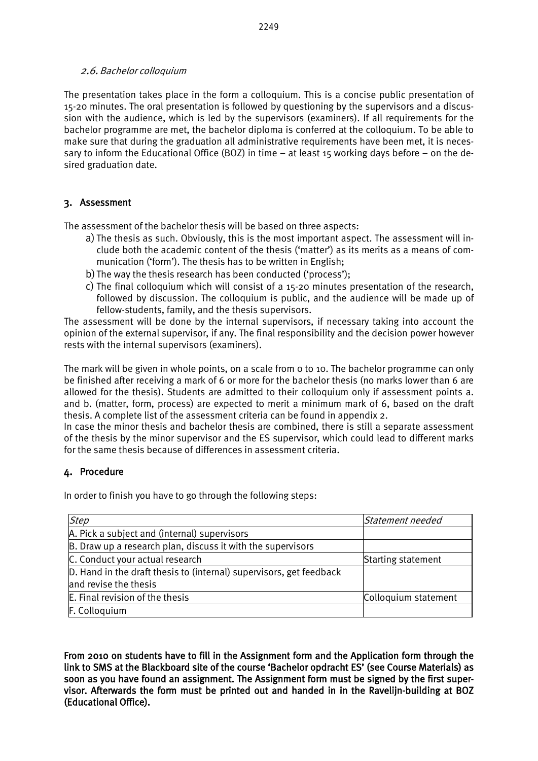#### 2.6. Bachelor colloquium

The presentation takes place in the form a colloquium. This is a concise public presentation of 15-20 minutes. The oral presentation is followed by questioning by the supervisors and a discussion with the audience, which is led by the supervisors (examiners). If all requirements for the bachelor programme are met, the bachelor diploma is conferred at the colloquium. To be able to make sure that during the graduation all administrative requirements have been met, it is necessary to inform the Educational Office (BOZ) in time – at least 15 working days before – on the desired graduation date.

### 3. Assessment

The assessment of the bachelor thesis will be based on three aspects:

- a) The thesis as such. Obviously, this is the most important aspect. The assessment will include both the academic content of the thesis ('matter') as its merits as a means of communication ('form'). The thesis has to be written in English;
- b) The way the thesis research has been conducted ('process');
- c) The final colloquium which will consist of a 15-20 minutes presentation of the research, followed by discussion. The colloquium is public, and the audience will be made up of fellow-students, family, and the thesis supervisors.

The assessment will be done by the internal supervisors, if necessary taking into account the opinion of the external supervisor, if any. The final responsibility and the decision power however rests with the internal supervisors (examiners).

The mark will be given in whole points, on a scale from 0 to 10. The bachelor programme can only be finished after receiving a mark of 6 or more for the bachelor thesis (no marks lower than 6 are allowed for the thesis). Students are admitted to their colloquium only if assessment points a. and b. (matter, form, process) are expected to merit a minimum mark of 6, based on the draft thesis. A complete list of the assessment criteria can be found in appendix 2.

In case the minor thesis and bachelor thesis are combined, there is still a separate assessment of the thesis by the minor supervisor and the ES supervisor, which could lead to different marks for the same thesis because of differences in assessment criteria.

### 4. Procedure

In order to finish you have to go through the following steps:

| <b>Step</b>                                                         | Statement needed     |  |  |
|---------------------------------------------------------------------|----------------------|--|--|
| A. Pick a subject and (internal) supervisors                        |                      |  |  |
| B. Draw up a research plan, discuss it with the supervisors         |                      |  |  |
| C. Conduct your actual research                                     | Starting statement   |  |  |
| D. Hand in the draft thesis to (internal) supervisors, get feedback |                      |  |  |
| and revise the thesis                                               |                      |  |  |
| E. Final revision of the thesis                                     | Colloquium statement |  |  |
| F. Colloquium                                                       |                      |  |  |

From 2010 on students have to fill in the Assignment form and the Application form through the link to SMS at the Blackboard site of the course 'Bachelor opdracht ES' (see Course Materials) as soon as you have found an assignment. The Assignment form must be signed by the first supervisor. Afterwards the form must be printed out and handed in in the Ravelijn-building at BOZ (Educational Office).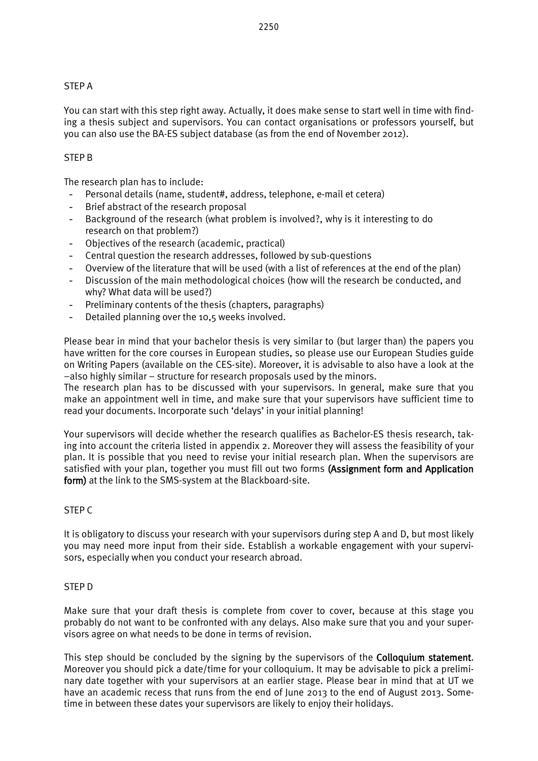#### STEP A

You can start with this step right away. Actually, it does make sense to start well in time with finding a thesis subject and supervisors. You can contact organisations or professors yourself, but you can also use the BA-ES subject database (as from the end of November 2012).

#### STEP B

The research plan has to include:

- Personal details (name, student#, address, telephone, e-mail et cetera)
- Brief abstract of the research proposal
- Background of the research (what problem is involved?, why is it interesting to do research on that problem?)
- Objectives of the research (academic, practical)
- Central question the research addresses, followed by sub-questions
- Overview of the literature that will be used (with a list of references at the end of the plan)
- Discussion of the main methodological choices (how will the research be conducted, and why? What data will be used?)
- Preliminary contents of the thesis (chapters, paragraphs)
- Detailed planning over the 10,5 weeks involved.

Please bear in mind that your bachelor thesis is very similar to (but larger than) the papers you have written for the core courses in European studies, so please use our European Studies guide on Writing Papers (available on the CES-site). Moreover, it is advisable to also have a look at the –also highly similar – structure for research proposals used by the minors.

The research plan has to be discussed with your supervisors. In general, make sure that you make an appointment well in time, and make sure that your supervisors have sufficient time to read your documents. Incorporate such 'delays' in your initial planning!

Your supervisors will decide whether the research qualifies as Bachelor-ES thesis research, taking into account the criteria listed in appendix 2. Moreover they will assess the feasibility of your plan. It is possible that you need to revise your initial research plan. When the supervisors are satisfied with your plan, together you must fill out two forms (Assignment form and Application form) at the link to the SMS-system at the Blackboard-site.

#### STEP C

It is obligatory to discuss your research with your supervisors during step A and D, but most likely you may need more input from their side. Establish a workable engagement with your supervisors, especially when you conduct your research abroad.

#### STEP D

Make sure that your draft thesis is complete from cover to cover, because at this stage you probably do not want to be confronted with any delays. Also make sure that you and your supervisors agree on what needs to be done in terms of revision.

This step should be concluded by the signing by the supervisors of the Colloquium statement. Moreover you should pick a date/time for your colloquium. It may be advisable to pick a preliminary date together with your supervisors at an earlier stage. Please bear in mind that at UT we have an academic recess that runs from the end of June 2013 to the end of August 2013. Sometime in between these dates your supervisors are likely to enjoy their holidays.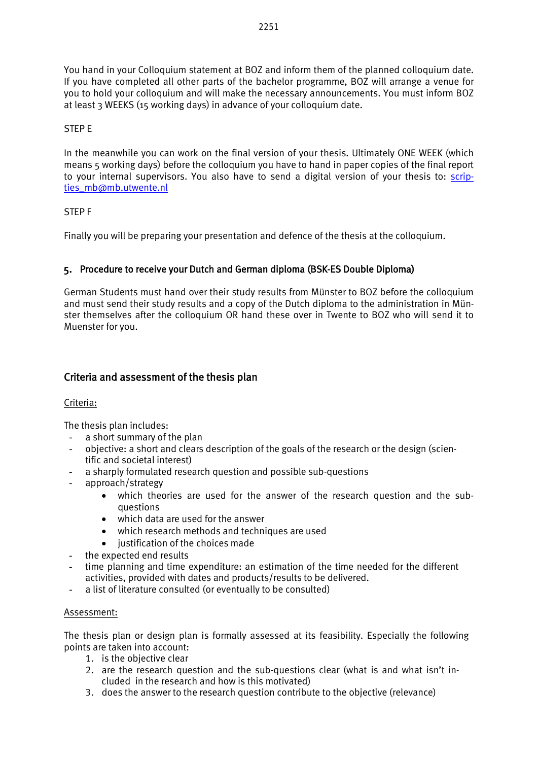You hand in your Colloquium statement at BOZ and inform them of the planned colloquium date. If you have completed all other parts of the bachelor programme, BOZ will arrange a venue for you to hold your colloquium and will make the necessary announcements. You must inform BOZ at least 3 WEEKS (15 working days) in advance of your colloquium date.

### STEP E

In the meanwhile you can work on the final version of your thesis. Ultimately ONE WEEK (which means 5 working days) before the colloquium you have to hand in paper copies of the final report to your internal supervisors. You also have to send a digital version of your thesis to: [scrip](mailto:scripties_mb@mb.utwente.nl)[ties\\_mb@mb.utwente.nl](mailto:scripties_mb@mb.utwente.nl)

### STEP F

Finally you will be preparing your presentation and defence of the thesis at the colloquium.

### 5. Procedure to receive your Dutch and German diploma (BSK-ES Double Diploma)

German Students must hand over their study results from Münster to BOZ before the colloquium and must send their study results and a copy of the Dutch diploma to the administration in Münster themselves after the colloquium OR hand these over in Twente to BOZ who will send it to Muenster for you.

### Criteria and assessment of the thesis plan

#### Criteria:

The thesis plan includes:

- a short summary of the plan
- objective: a short and clears description of the goals of the research or the design (scientific and societal interest)
- a sharply formulated research question and possible sub-questions
- approach/strategy
	- which theories are used for the answer of the research question and the subquestions
	- which data are used for the answer
	- which research methods and techniques are used
	- iustification of the choices made
- the expected end results
- time planning and time expenditure: an estimation of the time needed for the different activities, provided with dates and products/results to be delivered.
- a list of literature consulted (or eventually to be consulted)

#### Assessment:

The thesis plan or design plan is formally assessed at its feasibility. Especially the following points are taken into account:

- 1. is the objective clear
- 2. are the research question and the sub-questions clear (what is and what isn't included in the research and how is this motivated)
- 3. does the answer to the research question contribute to the objective (relevance)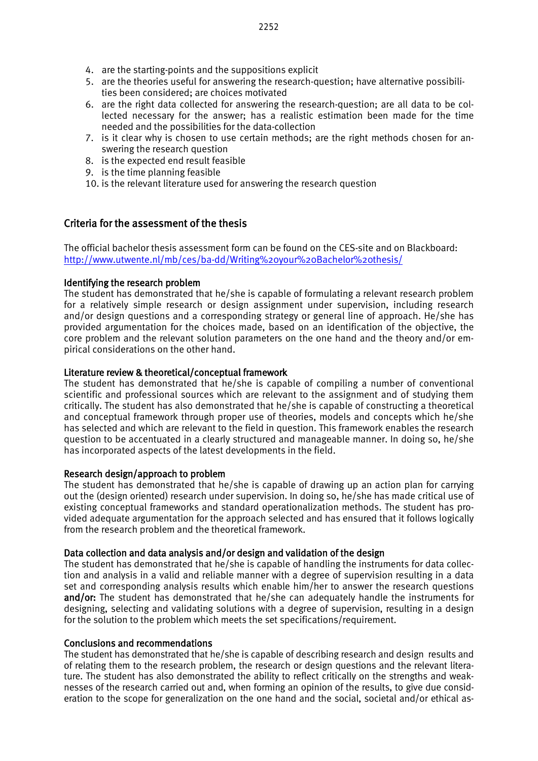- 5. are the theories useful for answering the research-question; have alternative possibilities been considered; are choices motivated
- 6. are the right data collected for answering the research-question; are all data to be collected necessary for the answer; has a realistic estimation been made for the time needed and the possibilities for the data-collection
- 7. is it clear why is chosen to use certain methods; are the right methods chosen for answering the research question
- 8. is the expected end result feasible
- 9. is the time planning feasible
- 10. is the relevant literature used for answering the research question

# Criteria for the assessment of the thesis

The official bachelor thesis assessment form can be found on the CES-site and on Blackboard: <http://www.utwente.nl/mb/ces/ba-dd/Writing%20your%20Bachelor%20thesis/>

## Identifying the research problem

The student has demonstrated that he/she is capable of formulating a relevant research problem for a relatively simple research or design assignment under supervision, including research and/or design questions and a corresponding strategy or general line of approach. He/she has provided argumentation for the choices made, based on an identification of the objective, the core problem and the relevant solution parameters on the one hand and the theory and/or empirical considerations on the other hand.

# Literature review & theoretical/conceptual framework

The student has demonstrated that he/she is capable of compiling a number of conventional scientific and professional sources which are relevant to the assignment and of studying them critically. The student has also demonstrated that he/she is capable of constructing a theoretical and conceptual framework through proper use of theories, models and concepts which he/she has selected and which are relevant to the field in question. This framework enables the research question to be accentuated in a clearly structured and manageable manner. In doing so, he/she has incorporated aspects of the latest developments in the field.

### Research design/approach to problem

The student has demonstrated that he/she is capable of drawing up an action plan for carrying out the (design oriented) research under supervision. In doing so, he/she has made critical use of existing conceptual frameworks and standard operationalization methods. The student has provided adequate argumentation for the approach selected and has ensured that it follows logically from the research problem and the theoretical framework.

# Data collection and data analysis and/or design and validation of the design

The student has demonstrated that he/she is capable of handling the instruments for data collection and analysis in a valid and reliable manner with a degree of supervision resulting in a data set and corresponding analysis results which enable him/her to answer the research questions and/or: The student has demonstrated that he/she can adequately handle the instruments for designing, selecting and validating solutions with a degree of supervision, resulting in a design for the solution to the problem which meets the set specifications/requirement.

# Conclusions and recommendations

The student has demonstrated that he/she is capable of describing research and design results and of relating them to the research problem, the research or design questions and the relevant literature. The student has also demonstrated the ability to reflect critically on the strengths and weaknesses of the research carried out and, when forming an opinion of the results, to give due consideration to the scope for generalization on the one hand and the social, societal and/or ethical as-